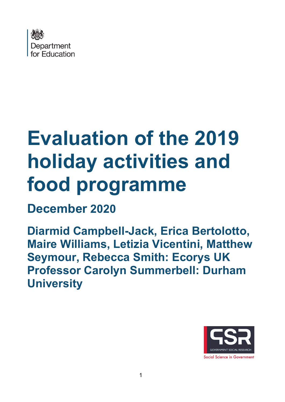

# **Evaluation of the 2019 holiday activities and food programme**

# **December 2020**

**Diarmid Campbell-Jack, Erica Bertolotto, Maire Williams, Letizia Vicentini, Matthew Seymour, Rebecca Smith: Ecorys UK Professor Carolyn Summerbell: Durham University**

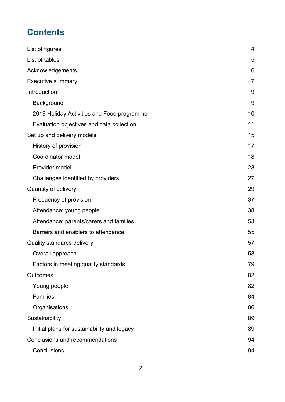# **Contents**

| List of figures                             | $\overline{4}$ |
|---------------------------------------------|----------------|
| List of tables                              | 5              |
| Acknowledgements                            | 6              |
| <b>Executive summary</b>                    | 7              |
| Introduction                                | 9              |
| Background                                  | 9              |
| 2019 Holiday Activities and Food programme  | 10             |
| Evaluation objectives and data collection   | 11             |
| Set up and delivery models                  | 15             |
| History of provision                        | 17             |
| Coordinator model                           | 18             |
| Provider model                              | 23             |
| Challenges identified by providers          | 27             |
| Quantity of delivery                        | 29             |
| Frequency of provision                      | 37             |
| Attendance: young people                    | 38             |
| Attendance: parents/carers and families     | 53             |
| Barriers and enablers to attendance         | 55             |
| Quality standards delivery                  | 57             |
| Overall approach                            | 58             |
| Factors in meeting quality standards        | 79             |
| <b>Outcomes</b>                             | 82             |
| Young people                                | 82             |
| <b>Families</b>                             | 84             |
| Organisations                               | 86             |
| Sustainability                              | 89             |
| Initial plans for sustainability and legacy | 89             |
| Conclusions and recommendations             | 94             |
| Conclusions                                 | 94             |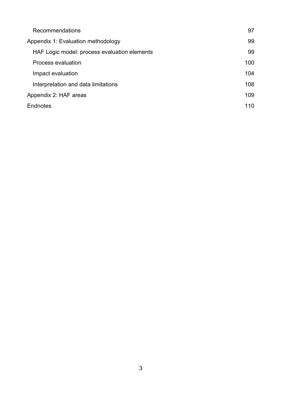| Recommendations                              | 97  |
|----------------------------------------------|-----|
| Appendix 1: Evaluation methodology           | 99  |
| HAF Logic model: process evaluation elements | 99  |
| Process evaluation                           | 100 |
| Impact evaluation                            | 104 |
| Interpretation and data limitations          | 108 |
| Appendix 2: HAF areas                        | 109 |
| Endnotes                                     | 110 |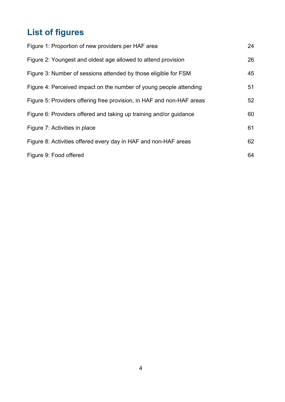# <span id="page-3-0"></span>**List of figures**

| Figure 1: Proportion of new providers per HAF area                    | 24 |
|-----------------------------------------------------------------------|----|
| Figure 2: Youngest and oldest age allowed to attend provision         | 26 |
| Figure 3: Number of sessions attended by those eligible for FSM       | 45 |
| Figure 4: Perceived impact on the number of young people attending    | 51 |
| Figure 5: Providers offering free provision, in HAF and non-HAF areas | 52 |
| Figure 6: Providers offered and taking up training and/or guidance    | 60 |
| Figure 7: Activities in place                                         | 61 |
| Figure 8: Activities offered every day in HAF and non-HAF areas       | 62 |
| Figure 9: Food offered                                                | 64 |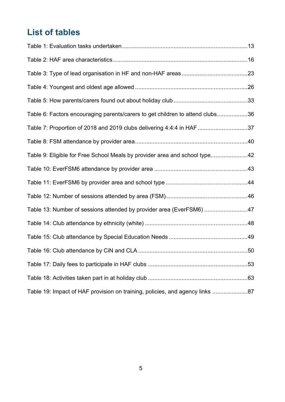# <span id="page-4-0"></span>**List of tables**

| Table 6: Factors encouraging parents/carers to get children to attend clubs36 |  |
|-------------------------------------------------------------------------------|--|
| Table 7: Proportion of 2018 and 2019 clubs delivering 4:4:4 in HAF 37         |  |
|                                                                               |  |
| Table 9: Eligible for Free School Meals by provider area and school type42    |  |
|                                                                               |  |
|                                                                               |  |
|                                                                               |  |
| Table 13: Number of sessions attended by provider area (EverFSM6) 47          |  |
|                                                                               |  |
|                                                                               |  |
|                                                                               |  |
|                                                                               |  |
|                                                                               |  |
| Table 19: Impact of HAF provision on training, policies, and agency links 87  |  |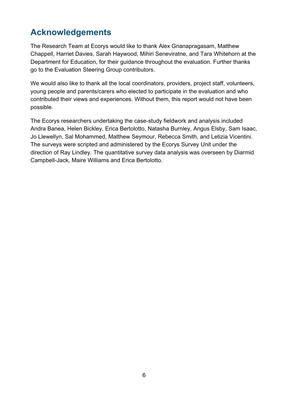# <span id="page-5-0"></span>**Acknowledgements**

The Research Team at Ecorys would like to thank Alex Gnanapragasam, Matthew Chappell, Harriet Davies, Sarah Haywood, Mihiri Seneviratne, and Tara Whitehorn at the Department for Education, for their guidance throughout the evaluation. Further thanks go to the Evaluation Steering Group contributors.

We would also like to thank all the local coordinators, providers, project staff, volunteers, young people and parents/carers who elected to participate in the evaluation and who contributed their views and experiences. Without them, this report would not have been possible.

The Ecorys researchers undertaking the case-study fieldwork and analysis included Andra Banea, Helen Bickley, Erica Bertolotto, Natasha Burnley, Angus Elsby, Sam Isaac, Jo Llewellyn, Sal Mohammed, Matthew Seymour, Rebecca Smith, and Letizia Vicentini. The surveys were scripted and administered by the Ecorys Survey Unit under the direction of Ray Lindley. The quantitative survey data analysis was overseen by Diarmid Campbell-Jack, Maire Williams and Erica Bertolotto.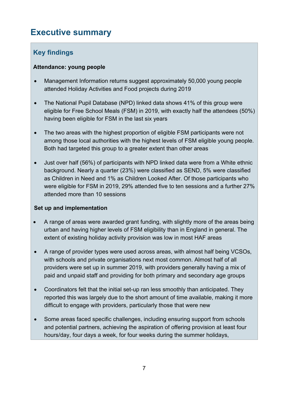## <span id="page-6-0"></span>**Executive summary**

## **Key findings**

#### **Attendance: young people**

- Management Information returns suggest approximately 50,000 young people attended Holiday Activities and Food projects during 2019
- The National Pupil Database (NPD) linked data shows 41% of this group were eligible for Free School Meals (FSM) in 2019, with exactly half the attendees (50%) having been eligible for FSM in the last six years
- The two areas with the highest proportion of eligible FSM participants were not among those local authorities with the highest levels of FSM eligible young people. Both had targeted this group to a greater extent than other areas
- Just over half (56%) of participants with NPD linked data were from a White ethnic background. Nearly a quarter (23%) were classified as SEND, 5% were classified as Children in Need and 1% as Children Looked After. Of those participants who were eligible for FSM in 2019, 29% attended five to ten sessions and a further 27% attended more than 10 sessions

#### **Set up and implementation**

- A range of areas were awarded grant funding, with slightly more of the areas being urban and having higher levels of FSM eligibility than in England in general. The extent of existing holiday activity provision was low in most HAF areas
- A range of provider types were used across areas, with almost half being VCSOs, with schools and private organisations next most common. Almost half of all providers were set up in summer 2019, with providers generally having a mix of paid and unpaid staff and providing for both primary and secondary age groups
- Coordinators felt that the initial set-up ran less smoothly than anticipated. They reported this was largely due to the short amount of time available, making it more difficult to engage with providers, particularly those that were new
- Some areas faced specific challenges, including ensuring support from schools and potential partners, achieving the aspiration of offering provision at least four hours/day, four days a week, for four weeks during the summer holidays,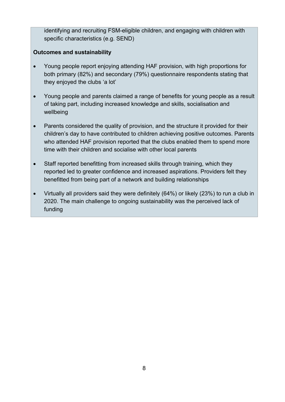identifying and recruiting FSM-eligible children, and engaging with children with specific characteristics (e.g. SEND)

#### **Outcomes and sustainability**

- Young people report enjoying attending HAF provision, with high proportions for both primary (82%) and secondary (79%) questionnaire respondents stating that they enjoyed the clubs 'a lot'
- Young people and parents claimed a range of benefits for young people as a result of taking part, including increased knowledge and skills, socialisation and wellbeing
- Parents considered the quality of provision, and the structure it provided for their children's day to have contributed to children achieving positive outcomes. Parents who attended HAF provision reported that the clubs enabled them to spend more time with their children and socialise with other local parents
- Staff reported benefitting from increased skills through training, which they reported led to greater confidence and increased aspirations. Providers felt they benefitted from being part of a network and building relationships
- Virtually all providers said they were definitely (64%) or likely (23%) to run a club in 2020. The main challenge to ongoing sustainability was the perceived lack of funding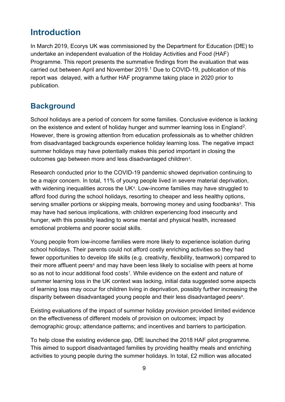## <span id="page-8-0"></span>**Introduction**

In March 2019, Ecorys UK was commissioned by the Department for Education (DfE) to undertake an independent evaluation of the Holiday Activities and Food (HAF) Programme. This report presents the summative findings from the evaluation that was carried out between April and November 2019. [1](#page-27-0) Due to COVID-19, publication of this report was delayed, with a further HAF programme taking place in 2020 prior to publication.

## <span id="page-8-1"></span>**Background**

School holidays are a period of concern for some families. Conclusive evidence is lacking on the existence and extent of holiday hunger and summer learning loss in England<sup>2</sup>. However, there is growing attention from education professionals as to whether children from disadvantaged backgrounds experience holiday learning loss. The negative impact summer holidays may have potentially makes this period important in closing the outcomes gap between more and less disadvantaged children<sup>3</sup>.

Research conducted prior to the COVID-19 pandemic showed deprivation continuing to be a major concern. In total, 11% of young people lived in severe material deprivation, with widening inequalities across the UK<sup>4</sup>. Low-income families may have struggled to afford food during the school holidays, resorting to cheaper and less healthy options, serving smaller portions or skipping meals, borrowing money and using foodbanks<sup>[5](#page-27-4)</sup>. This may have had serious implications, with children experiencing food insecurity and hunger, with this possibly leading to worse mental and physical health, increased emotional problems and poorer social skills.

Young people from low-income families were more likely to experience isolation during school holidays. Their parents could not afford costly enriching activities so they had fewer opportunities to develop life skills (e.g. creativity, flexibility, teamwork) compared to their more affluent peers $6$  and may have been less likely to socialise with peers at home so as not to incur additional food costs<sup>[7](#page-27-6)</sup>. While evidence on the extent and nature of summer learning loss in the UK context was lacking, initial data suggested some aspects of learning loss may occur for children living in deprivation, possibly further increasing the disparity between disadvantaged young people and their less disadvantaged peers<sup>8</sup>.

Existing evaluations of the impact of summer holiday provision provided limited evidence on the effectiveness of different models of provision on outcomes; impact by demographic group; attendance patterns; and incentives and barriers to participation.

To help close the existing evidence gap, DfE launched the 2018 HAF pilot programme. This aimed to support disadvantaged families by providing healthy meals and enriching activities to young people during the summer holidays. In total, £2 million was allocated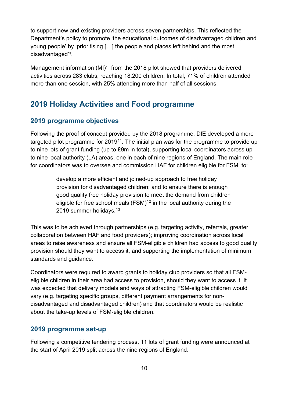to support new and existing providers across seven partnerships. This reflected the Department's policy to promote 'the educational outcomes of disadvantaged children and young people' by 'prioritising […] the people and places left behind and the most disadvantaged'[9.](#page-27-8)

Management information (MI)<sup>[10](#page-27-9)</sup> from the 2018 pilot showed that providers delivered activities across 283 clubs, reaching 18,200 children. In total, 71% of children attended more than one session, with 25% attending more than half of all sessions.

## <span id="page-9-0"></span>**2019 Holiday Activities and Food programme**

#### **2019 programme objectives**

Following the proof of concept provided by the 2018 programme, DfE developed a more targeted pilot programme for  $2019^{11}$ . The initial plan was for the programme to provide up to nine lots of grant funding (up to £9m in total), supporting local coordinators across up to nine local authority (LA) areas, one in each of nine regions of England. The main role for coordinators was to oversee and commission HAF for children eligible for FSM, to:

> develop a more efficient and joined-up approach to free holiday provision for disadvantaged children; and to ensure there is enough good quality free holiday provision to meet the demand from children eligible for free school meals  $(FSM)^{12}$  $(FSM)^{12}$  $(FSM)^{12}$  in the local authority during the 2019 summer holidays.[13](#page-27-12)

This was to be achieved through partnerships (e.g. targeting activity, referrals, greater collaboration between HAF and food providers); improving coordination across local areas to raise awareness and ensure all FSM-eligible children had access to good quality provision should they want to access it; and supporting the implementation of minimum standards and guidance.

Coordinators were required to award grants to holiday club providers so that all FSMeligible children in their area had access to provision, should they want to access it. It was expected that delivery models and ways of attracting FSM-eligible children would vary (e.g. targeting specific groups, different payment arrangements for nondisadvantaged and disadvantaged children) and that coordinators would be realistic about the take-up levels of FSM-eligible children.

#### **2019 programme set-up**

Following a competitive tendering process, 11 lots of grant funding were announced at the start of April 2019 split across the nine regions of England.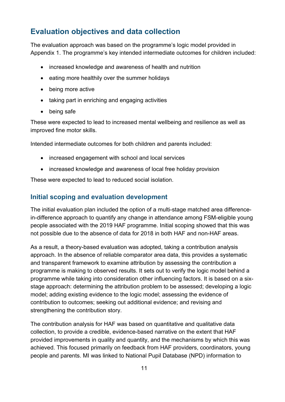## <span id="page-10-0"></span>**Evaluation objectives and data collection**

The evaluation approach was based on the programme's logic model provided in Appendix 1. The programme's key intended intermediate outcomes for children included:

- increased knowledge and awareness of health and nutrition
- eating more healthily over the summer holidays
- being more active
- taking part in enriching and engaging activities
- being safe

These were expected to lead to increased mental wellbeing and resilience as well as improved fine motor skills.

Intended intermediate outcomes for both children and parents included:

- increased engagement with school and local services
- increased knowledge and awareness of local free holiday provision

These were expected to lead to reduced social isolation.

#### **Initial scoping and evaluation development**

The initial evaluation plan included the option of a multi-stage matched area differencein-difference approach to quantify any change in attendance among FSM-eligible young people associated with the 2019 HAF programme. Initial scoping showed that this was not possible due to the absence of data for 2018 in both HAF and non-HAF areas.

As a result, a theory-based evaluation was adopted, taking a contribution analysis approach. In the absence of reliable comparator area data, this provides a systematic and transparent framework to examine attribution by assessing the contribution a programme is making to observed results. It sets out to verify the logic model behind a programme while taking into consideration other influencing factors. It is based on a sixstage approach: determining the attribution problem to be assessed; developing a logic model; adding existing evidence to the logic model; assessing the evidence of contribution to outcomes; seeking out additional evidence; and revising and strengthening the contribution story.

The contribution analysis for HAF was based on quantitative and qualitative data collection, to provide a credible, evidence-based narrative on the extent that HAF provided improvements in quality and quantity, and the mechanisms by which this was achieved. This focused primarily on feedback from HAF providers, coordinators, young people and parents. MI was linked to National Pupil Database (NPD) information to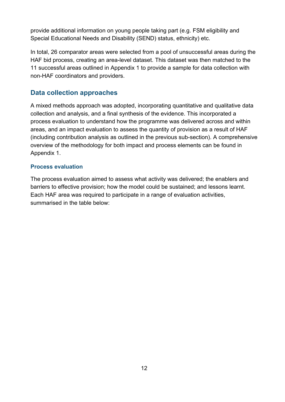provide additional information on young people taking part (e.g. FSM eligibility and Special Educational Needs and Disability (SEND) status, ethnicity) etc.

In total, 26 comparator areas were selected from a pool of unsuccessful areas during the HAF bid process, creating an area-level dataset. This dataset was then matched to the 11 successful areas outlined in Appendix 1 to provide a sample for data collection with non-HAF coordinators and providers.

#### **Data collection approaches**

A mixed methods approach was adopted, incorporating quantitative and qualitative data collection and analysis, and a final synthesis of the evidence. This incorporated a process evaluation to understand how the programme was delivered across and within areas, and an impact evaluation to assess the quantity of provision as a result of HAF (including contribution analysis as outlined in the previous sub-section). A comprehensive overview of the methodology for both impact and process elements can be found in Appendix 1.

#### **Process evaluation**

The process evaluation aimed to assess what activity was delivered; the enablers and barriers to effective provision; how the model could be sustained; and lessons learnt. Each HAF area was required to participate in a range of evaluation activities, summarised in the table below: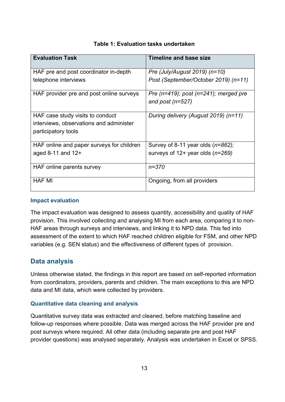<span id="page-12-0"></span>

| <b>Evaluation Task</b>                    | <b>Timeline and base size</b>               |
|-------------------------------------------|---------------------------------------------|
| HAF pre and post coordinator in-depth     | Pre (July/August 2019) (n=10)               |
| telephone interviews                      | Post (September/October 2019) (n=11)        |
| HAF provider pre and post online surveys  | Pre $(n=419)$ ; post $(n=241)$ ; merged pre |
|                                           | and post $(n=527)$                          |
| HAF case study visits to conduct          | During delivery (August 2019) (n=11)        |
| interviews, observations and administer   |                                             |
| participatory tools                       |                                             |
| HAF online and paper surveys for children | Survey of 8-11 year olds $(n=862)$ ;        |
| aged 8-11 and $12+$                       | surveys of $12+$ year olds ( $n=269$ )      |
| HAF online parents survey                 | $n = 370$                                   |
| <b>HAF MI</b>                             | Ongoing, from all providers                 |

#### **Table 1: Evaluation tasks undertaken**

#### **Impact evaluation**

The impact evaluation was designed to assess quantity, accessibility and quality of HAF provision. This involved collecting and analysing MI from each area, comparing it to non-HAF areas through surveys and interviews, and linking it to NPD data. This fed into assessment of the extent to which HAF reached children eligible for FSM, and other NPD variables (e.g. SEN status) and the effectiveness of different types of provision.

#### **Data analysis**

Unless otherwise stated, the findings in this report are based on self-reported information from coordinators, providers, parents and children. The main exceptions to this are NPD data and MI data, which were collected by providers.

#### **Quantitative data cleaning and analysis**

Quantitative survey data was extracted and cleaned, before matching baseline and follow-up responses where possible. Data was merged across the HAF provider pre and post surveys where required. All other data (including separate pre and post HAF provider questions) was analysed separately. Analysis was undertaken in Excel or SPSS.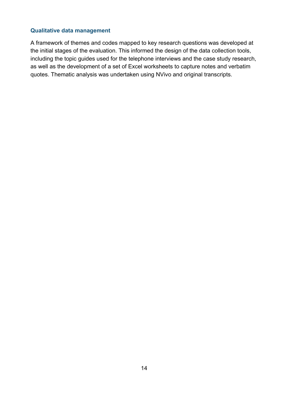#### **Qualitative data management**

A framework of themes and codes mapped to key research questions was developed at the initial stages of the evaluation. This informed the design of the data collection tools, including the topic guides used for the telephone interviews and the case study research, as well as the development of a set of Excel worksheets to capture notes and verbatim quotes. Thematic analysis was undertaken using NVivo and original transcripts.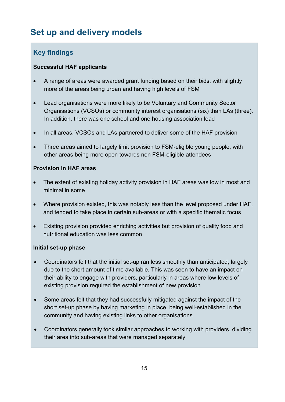# <span id="page-14-0"></span>**Set up and delivery models**

## **Key findings**

#### **Successful HAF applicants**

- A range of areas were awarded grant funding based on their bids, with slightly more of the areas being urban and having high levels of FSM
- Lead organisations were more likely to be Voluntary and Community Sector Organisations (VCSOs) or community interest organisations (six) than LAs (three). In addition, there was one school and one housing association lead
- In all areas, VCSOs and LAs partnered to deliver some of the HAF provision
- Three areas aimed to largely limit provision to FSM-eligible young people, with other areas being more open towards non FSM-eligible attendees

#### **Provision in HAF areas**

- The extent of existing holiday activity provision in HAF areas was low in most and minimal in some
- Where provision existed, this was notably less than the level proposed under HAF, and tended to take place in certain sub-areas or with a specific thematic focus
- Existing provision provided enriching activities but provision of quality food and nutritional education was less common

#### **Initial set-up phase**

- Coordinators felt that the initial set-up ran less smoothly than anticipated, largely due to the short amount of time available. This was seen to have an impact on their ability to engage with providers, particularly in areas where low levels of existing provision required the establishment of new provision
- Some areas felt that they had successfully mitigated against the impact of the short set-up phase by having marketing in place, being well-established in the community and having existing links to other organisations
- Coordinators generally took similar approaches to working with providers, dividing their area into sub-areas that were managed separately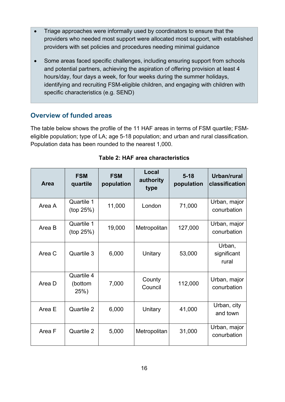- Triage approaches were informally used by coordinators to ensure that the providers who needed most support were allocated most support, with established providers with set policies and procedures needing minimal guidance
- Some areas faced specific challenges, including ensuring support from schools and potential partners, achieving the aspiration of offering provision at least 4 hours/day, four days a week, for four weeks during the summer holidays, identifying and recruiting FSM-eligible children, and engaging with children with specific characteristics (e.g. SEND)

#### **Overview of funded areas**

The table below shows the profile of the 11 HAF areas in terms of FSM quartile; FSMeligible population; type of LA; age 5-18 population; and urban and rural classification. Population data has been rounded to the nearest 1,000.

<span id="page-15-0"></span>

| Area   | <b>FSM</b><br>quartile       | <b>FSM</b><br>population | Local<br>authority<br>type | $5 - 18$<br>population | Urban/rural<br>classification  |
|--------|------------------------------|--------------------------|----------------------------|------------------------|--------------------------------|
| Area A | Quartile 1<br>(top 25%)      | 11,000                   | London                     | 71,000                 | Urban, major<br>conurbation    |
| Area B | Quartile 1<br>(top 25%)      | 19,000                   | Metropolitan               | 127,000                | Urban, major<br>conurbation    |
| Area C | Quartile 3                   | 6,000                    | Unitary                    | 53,000                 | Urban,<br>significant<br>rural |
| Area D | Quartile 4<br>(bottom<br>25% | 7,000                    | County<br>Council          | 112,000                | Urban, major<br>conurbation    |
| Area E | Quartile 2                   | 6,000                    | Unitary                    | 41,000                 | Urban, city<br>and town        |
| Area F | Quartile 2                   | 5,000                    | Metropolitan               | 31,000                 | Urban, major<br>conurbation    |

| Table 2: HAF area characteristics |
|-----------------------------------|
|-----------------------------------|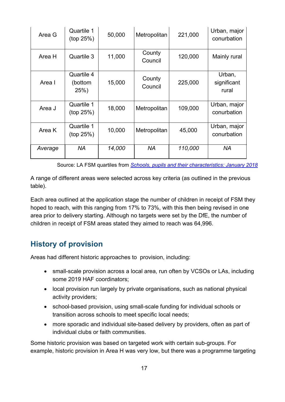| Area G  | Quartile 1<br>(top 25%)       | 50,000 | Metropolitan      | 221,000 | Urban, major<br>conurbation    |
|---------|-------------------------------|--------|-------------------|---------|--------------------------------|
| Area H  | Quartile 3                    | 11,000 | County<br>Council | 120,000 | Mainly rural                   |
| Area I  | Quartile 4<br>(bottom<br>25%) | 15,000 | County<br>Council | 225,000 | Urban,<br>significant<br>rural |
| Area J  | Quartile 1<br>(top 25%)       | 18,000 | Metropolitan      | 109,000 | Urban, major<br>conurbation    |
| Area K  | Quartile 1<br>(top 25%)       | 10,000 | Metropolitan      | 45,000  | Urban, major<br>conurbation    |
| Average | NA                            | 14,000 | NA                | 110,000 | <b>NA</b>                      |

Source: LA FSM quartiles from *[Schools, pupils and their characteristics: January 2018](https://www.gov.uk/government/statistics/schools-pupils-and-their-characteristics-january-2018)*

A range of different areas were selected across key criteria (as outlined in the previous table).

Each area outlined at the application stage the number of children in receipt of FSM they hoped to reach, with this ranging from 17% to 73%, with this then being revised in one area prior to delivery starting. Although no targets were set by the DfE, the number of children in receipt of FSM areas stated they aimed to reach was 64,996.

## <span id="page-16-0"></span>**History of provision**

Areas had different historic approaches to provision, including:

- small-scale provision across a local area, run often by VCSOs or LAs, including some 2019 HAF coordinators;
- local provision run largely by private organisations, such as national physical activity providers;
- school-based provision, using small-scale funding for individual schools or transition across schools to meet specific local needs;
- more sporadic and individual site-based delivery by providers, often as part of individual clubs or faith communities.

Some historic provision was based on targeted work with certain sub-groups. For example, historic provision in Area H was very low, but there was a programme targeting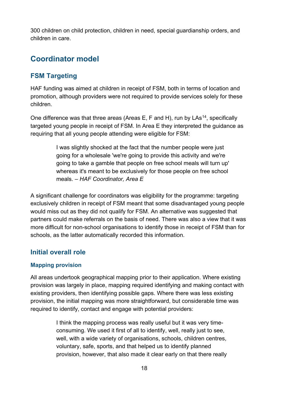300 children on child protection, children in need, special guardianship orders, and children in care.

## <span id="page-17-0"></span>**Coordinator model**

#### **FSM Targeting**

HAF funding was aimed at children in receipt of FSM, both in terms of location and promotion, although providers were not required to provide services solely for these children.

One difference was that three areas (Areas E, F and H), run by LAs<sup>[14](#page-27-13)</sup>, specifically targeted young people in receipt of FSM. In Area E they interpreted the guidance as requiring that all young people attending were eligible for FSM:

> I was slightly shocked at the fact that the number people were just going for a wholesale 'we're going to provide this activity and we're going to take a gamble that people on free school meals will turn up' whereas it's meant to be exclusively for those people on free school meals. *– HAF Coordinator, Area E*

A significant challenge for coordinators was eligibility for the programme: targeting exclusively children in receipt of FSM meant that some disadvantaged young people would miss out as they did not qualify for FSM. An alternative was suggested that partners could make referrals on the basis of need. There was also a view that it was more difficult for non-school organisations to identify those in receipt of FSM than for schools, as the latter automatically recorded this information.

#### **Initial overall role**

#### **Mapping provision**

All areas undertook geographical mapping prior to their application. Where existing provision was largely in place, mapping required identifying and making contact with existing providers, then identifying possible gaps. Where there was less existing provision, the initial mapping was more straightforward, but considerable time was required to identify, contact and engage with potential providers:

> I think the mapping process was really useful but it was very timeconsuming. We used it first of all to identify, well, really just to see, well, with a wide variety of organisations, schools, children centres, voluntary, safe, sports, and that helped us to identify planned provision, however, that also made it clear early on that there really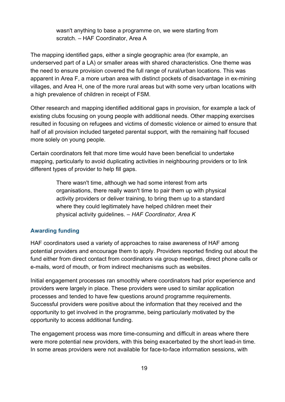wasn't anything to base a programme on, we were starting from scratch. – HAF Coordinator, Area A

The mapping identified gaps, either a single geographic area (for example, an underserved part of a LA) or smaller areas with shared characteristics. One theme was the need to ensure provision covered the full range of rural/urban locations. This was apparent in Area F, a more urban area with distinct pockets of disadvantage in ex-mining villages, and Area H, one of the more rural areas but with some very urban locations with a high prevalence of children in receipt of FSM.

Other research and mapping identified additional gaps in provision, for example a lack of existing clubs focusing on young people with additional needs. Other mapping exercises resulted in focusing on refugees and victims of domestic violence or aimed to ensure that half of all provision included targeted parental support, with the remaining half focused more solely on young people.

Certain coordinators felt that more time would have been beneficial to undertake mapping, particularly to avoid duplicating activities in neighbouring providers or to link different types of provider to help fill gaps.

> There wasn't time, although we had some interest from arts organisations, there really wasn't time to pair them up with physical activity providers or deliver training, to bring them up to a standard where they could legitimately have helped children meet their physical activity guidelines. *– HAF Coordinator, Area K*

#### **Awarding funding**

HAF coordinators used a variety of approaches to raise awareness of HAF among potential providers and encourage them to apply. Providers reported finding out about the fund either from direct contact from coordinators via group meetings, direct phone calls or e-mails, word of mouth, or from indirect mechanisms such as websites.

Initial engagement processes ran smoothly where coordinators had prior experience and providers were largely in place. These providers were used to similar application processes and tended to have few questions around programme requirements. Successful providers were positive about the information that they received and the opportunity to get involved in the programme, being particularly motivated by the opportunity to access additional funding.

The engagement process was more time-consuming and difficult in areas where there were more potential new providers, with this being exacerbated by the short lead-in time. In some areas providers were not available for face-to-face information sessions, with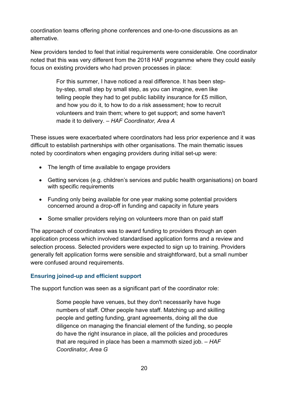coordination teams offering phone conferences and one-to-one discussions as an alternative.

New providers tended to feel that initial requirements were considerable. One coordinator noted that this was very different from the 2018 HAF programme where they could easily focus on existing providers who had proven processes in place:

> For this summer, I have noticed a real difference. It has been stepby-step, small step by small step, as you can imagine, even like telling people they had to get public liability insurance for £5 million, and how you do it, to how to do a risk assessment; how to recruit volunteers and train them; where to get support; and some haven't made it to delivery. *– HAF Coordinator, Area A*

These issues were exacerbated where coordinators had less prior experience and it was difficult to establish partnerships with other organisations. The main thematic issues noted by coordinators when engaging providers during initial set-up were:

- The length of time available to engage providers
- Getting services (e.g. children's services and public health organisations) on board with specific requirements
- Funding only being available for one year making some potential providers concerned around a drop-off in funding and capacity in future years
- Some smaller providers relying on volunteers more than on paid staff

The approach of coordinators was to award funding to providers through an open application process which involved standardised application forms and a review and selection process. Selected providers were expected to sign up to training. Providers generally felt application forms were sensible and straightforward, but a small number were confused around requirements.

#### **Ensuring joined-up and efficient support**

The support function was seen as a significant part of the coordinator role:

Some people have venues, but they don't necessarily have huge numbers of staff. Other people have staff. Matching up and skilling people and getting funding, grant agreements, doing all the due diligence on managing the financial element of the funding, so people do have the right insurance in place, all the policies and procedures that are required in place has been a mammoth sized job. *– HAF Coordinator, Area G*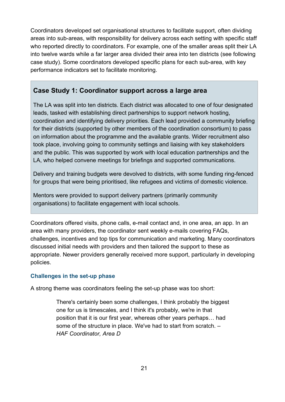Coordinators developed set organisational structures to facilitate support, often dividing areas into sub-areas, with responsibility for delivery across each setting with specific staff who reported directly to coordinators. For example, one of the smaller areas split their LA into twelve wards while a far larger area divided their area into ten districts (see following case study). Some coordinators developed specific plans for each sub-area, with key performance indicators set to facilitate monitoring.

#### **Case Study 1: Coordinator support across a large area**

The LA was split into ten districts. Each district was allocated to one of four designated leads, tasked with establishing direct partnerships to support network hosting, coordination and identifying delivery priorities. Each lead provided a community briefing for their districts (supported by other members of the coordination consortium) to pass on information about the programme and the available grants. Wider recruitment also took place, involving going to community settings and liaising with key stakeholders and the public. This was supported by work with local education partnerships and the LA, who helped convene meetings for briefings and supported communications.

Delivery and training budgets were devolved to districts, with some funding ring-fenced for groups that were being prioritised, like refugees and victims of domestic violence.

Mentors were provided to support delivery partners (primarily community organisations) to facilitate engagement with local schools.

Coordinators offered visits, phone calls, e-mail contact and, in one area, an app. In an area with many providers, the coordinator sent weekly e-mails covering FAQs, challenges, incentives and top tips for communication and marketing. Many coordinators discussed initial needs with providers and then tailored the support to these as appropriate. Newer providers generally received more support, particularly in developing policies.

#### **Challenges in the set-up phase**

A strong theme was coordinators feeling the set-up phase was too short:

There's certainly been some challenges, I think probably the biggest one for us is timescales, and I think it's probably, we're in that position that it is our first year, whereas other years perhaps… had some of the structure in place. We've had to start from scratch. *– HAF Coordinator, Area D*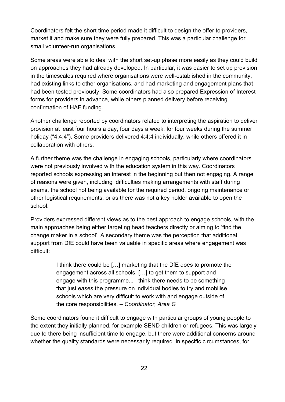Coordinators felt the short time period made it difficult to design the offer to providers, market it and make sure they were fully prepared. This was a particular challenge for small volunteer-run organisations.

Some areas were able to deal with the short set-up phase more easily as they could build on approaches they had already developed. In particular, it was easier to set up provision in the timescales required where organisations were well-established in the community, had existing links to other organisations, and had marketing and engagement plans that had been tested previously. Some coordinators had also prepared Expression of Interest forms for providers in advance, while others planned delivery before receiving confirmation of HAF funding.

Another challenge reported by coordinators related to interpreting the aspiration to deliver provision at least four hours a day, four days a week, for four weeks during the summer holiday ("4:4:4"). Some providers delivered 4:4:4 individually, while others offered it in collaboration with others.

A further theme was the challenge in engaging schools, particularly where coordinators were not previously involved with the education system in this way. Coordinators reported schools expressing an interest in the beginning but then not engaging. A range of reasons were given, including difficulties making arrangements with staff during exams, the school not being available for the required period, ongoing maintenance or other logistical requirements, or as there was not a key holder available to open the school.

Providers expressed different views as to the best approach to engage schools, with the main approaches being either targeting head teachers directly or aiming to 'find the change maker in a school'. A secondary theme was the perception that additional support from DfE could have been valuable in specific areas where engagement was difficult:

> I think there could be […] marketing that the DfE does to promote the engagement across all schools, […] to get them to support and engage with this programme... I think there needs to be something that just eases the pressure on individual bodies to try and mobilise schools which are very difficult to work with and engage outside of the core responsibilities. – *Coordinator, Area G*

Some coordinators found it difficult to engage with particular groups of young people to the extent they initially planned, for example SEND children or refugees. This was largely due to there being insufficient time to engage, but there were additional concerns around whether the quality standards were necessarily required in specific circumstances, for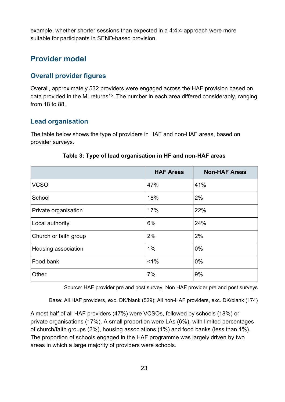example, whether shorter sessions than expected in a 4:4:4 approach were more suitable for participants in SEND-based provision.

## <span id="page-22-0"></span>**Provider model**

#### **Overall provider figures**

Overall, approximately 532 providers were engaged across the HAF provision based on data provided in the MI returns<sup>15</sup>. The number in each area differed considerably, ranging from 18 to 88.

#### **Lead organisation**

The table below shows the type of providers in HAF and non-HAF areas, based on provider surveys.

<span id="page-22-1"></span>

|                       | <b>HAF Areas</b> | <b>Non-HAF Areas</b> |
|-----------------------|------------------|----------------------|
| <b>VCSO</b>           | 47%              | 41%                  |
| School                | 18%              | 2%                   |
| Private organisation  | 17%              | 22%                  |
| Local authority       | 6%               | 24%                  |
| Church or faith group | 2%               | 2%                   |
| Housing association   | 1%               | $0\%$                |
| Food bank             | $1\%$            | 0%                   |
| Other                 | 7%               | 9%                   |

#### **Table 3: Type of lead organisation in HF and non-HAF areas**

Source: HAF provider pre and post survey; Non HAF provider pre and post surveys

Base: All HAF providers, exc. DK/blank (529); All non-HAF providers, exc. DK/blank (174)

Almost half of all HAF providers (47%) were VCSOs, followed by schools (18%) or private organisations (17%). A small proportion were LAs (6%), with limited percentages of church/faith groups (2%), housing associations (1%) and food banks (less than 1%). The proportion of schools engaged in the HAF programme was largely driven by two areas in which a large majority of providers were schools.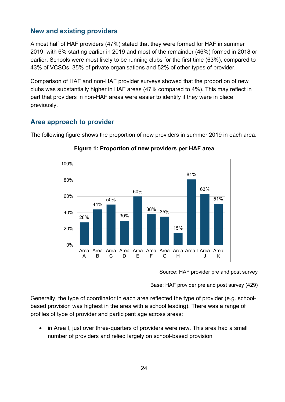#### **New and existing providers**

Almost half of HAF providers (47%) stated that they were formed for HAF in summer 2019, with 6% starting earlier in 2019 and most of the remainder (46%) formed in 2018 or earlier. Schools were most likely to be running clubs for the first time (63%), compared to 43% of VCSOs, 35% of private organisations and 52% of other types of provider.

Comparison of HAF and non-HAF provider surveys showed that the proportion of new clubs was substantially higher in HAF areas (47% compared to 4%). This may reflect in part that providers in non-HAF areas were easier to identify if they were in place previously.

#### **Area approach to provider**

<span id="page-23-0"></span>The following figure shows the proportion of new providers in summer 2019 in each area.



**Figure 1: Proportion of new providers per HAF area**

Source: HAF provider pre and post survey

Base: HAF provider pre and post survey (429)

Generally, the type of coordinator in each area reflected the type of provider (e.g. schoolbased provision was highest in the area with a school leading). There was a range of profiles of type of provider and participant age across areas:

• in Area I, just over three-quarters of providers were new. This area had a small number of providers and relied largely on school-based provision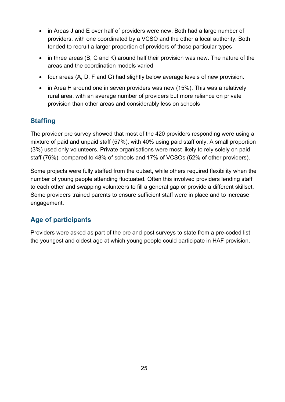- in Areas J and E over half of providers were new. Both had a large number of providers, with one coordinated by a VCSO and the other a local authority. Both tended to recruit a larger proportion of providers of those particular types
- in three areas (B, C and K) around half their provision was new. The nature of the areas and the coordination models varied
- four areas (A, D, F and G) had slightly below average levels of new provision.
- in Area H around one in seven providers was new (15%). This was a relatively rural area, with an average number of providers but more reliance on private provision than other areas and considerably less on schools

#### **Staffing**

The provider pre survey showed that most of the 420 providers responding were using a mixture of paid and unpaid staff (57%), with 40% using paid staff only. A small proportion (3%) used only volunteers. Private organisations were most likely to rely solely on paid staff (76%), compared to 48% of schools and 17% of VCSOs (52% of other providers).

Some projects were fully staffed from the outset, while others required flexibility when the number of young people attending fluctuated. Often this involved providers lending staff to each other and swapping volunteers to fill a general gap or provide a different skillset. Some providers trained parents to ensure sufficient staff were in place and to increase engagement.

## **Age of participants**

Providers were asked as part of the pre and post surveys to state from a pre-coded list the youngest and oldest age at which young people could participate in HAF provision.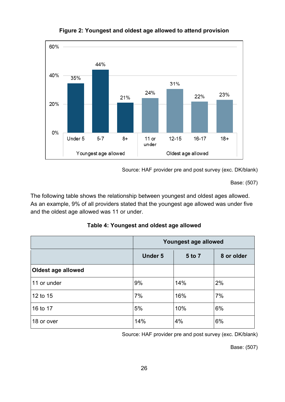<span id="page-25-0"></span>

#### **Figure 2: Youngest and oldest age allowed to attend provision**

Source: HAF provider pre and post survey (exc. DK/blank)

Base: (507)

The following table shows the relationship between youngest and oldest ages allowed. As an example, 9% of all providers stated that the youngest age allowed was under five and the oldest age allowed was 11 or under.

<span id="page-25-1"></span>

|                    | Youngest age allowed |        |            |
|--------------------|----------------------|--------|------------|
|                    | <b>Under 5</b>       | 5 to 7 | 8 or older |
| Oldest age allowed |                      |        |            |
| 11 or under        | 9%                   | 14%    | 2%         |
| 12 to 15           | 7%                   | 16%    | 7%         |
| 16 to 17           | 5%                   | 10%    | 6%         |
| 18 or over         | 14%                  | 4%     | 6%         |

Source: HAF provider pre and post survey (exc. DK/blank)

Base: (507)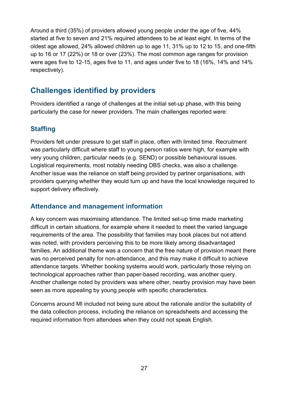Around a third (35%) of providers allowed young people under the age of five, 44% started at five to seven and 21% required attendees to be at least eight. In terms of the oldest age allowed, 24% allowed children up to age 11, 31% up to 12 to 15, and one-fifth up to 16 or 17 (22%) or 18 or over (23%). The most common age ranges for provision were ages five to 12-15, ages five to 11, and ages under five to 18 (16%, 14% and 14% respectively).

## <span id="page-26-0"></span>**Challenges identified by providers**

Providers identified a range of challenges at the initial set-up phase, with this being particularly the case for newer providers. The main challenges reported were:

#### **Staffing**

Providers felt under pressure to get staff in place, often with limited time. Recruitment was particularly difficult where staff to young person ratios were high, for example with very young children, particular needs (e.g. SEND) or possible behavioural issues. Logistical requirements, most notably needing DBS checks, was also a challenge. Another issue was the reliance on staff being provided by partner organisations, with providers querying whether they would turn up and have the local knowledge required to support delivery effectively.

#### **Attendance and management information**

A key concern was maximising attendance. The limited set-up time made marketing difficult in certain situations, for example where it needed to meet the varied language requirements of the area. The possibility that families may book places but not attend was noted, with providers perceiving this to be more likely among disadvantaged families. An additional theme was a concern that the free nature of provision meant there was no perceived penalty for non-attendance, and this may make it difficult to achieve attendance targets. Whether booking systems would work, particularly those relying on technological approaches rather than paper-based recording, was another query. Another challenge noted by providers was where other, nearby provision may have been seen as more appealing by young people with specific characteristics.

Concerns around MI included not being sure about the rationale and/or the suitability of the data collection process, including the reliance on spreadsheets and accessing the required information from attendees when they could not speak English.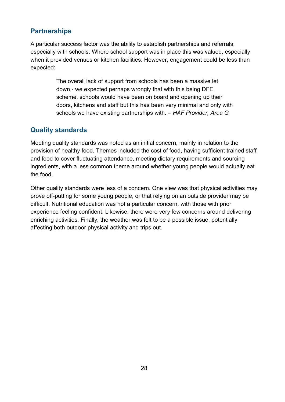## **Partnerships**

<span id="page-27-5"></span><span id="page-27-4"></span><span id="page-27-3"></span><span id="page-27-2"></span><span id="page-27-1"></span><span id="page-27-0"></span>A particular success factor was the ability to establish partnerships and referrals, especially with schools. Where school support was in place this was valued, especially when it provided venues or kitchen facilities. However, engagement could be less than expected:

> The overall lack of support from schools has been a massive let down - we expected perhaps wrongly that with this being DFE scheme, schools would have been on board and opening up their doors, kitchens and staff but this has been very minimal and only with schools we have existing partnerships with. *– HAF Provider, Area G*

#### <span id="page-27-12"></span><span id="page-27-11"></span><span id="page-27-10"></span><span id="page-27-9"></span><span id="page-27-8"></span><span id="page-27-7"></span><span id="page-27-6"></span>**Quality standards**

<span id="page-27-14"></span><span id="page-27-13"></span>Meeting quality standards was noted as an initial concern, mainly in relation to the provision of healthy food. Themes included the cost of food, having sufficient trained staff and food to cover fluctuating attendance, meeting dietary requirements and sourcing ingredients, with a less common theme around whether young people would actually eat the food.

Other quality standards were less of a concern. One view was that physical activities may prove off-putting for some young people, or that relying on an outside provider may be difficult. Nutritional education was not a particular concern, with those with prior experience feeling confident. Likewise, there were very few concerns around delivering enriching activities. Finally, the weather was felt to be a possible issue, potentially affecting both outdoor physical activity and trips out.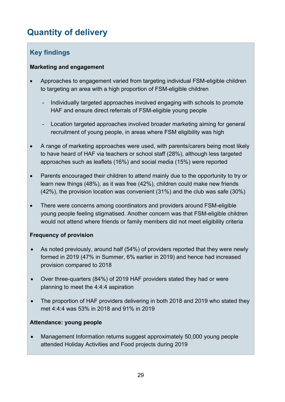# <span id="page-28-0"></span>**Quantity of delivery**

## **Key findings**

#### **Marketing and engagement**

- Approaches to engagement varied from targeting individual FSM-eligible children to targeting an area with a high proportion of FSM-eligible children
	- Individually targeted approaches involved engaging with schools to promote HAF and ensure direct referrals of FSM-eligible young people
	- Location targeted approaches involved broader marketing aiming for general recruitment of young people, in areas where FSM eligibility was high
- A range of marketing approaches were used, with parents/carers being most likely to have heard of HAF via teachers or school staff (28%), although less targeted approaches such as leaflets (16%) and social media (15%) were reported
- Parents encouraged their children to attend mainly due to the opportunity to try or learn new things (48%), as it was free (42%), children could make new friends (42%), the provision location was convenient (31%) and the club was safe (30%)
- There were concerns among coordinators and providers around FSM-eligible young people feeling stigmatised. Another concern was that FSM-eligible children would not attend where friends or family members did not meet eligibility criteria

#### **Frequency of provision**

- As noted previously, around half (54%) of providers reported that they were newly formed in 2019 (47% in Summer, 6% earlier in 2019) and hence had increased provision compared to 2018
- Over three-quarters (84%) of 2019 HAF providers stated they had or were planning to meet the 4:4:4 aspiration
- The proportion of HAF providers delivering in both 2018 and 2019 who stated they met 4:4:4 was 53% in 2018 and 91% in 2019

#### **Attendance: young people**

• Management Information returns suggest approximately 50,000 young people attended Holiday Activities and Food projects during 2019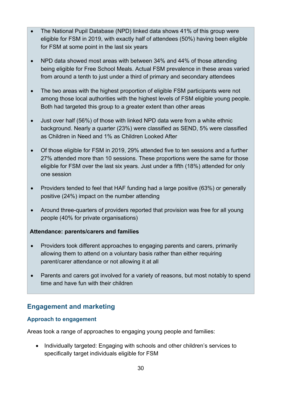- The National Pupil Database (NPD) linked data shows 41% of this group were eligible for FSM in 2019, with exactly half of attendees (50%) having been eligible for FSM at some point in the last six years
- NPD data showed most areas with between 34% and 44% of those attending being eligible for Free School Meals. Actual FSM prevalence in these areas varied from around a tenth to just under a third of primary and secondary attendees
- The two areas with the highest proportion of eligible FSM participants were not among those local authorities with the highest levels of FSM eligible young people. Both had targeted this group to a greater extent than other areas
- Just over half (56%) of those with linked NPD data were from a white ethnic background. Nearly a quarter (23%) were classified as SEND, 5% were classified as Children in Need and 1% as Children Looked After
- Of those eligible for FSM in 2019, 29% attended five to ten sessions and a further 27% attended more than 10 sessions. These proportions were the same for those eligible for FSM over the last six years. Just under a fifth (18%) attended for only one session
- Providers tended to feel that HAF funding had a large positive (63%) or generally positive (24%) impact on the number attending
- Around three-quarters of providers reported that provision was free for all young people (40% for private organisations)

#### **Attendance: parents/carers and families**

- Providers took different approaches to engaging parents and carers, primarily allowing them to attend on a voluntary basis rather than either requiring parent/carer attendance or not allowing it at all
- Parents and carers got involved for a variety of reasons, but most notably to spend time and have fun with their children

## **Engagement and marketing**

#### **Approach to engagement**

Areas took a range of approaches to engaging young people and families:

• Individually targeted: Engaging with schools and other children's services to specifically target individuals eligible for FSM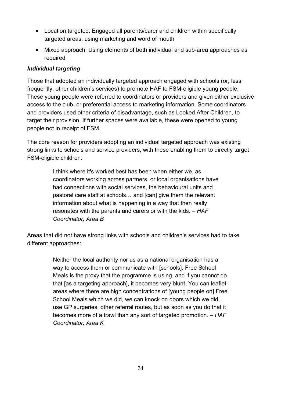- Location targeted: Engaged all parents/carer and children within specifically targeted areas, using marketing and word of mouth
- Mixed approach: Using elements of both individual and sub-area approaches as required

#### *Individual targeting*

Those that adopted an individually targeted approach engaged with schools (or, less frequently, other children's services) to promote HAF to FSM-eligible young people. These young people were referred to coordinators or providers and given either exclusive access to the club, or preferential access to marketing information. Some coordinators and providers used other criteria of disadvantage, such as Looked After Children, to target their provision. If further spaces were available, these were opened to young people not in receipt of FSM.

The core reason for providers adopting an individual targeted approach was existing strong links to schools and service providers, with these enabling them to directly target FSM-eligible children:

> I think where it's worked best has been when either we, as coordinators working across partners, or local organisations have had connections with social services, the behavioural units and pastoral care staff at schools… and [can] give them the relevant information about what is happening in a way that then really resonates with the parents and carers or with the kids. *– HAF Coordinator, Area B*

Areas that did not have strong links with schools and children's services had to take different approaches:

> Neither the local authority nor us as a national organisation has a way to access them or communicate with [schools]. Free School Meals is the proxy that the programme is using, and if you cannot do that [as a targeting approach], it becomes very blunt. You can leaflet areas where there are high concentrations of [young people on] Free School Meals which we did, we can knock on doors which we did, use GP surgeries, other referral routes, but as soon as you do that it becomes more of a trawl than any sort of targeted promotion. – *HAF Coordinator, Area K*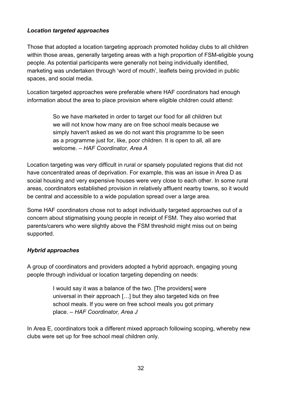#### *Location targeted approaches*

Those that adopted a location targeting approach promoted holiday clubs to all children within those areas, generally targeting areas with a high proportion of FSM-eligible young people. As potential participants were generally not being individually identified, marketing was undertaken through 'word of mouth', leaflets being provided in public spaces, and social media.

Location targeted approaches were preferable where HAF coordinators had enough information about the area to place provision where eligible children could attend:

> So we have marketed in order to target our food for all children but we will not know how many are on free school meals because we simply haven't asked as we do not want this programme to be seen as a programme just for, like, poor children. It is open to all, all are welcome. *– HAF Coordinator, Area A*

Location targeting was very difficult in rural or sparsely populated regions that did not have concentrated areas of deprivation. For example, this was an issue in Area D as social housing and very expensive houses were very close to each other. In some rural areas, coordinators established provision in relatively affluent nearby towns, so it would be central and accessible to a wide population spread over a large area.

Some HAF coordinators chose not to adopt individually targeted approaches out of a concern about stigmatising young people in receipt of FSM. They also worried that parents/carers who were slightly above the FSM threshold might miss out on being supported.

#### *Hybrid approaches*

A group of coordinators and providers adopted a hybrid approach, engaging young people through individual or location targeting depending on needs:

> I would say it was a balance of the two. [The providers] were universal in their approach […] but they also targeted kids on free school meals. If you were on free school meals you got primary place. *– HAF Coordinator, Area J*

In Area E, coordinators took a different mixed approach following scoping, whereby new clubs were set up for free school meal children only.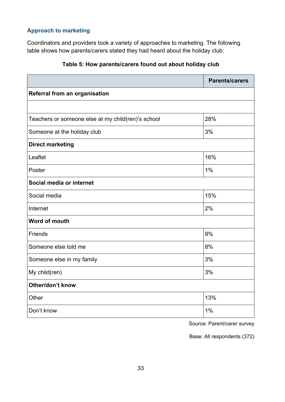#### **Approach to marketing**

Coordinators and providers took a variety of approaches to marketing. The following table shows how parents/carers stated they had heard about the holiday club:

<span id="page-32-0"></span>

|                                                    | <b>Parents/carers</b> |
|----------------------------------------------------|-----------------------|
| Referral from an organisation                      |                       |
|                                                    |                       |
| Teachers or someone else at my child(ren)'s school | 28%                   |
| Someone at the holiday club                        | 3%                    |
| <b>Direct marketing</b>                            |                       |
| Leaflet                                            | 16%                   |
| Poster                                             | 1%                    |
| Social media or internet                           |                       |
| Social media                                       | 15%                   |
| Internet                                           | 2%                    |
| Word of mouth                                      |                       |
| Friends                                            | 9%                    |
| Someone else told me                               | 8%                    |
| Someone else in my family                          | 3%                    |
| My child(ren)                                      | 3%                    |
| Other/don't know                                   |                       |
| Other                                              | 13%                   |
| Don't know                                         | 1%                    |

#### **Table 5: How parents/carers found out about holiday club**

Source: Parent/carer survey

Base: All respondents (372)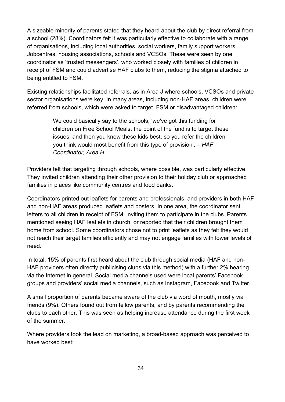A sizeable minority of parents stated that they heard about the club by direct referral from a school (28%). Coordinators felt it was particularly effective to collaborate with a range of organisations, including local authorities, social workers, family support workers, Jobcentres, housing associations, schools and VCSOs. These were seen by one coordinator as 'trusted messengers', who worked closely with families of children in receipt of FSM and could advertise HAF clubs to them, reducing the stigma attached to being entitled to FSM.

Existing relationships facilitated referrals, as in Area J where schools, VCSOs and private sector organisations were key. In many areas, including non-HAF areas, children were referred from schools, which were asked to target FSM or disadvantaged children:

> We could basically say to the schools, 'we've got this funding for children on Free School Meals, the point of the fund is to target these issues, and then you know these kids best, so you refer the children you think would most benefit from this type of provision'. – *HAF Coordinator, Area H*

Providers felt that targeting through schools, where possible, was particularly effective. They invited children attending their other provision to their holiday club or approached families in places like community centres and food banks.

Coordinators printed out leaflets for parents and professionals, and providers in both HAF and non-HAF areas produced leaflets and posters. In one area, the coordinator sent letters to all children in receipt of FSM, inviting them to participate in the clubs. Parents mentioned seeing HAF leaflets in church, or reported that their children brought them home from school. Some coordinators chose not to print leaflets as they felt they would not reach their target families efficiently and may not engage families with lower levels of need.

In total, 15% of parents first heard about the club through social media (HAF and non-HAF providers often directly publicising clubs via this method) with a further 2% hearing via the Internet in general. Social media channels used were local parents' Facebook groups and providers' social media channels, such as Instagram, Facebook and Twitter.

A small proportion of parents became aware of the club via word of mouth, mostly via friends (9%). Others found out from fellow parents, and by parents recommending the clubs to each other. This was seen as helping increase attendance during the first week of the summer.

Where providers took the lead on marketing, a broad-based approach was perceived to have worked best: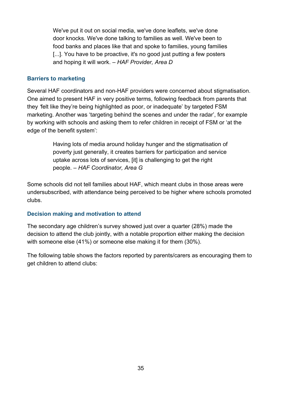We've put it out on social media, we've done leaflets, we've done door knocks. We've done talking to families as well. We've been to food banks and places like that and spoke to families, young families [...]. You have to be proactive, it's no good just putting a few posters and hoping it will work. – *HAF Provider, Area D*

#### **Barriers to marketing**

Several HAF coordinators and non-HAF providers were concerned about stigmatisation. One aimed to present HAF in very positive terms, following feedback from parents that they *'*felt like they're being highlighted as poor, or inadequate' by targeted FSM marketing. Another was 'targeting behind the scenes and under the radar', for example by working with schools and asking them to refer children in receipt of FSM or 'at the edge of the benefit system':

> Having lots of media around holiday hunger and the stigmatisation of poverty just generally, it creates barriers for participation and service uptake across lots of services, [it] is challenging to get the right people. – *HAF Coordinator, Area G*

Some schools did not tell families about HAF, which meant clubs in those areas were undersubscribed, with attendance being perceived to be higher where schools promoted clubs.

#### **Decision making and motivation to attend**

The secondary age children's survey showed just over a quarter (28%) made the decision to attend the club jointly, with a notable proportion either making the decision with someone else (41%) or someone else making it for them (30%).

The following table shows the factors reported by parents/carers as encouraging them to get children to attend clubs: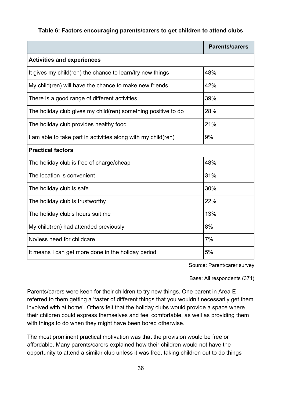#### <span id="page-35-0"></span>**Table 6: Factors encouraging parents/carers to get children to attend clubs**

|                                                               | <b>Parents/carers</b> |
|---------------------------------------------------------------|-----------------------|
| <b>Activities and experiences</b>                             |                       |
| It gives my child(ren) the chance to learn/try new things     | 48%                   |
| My child(ren) will have the chance to make new friends        | 42%                   |
| There is a good range of different activities                 | 39%                   |
| The holiday club gives my child(ren) something positive to do | 28%                   |
| The holiday club provides healthy food                        | 21%                   |
| I am able to take part in activities along with my child(ren) | 9%                    |
| <b>Practical factors</b>                                      |                       |
| The holiday club is free of charge/cheap                      | 48%                   |
| The location is convenient                                    | 31%                   |
| The holiday club is safe                                      | 30%                   |
| The holiday club is trustworthy                               | 22%                   |
| The holiday club's hours suit me                              | 13%                   |
| My child(ren) had attended previously                         | 8%                    |
| No/less need for childcare                                    | 7%                    |
| It means I can get more done in the holiday period            | 5%                    |

Source: Parent/carer survey

Base: All respondents (374)

Parents/carers were keen for their children to try new things. One parent in Area E referred to them getting a 'taster of different things that you wouldn't necessarily get them involved with at home'. Others felt that the holiday clubs would provide a space where their children could express themselves and feel comfortable, as well as providing them with things to do when they might have been bored otherwise.

The most prominent practical motivation was that the provision would be free or affordable. Many parents/carers explained how their children would not have the opportunity to attend a similar club unless it was free, taking children out to do things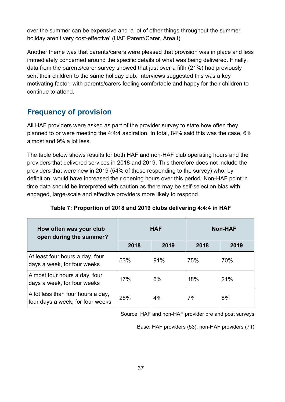over the summer can be expensive and 'a lot of other things throughout the summer holiday aren't very cost-effective' (HAF Parent/Carer, Area I).

Another theme was that parents/carers were pleased that provision was in place and less immediately concerned around the specific details of what was being delivered. Finally, data from the parents/carer survey showed that just over a fifth (21%) had previously sent their children to the same holiday club. Interviews suggested this was a key motivating factor, with parents/carers feeling comfortable and happy for their children to continue to attend.

## **Frequency of provision**

All HAF providers were asked as part of the provider survey to state how often they planned to or were meeting the 4:4:4 aspiration. In total, 84% said this was the case, 6% almost and 9% a lot less.

The table below shows results for both HAF and non-HAF club operating hours and the providers that delivered services in 2018 and 2019. This therefore does not include the providers that were new in 2019 (54% of those responding to the survey) who, by definition, would have increased their opening hours over this period. Non-HAF point in time data should be interpreted with caution as there may be self-selection bias with engaged, large-scale and effective providers more likely to respond.

| How often was your club<br>open during the summer?                    | <b>HAF</b> |      | <b>Non-HAF</b> |      |
|-----------------------------------------------------------------------|------------|------|----------------|------|
|                                                                       | 2018       | 2019 | 2018           | 2019 |
| At least four hours a day, four<br>days a week, for four weeks        | 53%        | 91%  | 75%            | 70%  |
| Almost four hours a day, four<br>days a week, for four weeks          | 17%        | 6%   | 18%            | 21%  |
| A lot less than four hours a day,<br>four days a week, for four weeks | 28%        | 4%   | 7%             | 8%   |

**Table 7: Proportion of 2018 and 2019 clubs delivering 4:4:4 in HAF**

Source: HAF and non-HAF provider pre and post surveys

Base: HAF providers (53), non-HAF providers (71)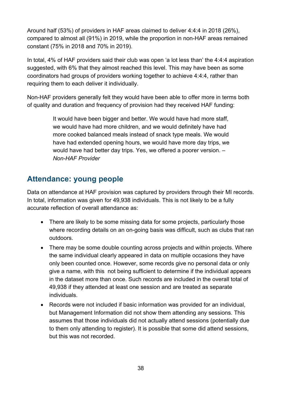Around half (53%) of providers in HAF areas claimed to deliver 4:4:4 in 2018 (26%), compared to almost all (91%) in 2019, while the proportion in non-HAF areas remained constant (75% in 2018 and 70% in 2019).

In total, 4% of HAF providers said their club was open 'a lot less than' the 4:4:4 aspiration suggested, with 6% that they almost reached this level. This may have been as some coordinators had groups of providers working together to achieve 4:4:4, rather than requiring them to each deliver it individually.

Non-HAF providers generally felt they would have been able to offer more in terms both of quality and duration and frequency of provision had they received HAF funding:

> It would have been bigger and better. We would have had more staff, we would have had more children, and we would definitely have had more cooked balanced meals instead of snack type meals. We would have had extended opening hours, we would have more day trips, we would have had better day trips. Yes, we offered a poorer version. – *Non-HAF Provider*

## **Attendance: young people**

Data on attendance at HAF provision was captured by providers through their MI records. In total, information was given for 49,938 individuals. This is not likely to be a fully accurate reflection of overall attendance as:

- There are likely to be some missing data for some projects, particularly those where recording details on an on-going basis was difficult, such as clubs that ran outdoors.
- There may be some double counting across projects and within projects. Where the same individual clearly appeared in data on multiple occasions they have only been counted once. However, some records give no personal data or only give a name, with this not being sufficient to determine if the individual appears in the dataset more than once. Such records are included in the overall total of 49,938 if they attended at least one session and are treated as separate individuals.
- Records were not included if basic information was provided for an individual, but Management Information did not show them attending any sessions. This assumes that those individuals did not actually attend sessions (potentially due to them only attending to register). It is possible that some did attend sessions, but this was not recorded.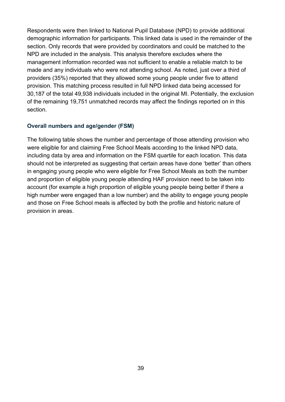Respondents were then linked to National Pupil Database (NPD) to provide additional demographic information for participants. This linked data is used in the remainder of the section. Only records that were provided by coordinators and could be matched to the NPD are included in the analysis. This analysis therefore excludes where the management information recorded was not sufficient to enable a reliable match to be made and any individuals who were not attending school. As noted, just over a third of providers (35%) reported that they allowed some young people under five to attend provision. This matching process resulted in full NPD linked data being accessed for 30,187 of the total 49,938 individuals included in the original MI. Potentially, the exclusion of the remaining 19,751 unmatched records may affect the findings reported on in this section.

#### **Overall numbers and age/gender (FSM)**

The following table shows the number and percentage of those attending provision who were eligible for and claiming Free School Meals according to the linked NPD data, including data by area and information on the FSM quartile for each location. This data should not be interpreted as suggesting that certain areas have done 'better' than others in engaging young people who were eligible for Free School Meals as both the number and proportion of eligible young people attending HAF provision need to be taken into account (for example a high proportion of eligible young people being better if there a high number were engaged than a low number) and the ability to engage young people and those on Free School meals is affected by both the profile and historic nature of provision in areas.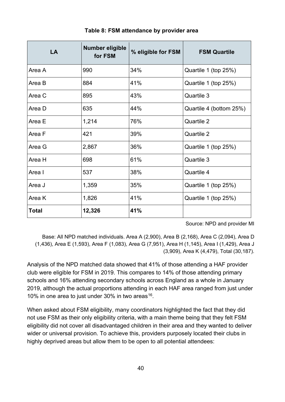| LA     | Number eligible<br>for FSM | % eligible for FSM | <b>FSM Quartile</b>     |
|--------|----------------------------|--------------------|-------------------------|
| Area A | 990                        | 34%                | Quartile 1 (top 25%)    |
| Area B | 884                        | 41%                | Quartile 1 (top 25%)    |
| Area C | 895                        | 43%                | Quartile 3              |
| Area D | 635                        | 44%                | Quartile 4 (bottom 25%) |
| Area E | 1,214                      | 76%                | Quartile 2              |
| Area F | 421                        | 39%                | Quartile 2              |
| Area G | 2,867                      | 36%                | Quartile 1 (top 25%)    |
| Area H | 698                        | 61%                | Quartile 3              |
| Area I | 537                        | 38%                | Quartile 4              |
| Area J | 1,359                      | 35%                | Quartile 1 (top 25%)    |
| Area K | 1,826                      | 41%                | Quartile 1 (top 25%)    |
| Total  | 12,326                     | 41%                |                         |

**Table 8: FSM attendance by provider area**

Source: NPD and provider MI

Base: All NPD matched individuals. Area A (2,900), Area B (2,168), Area C (2,094), Area D (1,436), Area E (1,593), Area F (1,083), Area G (7,951), Area H (1,145), Area I (1,429), Area J (3,909), Area K (4,479), Total (30,187).

Analysis of the NPD matched data showed that 41% of those attending a HAF provider club were eligible for FSM in 2019. This compares to 14% of those attending primary schools and 16% attending secondary schools across England as a whole in January 2019, although the actual proportions attending in each HAF area ranged from just under 10% in one area to just under 30% in two areas  $16$ .

When asked about FSM eligibility, many coordinators highlighted the fact that they did not use FSM as their only eligibility criteria, with a main theme being that they felt FSM eligibility did not cover all disadvantaged children in their area and they wanted to deliver wider or universal provision. To achieve this, providers purposely located their clubs in highly deprived areas but allow them to be open to all potential attendees: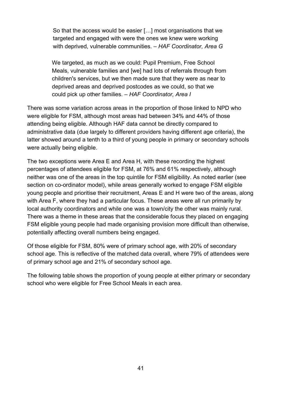So that the access would be easier […] most organisations that we targeted and engaged with were the ones we knew were working with deprived, vulnerable communities. – *HAF Coordinator, Area G*

We targeted, as much as we could: Pupil Premium, Free School Meals, vulnerable families and [we] had lots of referrals through from children's services, but we then made sure that they were as near to deprived areas and deprived postcodes as we could, so that we could pick up other families. – *HAF Coordinator, Area I*

There was some variation across areas in the proportion of those linked to NPD who were eligible for FSM, although most areas had between 34% and 44% of those attending being eligible. Although HAF data cannot be directly compared to administrative data (due largely to different providers having different age criteria), the latter showed around a tenth to a third of young people in primary or secondary schools were actually being eligible.

The two exceptions were Area E and Area H, with these recording the highest percentages of attendees eligible for FSM, at 76% and 61% respectively, although neither was one of the areas in the top quintile for FSM eligibility. As noted earlier (see section on co-ordinator model), while areas generally worked to engage FSM eligible young people and prioritise their recruitment, Areas E and H were two of the areas, along with Area F, where they had a particular focus. These areas were all run primarily by local authority coordinators and while one was a town/city the other was mainly rural. There was a theme in these areas that the considerable focus they placed on engaging FSM eligible young people had made organising provision more difficult than otherwise, potentially affecting overall numbers being engaged.

Of those eligible for FSM, 80% were of primary school age, with 20% of secondary school age. This is reflective of the matched data overall, where 79% of attendees were of primary school age and 21% of secondary school age.

The following table shows the proportion of young people at either primary or secondary school who were eligible for Free School Meals in each area.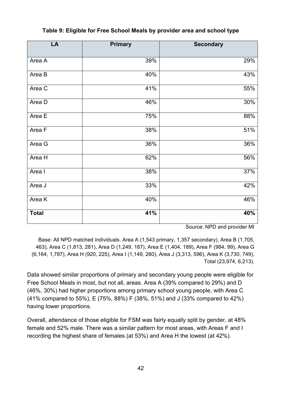| LA           | <b>Primary</b> | <b>Secondary</b> |
|--------------|----------------|------------------|
| Area A       | 39%            | 29%              |
| Area B       | 40%            | 43%              |
| Area C       | 41%            | 55%              |
| Area D       | 46%            | 30%              |
| Area E       | 75%            | 88%              |
| Area F       | 38%            | 51%              |
| Area G       | 36%            | 36%              |
| Area H       | 62%            | 56%              |
| Area I       | 38%            | 37%              |
| Area J       | 33%            | 42%              |
| Area K       | 40%            | 46%              |
| <b>Total</b> | 41%            | 40%              |

#### **Table 9: Eligible for Free School Meals by provider area and school type**

Source: NPD and provider MI

Base: All NPD matched individuals. Area A (1,543 primary, 1,357 secondary), Area B (1,705, 463), Area C (1,813, 281), Area D (1,249, 187), Area E (1,404, 189), Area F (984, 99), Area G (6,164, 1,787), Area H (920, 225), Area I (1,149, 280), Area J (3,313, 596), Area K (3,730, 749), Total (23,974, 6,213).

Data showed similar proportions of primary and secondary young people were eligible for Free School Meals in most, but not all, areas. Area A (39% compared to 29%) and D (46%, 30%) had higher proportions among primary school young people, with Area C (41% compared to 55%), E (75%, 88%) F (38%, 51%) and J (33% compared to 42%) having lower proportions.

Overall, attendance of those eligible for FSM was fairly equally split by gender, at 48% female and 52% male. There was a similar pattern for most areas, with Areas F and I recording the highest share of females (at 53%) and Area H the lowest (at 42%).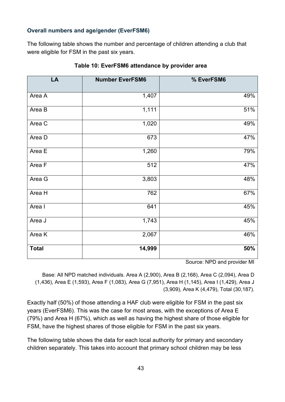#### **Overall numbers and age/gender (EverFSM6)**

The following table shows the number and percentage of children attending a club that were eligible for FSM in the past six years.

| LA           | <b>Number EverFSM6</b> | % EverFSM6 |
|--------------|------------------------|------------|
| Area A       | 1,407                  | 49%        |
| Area B       | 1,111                  | 51%        |
| Area C       | 1,020                  | 49%        |
| Area D       | 673                    | 47%        |
| Area E       | 1,260                  | 79%        |
| Area F       | 512                    | 47%        |
| Area G       | 3,803                  | 48%        |
| Area H       | 762                    | 67%        |
| Area I       | 641                    | 45%        |
| Area J       | 1,743                  | 45%        |
| Area K       | 2,067                  | 46%        |
| <b>Total</b> | 14,999                 | 50%        |

#### **Table 10: EverFSM6 attendance by provider area**

Source: NPD and provider MI

Base: All NPD matched individuals. Area A (2,900), Area B (2,168), Area C (2,094), Area D (1,436), Area E (1,593), Area F (1,083), Area G (7,951), Area H (1,145), Area I (1,429), Area J (3,909), Area K (4,479), Total (30,187).

Exactly half (50%) of those attending a HAF club were eligible for FSM in the past six years (EverFSM6). This was the case for most areas, with the exceptions of Area E (79%) and Area H (67%), which as well as having the highest share of those eligible for FSM, have the highest shares of those eligible for FSM in the past six years.

The following table shows the data for each local authority for primary and secondary children separately. This takes into account that primary school children may be less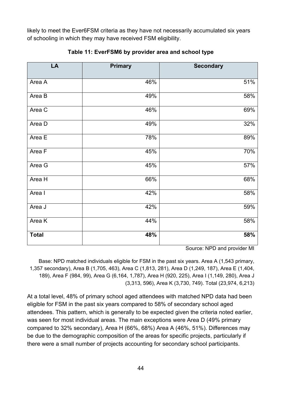likely to meet the Ever6FSM criteria as they have not necessarily accumulated six years of schooling in which they may have received FSM eligibility.

| LA           | <b>Primary</b> | <b>Secondary</b> |
|--------------|----------------|------------------|
|              |                |                  |
| Area A       | 46%            | 51%              |
| Area B       | 49%            | 58%              |
| Area C       | 46%            | 69%              |
| Area D       | 49%            | 32%              |
| Area E       | 78%            | 89%              |
| Area F       | 45%            | 70%              |
| Area G       | 45%            | 57%              |
| Area H       | 66%            | 68%              |
| Area I       | 42%            | 58%              |
| Area J       | 42%            | 59%              |
| Area K       | 44%            | 58%              |
| <b>Total</b> | 48%            | 58%              |

**Table 11: EverFSM6 by provider area and school type**

Source: NPD and provider MI

Base: NPD matched individuals eligible for FSM in the past six years. Area A (1,543 primary, 1,357 secondary), Area B (1,705, 463), Area C (1,813, 281), Area D (1,249, 187), Area E (1,404, 189), Area F (984, 99), Area G (6,164, 1,787), Area H (920, 225), Area I (1,149, 280), Area J (3,313, 596), Area K (3,730, 749). Total (23,974, 6,213)

At a total level, 48% of primary school aged attendees with matched NPD data had been eligible for FSM in the past six years compared to 58% of secondary school aged attendees. This pattern, which is generally to be expected given the criteria noted earlier, was seen for most individual areas. The main exceptions were Area D (49% primary compared to 32% secondary), Area H (66%, 68%) Area A (46%, 51%). Differences may be due to the demographic composition of the areas for specific projects, particularly if there were a small number of projects accounting for secondary school participants.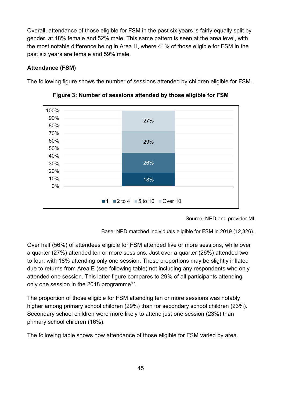Overall, attendance of those eligible for FSM in the past six years is fairly equally split by gender, at 48% female and 52% male. This same pattern is seen at the area level, with the most notable difference being in Area H, where 41% of those eligible for FSM in the past six years are female and 59% male.

## **Attendance (FSM)**

The following figure shows the number of sessions attended by children eligible for FSM.



**Figure 3: Number of sessions attended by those eligible for FSM**

Source: NPD and provider MI

Base: NPD matched individuals eligible for FSM in 2019 (12,326).

Over half (56%) of attendees eligible for FSM attended five or more sessions, while over a quarter (27%) attended ten or more sessions. Just over a quarter (26%) attended two to four, with 18% attending only one session. These proportions may be slightly inflated due to returns from Area E (see following table) not including any respondents who only attended one session. This latter figure compares to 29% of all participants attending only one session in the 2018 programme<sup>17</sup>.

The proportion of those eligible for FSM attending ten or more sessions was notably higher among primary school children (29%) than for secondary school children (23%). Secondary school children were more likely to attend just one session (23%) than primary school children (16%).

The following table shows how attendance of those eligible for FSM varied by area.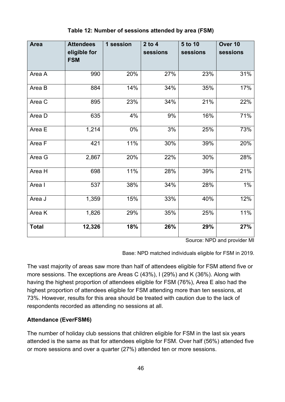| <b>Area</b>  | <b>Attendees</b>           | 1 session | $2$ to $4$ | 5 to 10  | Over 10  |
|--------------|----------------------------|-----------|------------|----------|----------|
|              | eligible for<br><b>FSM</b> |           | sessions   | sessions | sessions |
|              |                            |           |            |          |          |
| Area A       | 990                        | 20%       | 27%        | 23%      | 31%      |
| Area B       | 884                        | 14%       | 34%        | 35%      | 17%      |
| Area C       | 895                        | 23%       | 34%        | 21%      | 22%      |
| Area D       | 635                        | 4%        | 9%         | 16%      | 71%      |
| Area E       | 1,214                      | 0%        | 3%         | 25%      | 73%      |
| Area F       | 421                        | 11%       | 30%        | 39%      | 20%      |
| Area G       | 2,867                      | 20%       | 22%        | 30%      | 28%      |
| Area H       | 698                        | 11%       | 28%        | 39%      | 21%      |
| Area I       | 537                        | 38%       | 34%        | 28%      | $1\%$    |
| Area J       | 1,359                      | 15%       | 33%        | 40%      | 12%      |
| Area K       | 1,826                      | 29%       | 35%        | 25%      | 11%      |
| <b>Total</b> | 12,326                     | 18%       | 26%        | 29%      | 27%      |

#### **Table 12: Number of sessions attended by area (FSM)**

Source: NPD and provider MI

Base: NPD matched individuals eligible for FSM in 2019.

The vast majority of areas saw more than half of attendees eligible for FSM attend five or more sessions. The exceptions are Areas C (43%), I (29%) and K (36%). Along with having the highest proportion of attendees eligible for FSM (76%), Area E also had the highest proportion of attendees eligible for FSM attending more than ten sessions, at 73%. However, results for this area should be treated with caution due to the lack of respondents recorded as attending no sessions at all.

#### **Attendance (EverFSM6)**

The number of holiday club sessions that children eligible for FSM in the last six years attended is the same as that for attendees eligible for FSM. Over half (56%) attended five or more sessions and over a quarter (27%) attended ten or more sessions.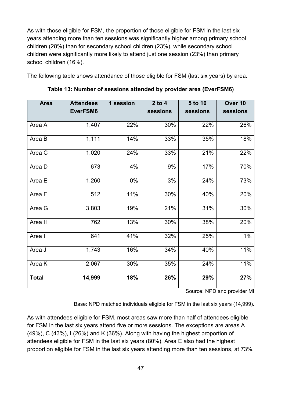As with those eligible for FSM, the proportion of those eligible for FSM in the last six years attending more than ten sessions was significantly higher among primary school children (28%) than for secondary school children (23%), while secondary school children were significantly more likely to attend just one session (23%) than primary school children (16%).

The following table shows attendance of those eligible for FSM (last six years) by area.

| <b>Area</b>  | <b>Attendees</b><br>EverFSM6 | 1 session | $2$ to 4<br>sessions | 5 to 10<br>sessions | Over 10<br>sessions |
|--------------|------------------------------|-----------|----------------------|---------------------|---------------------|
| Area A       | 1,407                        | 22%       | 30%                  | 22%                 | 26%                 |
| Area B       | 1,111                        | 14%       | 33%                  | 35%                 | 18%                 |
| Area C       | 1,020                        | 24%       | 33%                  | 21%                 | 22%                 |
| Area D       | 673                          | 4%        | 9%                   | 17%                 | 70%                 |
| Area E       | 1,260                        | 0%        | 3%                   | 24%                 | 73%                 |
| Area F       | 512                          | 11%       | 30%                  | 40%                 | 20%                 |
| Area G       | 3,803                        | 19%       | 21%                  | 31%                 | 30%                 |
| Area H       | 762                          | 13%       | 30%                  | 38%                 | 20%                 |
| Area I       | 641                          | 41%       | 32%                  | 25%                 | $1\%$               |
| Area J       | $\overline{1,743}$           | 16%       | 34%                  | 40%                 | 11%                 |
| Area K       | 2,067                        | 30%       | 35%                  | 24%                 | 11%                 |
| <b>Total</b> | 14,999                       | 18%       | 26%                  | 29%                 | 27%                 |

**Table 13: Number of sessions attended by provider area (EverFSM6)**

Source: NPD and provider MI

Base: NPD matched individuals eligible for FSM in the last six years (14,999).

As with attendees eligible for FSM, most areas saw more than half of attendees eligible for FSM in the last six years attend five or more sessions. The exceptions are areas A (49%), C (43%), I (26%) and K (36%). Along with having the highest proportion of attendees eligible for FSM in the last six years (80%), Area E also had the highest proportion eligible for FSM in the last six years attending more than ten sessions, at 73%.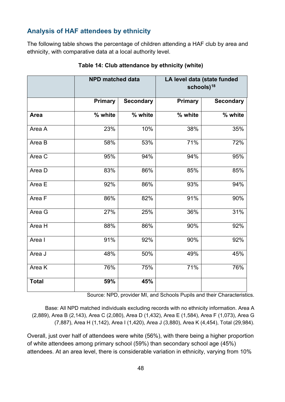## **Analysis of HAF attendees by ethnicity**

The following table shows the percentage of children attending a HAF club by area and ethnicity, with comparative data at a local authority level.

|              | <b>NPD matched data</b> |                  | LA level data (state funded<br>schools) <sup>18</sup> |                  |
|--------------|-------------------------|------------------|-------------------------------------------------------|------------------|
|              | <b>Primary</b>          | <b>Secondary</b> | Primary                                               | <b>Secondary</b> |
| Area         | % white                 | $\sqrt{9}$ white | % white                                               | $\sqrt{9}$ white |
| Area A       | 23%                     | 10%              | 38%                                                   | 35%              |
| Area B       | 58%                     | 53%              | 71%                                                   | 72%              |
| Area C       | 95%                     | 94%              | 94%                                                   | 95%              |
| Area D       | 83%                     | 86%              | 85%                                                   | 85%              |
| Area E       | 92%                     | 86%              | 93%                                                   | 94%              |
| Area F       | 86%                     | 82%              | 91%                                                   | 90%              |
| Area G       | 27%                     | 25%              | 36%                                                   | 31%              |
| Area H       | 88%                     | 86%              | 90%                                                   | 92%              |
| Area I       | 91%                     | 92%              | 90%                                                   | 92%              |
| Area J       | 48%                     | 50%              | 49%                                                   | 45%              |
| Area K       | 76%                     | 75%              | 71%                                                   | 76%              |
| <b>Total</b> | 59%                     | 45%              |                                                       |                  |

#### **Table 14: Club attendance by ethnicity (white)**

Source: NPD, provider MI, and Schools Pupils and their Characteristics.

Base: All NPD matched individuals excluding records with no ethnicity information. Area A (2,889), Area B (2,143), Area C (2,080), Area D (1,432), Area E (1,584), Area F (1,073), Area G (7,887), Area H (1,142), Area I (1,420), Area J (3,880), Area K (4,454), Total (29,984).

Overall, just over half of attendees were white (56%), with there being a higher proportion of white attendees among primary school (59%) than secondary school age (45%) attendees. At an area level, there is considerable variation in ethnicity, varying from 10%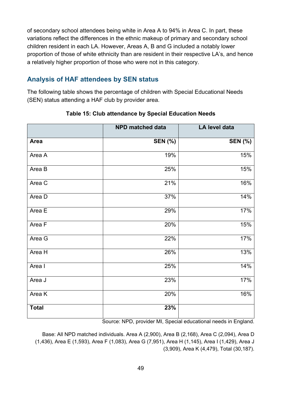of secondary school attendees being white in Area A to 94% in Area C. In part, these variations reflect the differences in the ethnic makeup of primary and secondary school children resident in each LA. However, Areas A, B and G included a notably lower proportion of those of white ethnicity than are resident in their respective LA's, and hence a relatively higher proportion of those who were not in this category.

## **Analysis of HAF attendees by SEN status**

The following table shows the percentage of children with Special Educational Needs (SEN) status attending a HAF club by provider area.

|              | <b>NPD matched data</b> | LA level data  |
|--------------|-------------------------|----------------|
| Area         | <b>SEN (%)</b>          | <b>SEN (%)</b> |
| Area A       | 19%                     | 15%            |
| Area B       | 25%                     | 15%            |
| Area C       | 21%                     | 16%            |
| Area D       | 37%                     | 14%            |
| Area E       | 29%                     | 17%            |
| Area F       | 20%                     | 15%            |
| Area G       | 22%                     | 17%            |
| Area H       | 26%                     | 13%            |
| Area I       | 25%                     | 14%            |
| Area J       | 23%                     | 17%            |
| Area K       | 20%                     | 16%            |
| <b>Total</b> | 23%                     |                |

### **Table 15: Club attendance by Special Education Needs**

Source: NPD, provider MI, Special educational needs in England.

Base: All NPD matched individuals. Area A (2,900), Area B (2,168), Area C (2,094), Area D (1,436), Area E (1,593), Area F (1,083), Area G (7,951), Area H (1,145), Area I (1,429), Area J (3,909), Area K (4,479), Total (30,187).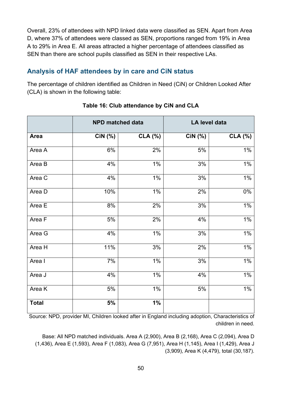Overall, 23% of attendees with NPD linked data were classified as SEN. Apart from Area D, where 37% of attendees were classed as SEN, proportions ranged from 19% in Area A to 29% in Area E. All areas attracted a higher percentage of attendees classified as SEN than there are school pupils classified as SEN in their respective LAs.

## **Analysis of HAF attendees by in care and CiN status**

The percentage of children identified as Children in Need (CiN) or Children Looked After (CLA) is shown in the following table:

| <b>NPD matched data</b> |         |         | LA level data |                |
|-------------------------|---------|---------|---------------|----------------|
| <b>Area</b>             | CiN (%) | CLA (%) | CiN (%)       | <b>CLA (%)</b> |
| Area A                  | 6%      | 2%      | $5\%$         | $1\%$          |
| Area B                  | 4%      | $1\%$   | 3%            | $1\%$          |
| Area C                  | 4%      | $1\%$   | 3%            | $1\%$          |
| Area D                  | 10%     | $1\%$   | 2%            | $0\%$          |
| Area E                  | 8%      | 2%      | $3%$          | $1\%$          |
| Area F                  | 5%      | 2%      | 4%            | $1\%$          |
| Area G                  | 4%      | 1%      | 3%            | $1\%$          |
| Area H                  | 11%     | 3%      | 2%            | $1\%$          |
| Area I                  | 7%      | $1\%$   | 3%            | $1\%$          |
| Area J                  | 4%      | 1%      | 4%            | $1\%$          |
| Area K                  | 5%      | $1\%$   | 5%            | $1\%$          |
| <b>Total</b>            | 5%      | 1%      |               |                |

#### **Table 16: Club attendance by CiN and CLA**

Source: NPD, provider MI, Children looked after in England including adoption, Characteristics of children in need.

Base: All NPD matched individuals. Area A (2,900), Area B (2,168), Area C (2,094), Area D (1,436), Area E (1,593), Area F (1,083), Area G (7,951), Area H (1,145), Area I (1,429), Area J (3,909), Area K (4,479), total (30,187).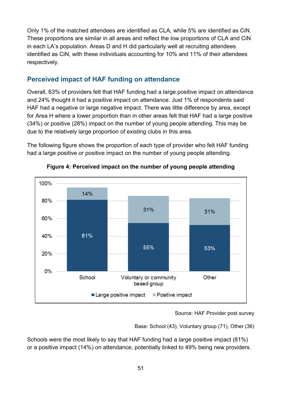Only 1% of the matched attendees are identified as CLA, while 5% are identified as CiN. These proportions are similar in all areas and reflect the low proportions of CLA and CiN in each LA's population. Areas D and H did particularly well at recruiting attendees identified as CiN, with these individuals accounting for 10% and 11% of their attendees respectively.

### **Perceived impact of HAF funding on attendance**

Overall, 63% of providers felt that HAF funding had a large positive impact on attendance and 24% thought it had a positive impact on attendance. Just 1% of respondents said HAF had a negative or large negative impact. There was little difference by area, except for Area H where a lower proportion than in other areas felt that HAF had a large positive (34%) or positive (28%) impact on the number of young people attending. This may be due to the relatively large proportion of existing clubs in this area.

The following figure shows the proportion of each type of provider who felt HAF funding had a large positive or positive impact on the number of young people attending.



**Figure 4: Perceived impact on the number of young people attending**

Source: HAF Provider post survey

Base: School (43), Voluntary group (71), Other (36)

Schools were the most likely to say that HAF funding had a large positive impact (81%) or a positive impact (14%) on attendance, potentially linked to 49% being new providers.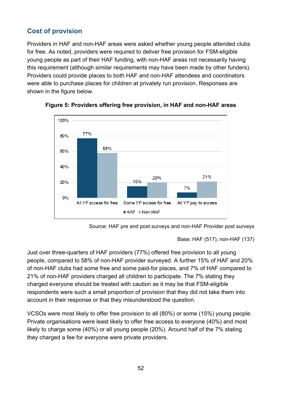## **Cost of provision**

Providers in HAF and non-HAF areas were asked whether young people attended clubs for free. As noted, providers were required to deliver free provision for FSM-eligible young people as part of their HAF funding, with non-HAF areas not necessarily having this requirement (although similar requirements may have been made by other funders). Providers could provide places to both HAF and non-HAF attendees and coordinators were able to purchase places for children at privately run provision. Responses are shown in the figure below.







```
Base: HAF (517), non-HAF (137)
```
Just over three-quarters of HAF providers (77%) offered free provision to all young people, compared to 58% of non-HAF provider surveyed. A further 15% of HAF and 20% of non-HAF clubs had some free and some paid-for places, and 7% of HAF compared to 21% of non-HAF providers charged all children to participate. The 7% stating they charged everyone should be treated with caution as it may be that FSM-eligible respondents were such a small proportion of provision that they did not take them into account in their response or that they misunderstood the question.

VCSOs were most likely to offer free provision to all (80%) or some (15%) young people. Private organisations were least likely to offer free access to everyone (40%) and most likely to charge some (40%) or all young people (20%). Around half of the 7% stating they charged a fee for everyone were private providers.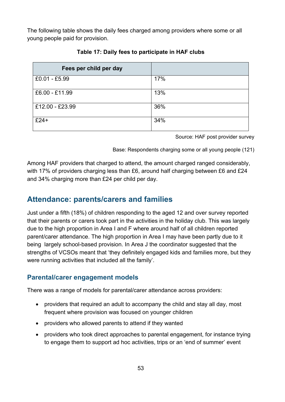The following table shows the daily fees charged among providers where some or all young people paid for provision.

| Fees per child per day |     |
|------------------------|-----|
| £0.01 - £5.99          | 17% |
| £6.00 - £11.99         | 13% |
| £12.00 - £23.99        | 36% |
| $£24+$                 | 34% |

**Table 17: Daily fees to participate in HAF clubs**

Source: HAF post provider survey

Base: Respondents charging some or all young people (121)

Among HAF providers that charged to attend, the amount charged ranged considerably, with 17% of providers charging less than £6, around half charging between £6 and £24 and 34% charging more than £24 per child per day.

## **Attendance: parents/carers and families**

Just under a fifth (18%) of children responding to the aged 12 and over survey reported that their parents or carers took part in the activities in the holiday club. This was largely due to the high proportion in Area I and F where around half of all children reported parent/carer attendance. The high proportion in Area I may have been partly due to it being largely school-based provision. In Area J the coordinator suggested that the strengths of VCSOs meant that 'they definitely engaged kids and families more, but they were running activities that included all the family'.

## **Parental/carer engagement models**

There was a range of models for parental/carer attendance across providers:

- providers that required an adult to accompany the child and stay all day, most frequent where provision was focused on younger children
- providers who allowed parents to attend if they wanted
- providers who took direct approaches to parental engagement, for instance trying to engage them to support ad hoc activities, trips or an 'end of summer' event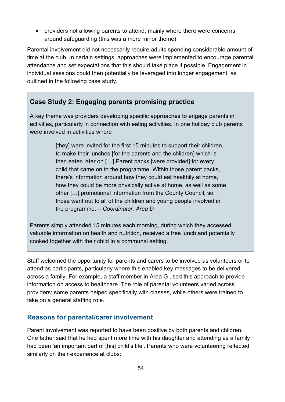• providers not allowing parents to attend, mainly where there were concerns around safeguarding (this was a more minor theme)

Parental involvement did not necessarily require adults spending considerable amount of time at the club. In certain settings, approaches were implemented to encourage parental attendance and set expectations that this should take place if possible. Engagement in individual sessions could then potentially be leveraged into longer engagement, as outlined in the following case study.

## **Case Study 2: Engaging parents promising practice**

A key theme was providers developing specific approaches to engage parents in activities, particularly in connection with eating activities. In one holiday club parents were involved in activities where

> [they] were invited for the first 15 minutes to support their children, to make their lunches [for the parents and the children] which is then eaten later on […] Parent packs [were provided] for every child that came on to the programme. Within those parent packs, there's information around how they could eat healthily at home, how they could be more physically active at home, as well as some other […] promotional information from the County Council, so those went out to all of the children and young people involved in the programme. *– Coordinator, Area D*

Parents simply attended 15 minutes each morning, during which they accessed valuable information on health and nutrition, received a free lunch and potentially cooked together with their child in a communal setting.

Staff welcomed the opportunity for parents and carers to be involved as volunteers or to attend as participants, particularly where this enabled key messages to be delivered across a family. For example, a staff member in Area G used this approach to provide information on access to healthcare. The role of parental volunteers varied across providers: some parents helped specifically with classes, while others were trained to take on a general staffing role.

## **Reasons for parental/carer involvement**

Parent involvement was reported to have been positive by both parents and children. One father said that he had spent more time with his daughter and attending as a family had been 'an important part of [his] child's life'. Parents who were volunteering reflected similarly on their experience at clubs: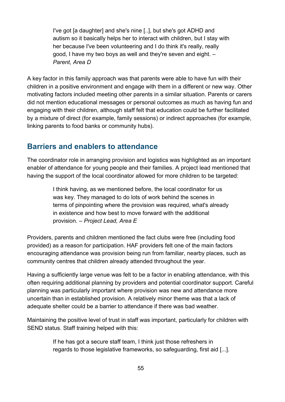I've got [a daughter] and she's nine [..], but she's got ADHD and autism so it basically helps her to interact with children, but I stay with her because I've been volunteering and I do think it's really, really good, I have my two boys as well and they're seven and eight. *– Parent, Area D*

A key factor in this family approach was that parents were able to have fun with their children in a positive environment and engage with them in a different or new way. Other motivating factors included meeting other parents in a similar situation. Parents or carers did not mention educational messages or personal outcomes as much as having fun and engaging with their children, although staff felt that education could be further facilitated by a mixture of direct (for example, family sessions) or indirect approaches (for example, linking parents to food banks or community hubs).

## **Barriers and enablers to attendance**

The coordinator role in arranging provision and logistics was highlighted as an important enabler of attendance for young people and their families. A project lead mentioned that having the support of the local coordinator allowed for more children to be targeted:

> I think having, as we mentioned before, the local coordinator for us was key. They managed to do lots of work behind the scenes in terms of pinpointing where the provision was required, what's already in existence and how best to move forward with the additional provision. – *Project Lead, Area E*

Providers, parents and children mentioned the fact clubs were free (including food provided) as a reason for participation. HAF providers felt one of the main factors encouraging attendance was provision being run from familiar, nearby places, such as community centres that children already attended throughout the year.

Having a sufficiently large venue was felt to be a factor in enabling attendance, with this often requiring additional planning by providers and potential coordinator support. Careful planning was particularly important where provision was new and attendance more uncertain than in established provision. A relatively minor theme was that a lack of adequate shelter could be a barrier to attendance if there was bad weather.

Maintaining the positive level of trust in staff was important, particularly for children with SEND status. Staff training helped with this:

> If he has got a secure staff team, I think just those refreshers in regards to those legislative frameworks, so safeguarding, first aid [...].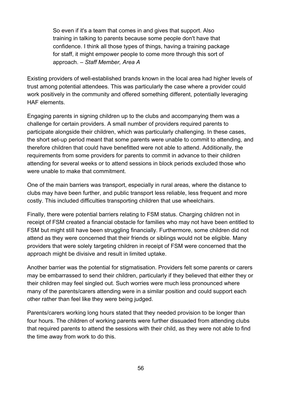So even if it's a team that comes in and gives that support. Also training in talking to parents because some people don't have that confidence. I think all those types of things, having a training package for staff, it might empower people to come more through this sort of approach. – *Staff Member, Area A*

Existing providers of well-established brands known in the local area had higher levels of trust among potential attendees. This was particularly the case where a provider could work positively in the community and offered something different, potentially leveraging HAF elements.

Engaging parents in signing children up to the clubs and accompanying them was a challenge for certain providers. A small number of providers required parents to participate alongside their children, which was particularly challenging. In these cases, the short set-up period meant that some parents were unable to commit to attending, and therefore children that could have benefitted were not able to attend. Additionally, the requirements from some providers for parents to commit in advance to their children attending for several weeks or to attend sessions in block periods excluded those who were unable to make that commitment.

One of the main barriers was transport, especially in rural areas, where the distance to clubs may have been further, and public transport less reliable, less frequent and more costly. This included difficulties transporting children that use wheelchairs.

Finally, there were potential barriers relating to FSM status. Charging children not in receipt of FSM created a financial obstacle for families who may not have been entitled to FSM but might still have been struggling financially. Furthermore, some children did not attend as they were concerned that their friends or siblings would not be eligible. Many providers that were solely targeting children in receipt of FSM were concerned that the approach might be divisive and result in limited uptake.

Another barrier was the potential for stigmatisation. Providers felt some parents or carers may be embarrassed to send their children, particularly if they believed that either they or their children may feel singled out. Such worries were much less pronounced where many of the parents/carers attending were in a similar position and could support each other rather than feel like they were being judged.

Parents/carers working long hours stated that they needed provision to be longer than four hours. The children of working parents were further dissuaded from attending clubs that required parents to attend the sessions with their child, as they were not able to find the time away from work to do this.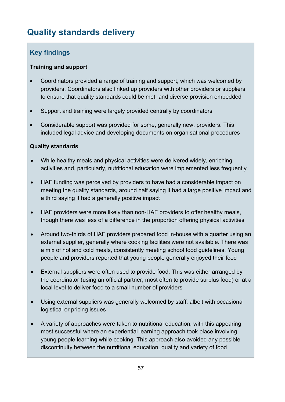# **Quality standards delivery**

## **Key findings**

### **Training and support**

- Coordinators provided a range of training and support, which was welcomed by providers. Coordinators also linked up providers with other providers or suppliers to ensure that quality standards could be met, and diverse provision embedded
- Support and training were largely provided centrally by coordinators
- Considerable support was provided for some, generally new, providers. This included legal advice and developing documents on organisational procedures

### **Quality standards**

- While healthy meals and physical activities were delivered widely, enriching activities and, particularly, nutritional education were implemented less frequently
- HAF funding was perceived by providers to have had a considerable impact on meeting the quality standards, around half saying it had a large positive impact and a third saying it had a generally positive impact
- HAF providers were more likely than non-HAF providers to offer healthy meals, though there was less of a difference in the proportion offering physical activities
- Around two-thirds of HAF providers prepared food in-house with a quarter using an external supplier, generally where cooking facilities were not available. There was a mix of hot and cold meals, consistently meeting school food guidelines. Young people and providers reported that young people generally enjoyed their food
- External suppliers were often used to provide food. This was either arranged by the coordinator (using an official partner, most often to provide surplus food) or at a local level to deliver food to a small number of providers
- Using external suppliers was generally welcomed by staff, albeit with occasional logistical or pricing issues
- A variety of approaches were taken to nutritional education, with this appearing most successful where an experiential learning approach took place involving young people learning while cooking. This approach also avoided any possible discontinuity between the nutritional education, quality and variety of food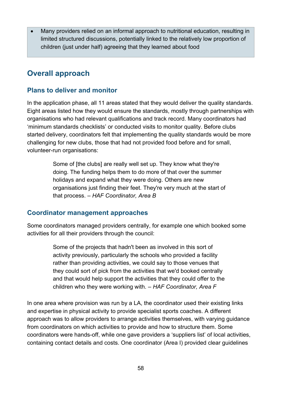• Many providers relied on an informal approach to nutritional education, resulting in limited structured discussions, potentially linked to the relatively low proportion of children (just under half) agreeing that they learned about food

## **Overall approach**

## **Plans to deliver and monitor**

In the application phase, all 11 areas stated that they would deliver the quality standards. Eight areas listed how they would ensure the standards, mostly through partnerships with organisations who had relevant qualifications and track record. Many coordinators had 'minimum standards checklists' or conducted visits to monitor quality. Before clubs started delivery, coordinators felt that implementing the quality standards would be more challenging for new clubs, those that had not provided food before and for small, volunteer-run organisations:

> Some of [the clubs] are really well set up. They know what they're doing. The funding helps them to do more of that over the summer holidays and expand what they were doing. Others are new organisations just finding their feet. They're very much at the start of that process. – *HAF Coordinator, Area B*

## **Coordinator management approaches**

Some coordinators managed providers centrally, for example one which booked some activities for all their providers through the council:

> Some of the projects that hadn't been as involved in this sort of activity previously, particularly the schools who provided a facility rather than providing activities, we could say to those venues that they could sort of pick from the activities that we'd booked centrally and that would help support the activities that they could offer to the children who they were working with. – *HAF Coordinator, Area F*

In one area where provision was run by a LA, the coordinator used their existing links and expertise in physical activity to provide specialist sports coaches. A different approach was to allow providers to arrange activities themselves, with varying guidance from coordinators on which activities to provide and how to structure them. Some coordinators were hands-off, while one gave providers a 'suppliers list' of local activities, containing contact details and costs. One coordinator (Area I) provided clear guidelines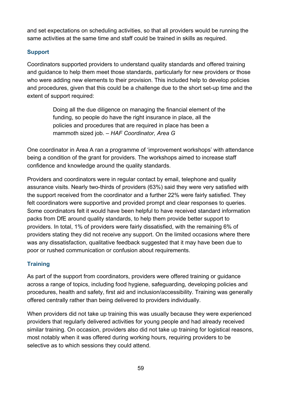and set expectations on scheduling activities, so that all providers would be running the same activities at the same time and staff could be trained in skills as required.

## **Support**

Coordinators supported providers to understand quality standards and offered training and guidance to help them meet those standards, particularly for new providers or those who were adding new elements to their provision. This included help to develop policies and procedures, given that this could be a challenge due to the short set-up time and the extent of support required:

> Doing all the due diligence on managing the financial element of the funding, so people do have the right insurance in place, all the policies and procedures that are required in place has been a mammoth sized job. – *HAF Coordinator, Area G*

One coordinator in Area A ran a programme of 'improvement workshops' with attendance being a condition of the grant for providers. The workshops aimed to increase staff confidence and knowledge around the quality standards.

Providers and coordinators were in regular contact by email, telephone and quality assurance visits. Nearly two-thirds of providers (63%) said they were very satisfied with the support received from the coordinator and a further 22% were fairly satisfied. They felt coordinators were supportive and provided prompt and clear responses to queries. Some coordinators felt it would have been helpful to have received standard information packs from DfE around quality standards, to help them provide better support to providers. In total, 1% of providers were fairly dissatisfied, with the remaining 6% of providers stating they did not receive any support. On the limited occasions where there was any dissatisfaction, qualitative feedback suggested that it may have been due to poor or rushed communication or confusion about requirements.

## **Training**

As part of the support from coordinators, providers were offered training or guidance across a range of topics, including food hygiene, safeguarding, developing policies and procedures, health and safety, first aid and inclusion/accessibility. Training was generally offered centrally rather than being delivered to providers individually.

When providers did not take up training this was usually because they were experienced providers that regularly delivered activities for young people and had already received similar training. On occasion, providers also did not take up training for logistical reasons, most notably when it was offered during working hours, requiring providers to be selective as to which sessions they could attend.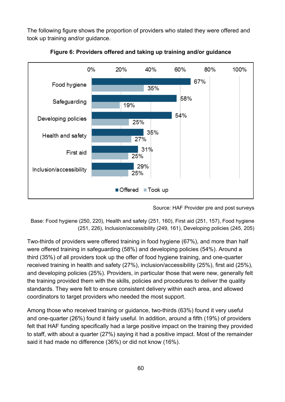The following figure shows the proportion of providers who stated they were offered and took up training and/or guidance.



**Figure 6: Providers offered and taking up training and/or guidance**

Source: HAF Provider pre and post surveys

Base: Food hygiene (250, 220), Health and safety (251, 160), First aid (251, 157), Food hygiene (251, 226), Inclusion/accessibility (249, 161), Developing policies (245, 205)

Two-thirds of providers were offered training in food hygiene (67%), and more than half were offered training in safeguarding (58%) and developing policies (54%). Around a third (35%) of all providers took up the offer of food hygiene training, and one-quarter received training in health and safety (27%), inclusion/accessibility (25%), first aid (25%), and developing policies (25%). Providers, in particular those that were new, generally felt the training provided them with the skills, policies and procedures to deliver the quality standards. They were felt to ensure consistent delivery within each area, and allowed coordinators to target providers who needed the most support.

Among those who received training or guidance, two-thirds (63%) found it very useful and one-quarter (26%) found it fairly useful. In addition, around a fifth (19%) of providers felt that HAF funding specifically had a large positive impact on the training they provided to staff, with about a quarter (27%) saying it had a positive impact. Most of the remainder said it had made no difference (36%) or did not know (16%).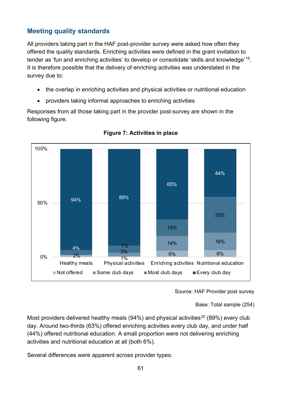## **Meeting quality standards**

All providers taking part in the HAF post-provider survey were asked how often they offered the quality standards. Enriching activities were defined in the grant invitation to tender as 'fun and enriching activities' to develop or consolidate 'skills and knowledge'[19.](#page-97-3) It is therefore possible that the delivery of enriching activities was understated in the survey due to:

- the overlap in enriching activities and physical activities or nutritional education
- providers taking informal approaches to enriching activities

Responses from all those taking part in the provider post-survey are shown in the following figure.



**Figure 7: Activities in place**

Source: HAF Provider post survey

Base: Total sample (254)

Most providers delivered healthy meals (94%) and physical activities<sup>[20](#page-97-4)</sup> (89%) every club day. Around two-thirds (63%) offered enriching activities every club day, and under half (44%) offered nutritional education. A small proportion were not delivering enriching activities and nutritional education at all (both 6%).

Several differences were apparent across provider types: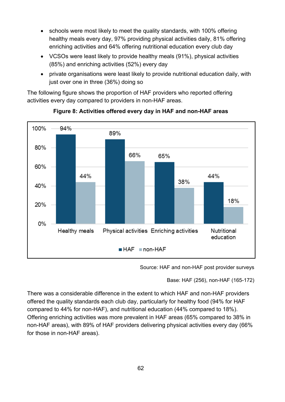- schools were most likely to meet the quality standards, with 100% offering healthy meals every day, 97% providing physical activities daily, 81% offering enriching activities and 64% offering nutritional education every club day
- VCSOs were least likely to provide healthy meals (91%), physical activities (85%) and enriching activities (52%) every day
- private organisations were least likely to provide nutritional education daily, with just over one in three (36%) doing so

The following figure shows the proportion of HAF providers who reported offering activities every day compared to providers in non-HAF areas.





Source: HAF and non-HAF post provider surveys

Base: HAF (256), non-HAF (165-172)

There was a considerable difference in the extent to which HAF and non-HAF providers offered the quality standards each club day, particularly for healthy food (94% for HAF compared to 44% for non-HAF), and nutritional education (44% compared to 18%). Offering enriching activities was more prevalent in HAF areas (65% compared to 38% in non-HAF areas), with 89% of HAF providers delivering physical activities every day (66% for those in non-HAF areas).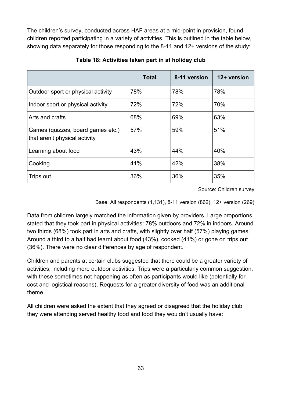The children's survey, conducted across HAF areas at a mid-point in provision, found children reported participating in a variety of activities. This is outlined in the table below, showing data separately for those responding to the 8-11 and 12+ versions of the study:

|                                                                    | <b>Total</b> | 8-11 version | 12+ version |
|--------------------------------------------------------------------|--------------|--------------|-------------|
| Outdoor sport or physical activity                                 | 78%          | 78%          | 78%         |
| Indoor sport or physical activity                                  | 72%          | 72%          | 70%         |
| Arts and crafts                                                    | 68%          | 69%          | 63%         |
| Games (quizzes, board games etc.)<br>that aren't physical activity | 57%          | 59%          | 51%         |
| Learning about food                                                | 43%          | 44%          | 40%         |
| Cooking                                                            | 41%          | 42%          | 38%         |
| Trips out                                                          | 36%          | 36%          | 35%         |

**Table 18: Activities taken part in at holiday club** 

Source: Children survey

Base: All respondents (1,131), 8-11 version (862), 12+ version (269)

Data from children largely matched the information given by providers. Large proportions stated that they took part in physical activities: 78% outdoors and 72% in indoors. Around two thirds (68%) took part in arts and crafts, with slightly over half (57%) playing games. Around a third to a half had learnt about food (43%), cooked (41%) or gone on trips out (36%). There were no clear differences by age of respondent.

Children and parents at certain clubs suggested that there could be a greater variety of activities, including more outdoor activities. Trips were a particularly common suggestion, with these sometimes not happening as often as participants would like (potentially for cost and logistical reasons). Requests for a greater diversity of food was an additional theme.

All children were asked the extent that they agreed or disagreed that the holiday club they were attending served healthy food and food they wouldn't usually have: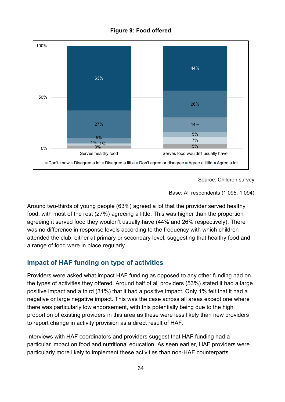



Source: Children survey

Base: All respondents (1,095; 1,094)

Around two-thirds of young people (63%) agreed a lot that the provider served healthy food, with most of the rest (27%) agreeing a little. This was higher than the proportion agreeing it served food they wouldn't usually have (44% and 26% respectively). There was no difference in response levels according to the frequency with which children attended the club, either at primary or secondary level, suggesting that healthy food and a range of food were in place regularly.

## **Impact of HAF funding on type of activities**

Providers were asked what impact HAF funding as opposed to any other funding had on the types of activities they offered. Around half of all providers (53%) stated it had a large positive impact and a third (31%) that it had a positive impact. Only 1% felt that it had a negative or large negative impact. This was the case across all areas except one where there was particularly low endorsement, with this potentially being due to the high proportion of existing providers in this area as these were less likely than new providers to report change in activity provision as a direct result of HAF.

Interviews with HAF coordinators and providers suggest that HAF funding had a particular impact on food and nutritional education. As seen earlier, HAF providers were particularly more likely to implement these activities than non-HAF counterparts.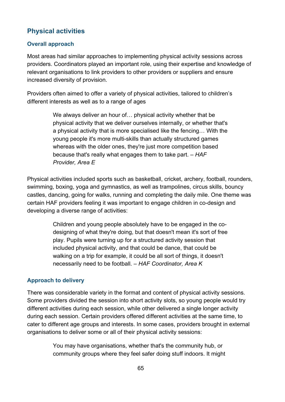## **Physical activities**

### **Overall approach**

Most areas had similar approaches to implementing physical activity sessions across providers. Coordinators played an important role, using their expertise and knowledge of relevant organisations to link providers to other providers or suppliers and ensure increased diversity of provision.

Providers often aimed to offer a variety of physical activities, tailored to children's different interests as well as to a range of ages

> We always deliver an hour of... physical activity whether that be physical activity that we deliver ourselves internally, or whether that's a physical activity that is more specialised like the fencing… With the young people it's more multi-skills than actually structured games whereas with the older ones, they're just more competition based because that's really what engages them to take part. – *HAF Provider, Area E*

Physical activities included sports such as basketball, cricket, archery, football, rounders, swimming, boxing, yoga and gymnastics, as well as trampolines, circus skills, bouncy castles, dancing, going for walks, running and completing the daily mile. One theme was certain HAF providers feeling it was important to engage children in co-design and developing a diverse range of activities:

> Children and young people absolutely have to be engaged in the codesigning of what they're doing, but that doesn't mean it's sort of free play. Pupils were turning up for a structured activity session that included physical activity, and that could be dance, that could be walking on a trip for example, it could be all sort of things, it doesn't necessarily need to be football. – *HAF Coordinator, Area K*

#### **Approach to delivery**

There was considerable variety in the format and content of physical activity sessions. Some providers divided the session into short activity slots, so young people would try different activities during each session, while other delivered a single longer activity during each session. Certain providers offered different activities at the same time, to cater to different age groups and interests. In some cases, providers brought in external organisations to deliver some or all of their physical activity sessions:

> You may have organisations, whether that's the community hub, or community groups where they feel safer doing stuff indoors. It might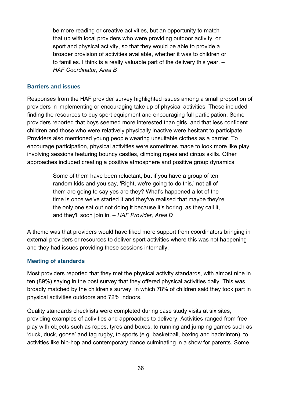be more reading or creative activities, but an opportunity to match that up with local providers who were providing outdoor activity, or sport and physical activity, so that they would be able to provide a broader provision of activities available, whether it was to children or to families. I think is a really valuable part of the delivery this year. – *HAF Coordinator, Area B*

#### **Barriers and issues**

Responses from the HAF provider survey highlighted issues among a small proportion of providers in implementing or encouraging take up of physical activities. These included finding the resources to buy sport equipment and encouraging full participation. Some providers reported that boys seemed more interested than girls, and that less confident children and those who were relatively physically inactive were hesitant to participate. Providers also mentioned young people wearing unsuitable clothes as a barrier. To encourage participation, physical activities were sometimes made to look more like play, involving sessions featuring bouncy castles, climbing ropes and circus skills. Other approaches included creating a positive atmosphere and positive group dynamics:

> Some of them have been reluctant, but if you have a group of ten random kids and you say, 'Right, we're going to do this,' not all of them are going to say yes are they? What's happened a lot of the time is once we've started it and they've realised that maybe they're the only one sat out not doing it because it's boring, as they call it, and they'll soon join in. – *HAF Provider, Area D*

A theme was that providers would have liked more support from coordinators bringing in external providers or resources to deliver sport activities where this was not happening and they had issues providing these sessions internally.

#### **Meeting of standards**

Most providers reported that they met the physical activity standards, with almost nine in ten (89%) saying in the post survey that they offered physical activities daily. This was broadly matched by the children's survey, in which 78% of children said they took part in physical activities outdoors and 72% indoors.

Quality standards checklists were completed during case study visits at six sites, providing examples of activities and approaches to delivery. Activities ranged from free play with objects such as ropes, tyres and boxes, to running and jumping games such as 'duck, duck, goose' and tag rugby, to sports (e.g. basketball, boxing and badminton), to activities like hip-hop and contemporary dance culminating in a show for parents. Some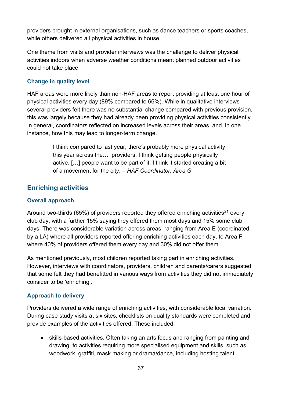providers brought in external organisations, such as dance teachers or sports coaches, while others delivered all physical activities in house.

One theme from visits and provider interviews was the challenge to deliver physical activities indoors when adverse weather conditions meant planned outdoor activities could not take place.

### **Change in quality level**

HAF areas were more likely than non-HAF areas to report providing at least one hour of physical activities every day (89% compared to 66%). While in qualitative interviews several providers felt there was no substantial change compared with previous provision, this was largely because they had already been providing physical activities consistently. In general, coordinators reflected on increased levels across their areas, and, in one instance, how this may lead to longer-term change.

> I think compared to last year, there's probably more physical activity this year across the… providers. I think getting people physically active, […] people want to be part of it, I think it started creating a bit of a movement for the city. – *HAF Coordinator, Area G*

## **Enriching activities**

### **Overall approach**

Around two-thirds (65%) of providers reported they offered enriching activities<sup>[21](#page-97-5)</sup> every club day, with a further 15% saying they offered them most days and 15% some club days. There was considerable variation across areas, ranging from Area E (coordinated by a LA) where all providers reported offering enriching activities each day, to Area F where 40% of providers offered them every day and 30% did not offer them.

As mentioned previously, most children reported taking part in enriching activities. However, interviews with coordinators, providers, children and parents/carers suggested that some felt they had benefitted in various ways from activities they did not immediately consider to be 'enriching'.

#### **Approach to delivery**

Providers delivered a wide range of enriching activities, with considerable local variation. During case study visits at six sites, checklists on quality standards were completed and provide examples of the activities offered. These included:

• skills-based activities. Often taking an arts focus and ranging from painting and drawing, to activities requiring more specialised equipment and skills, such as woodwork, graffiti, mask making or drama/dance, including hosting talent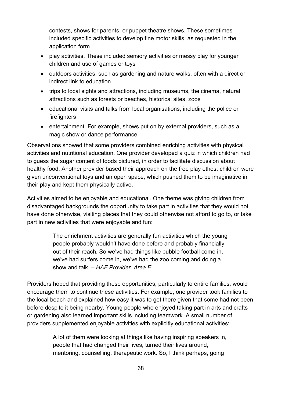contests, shows for parents, or puppet theatre shows. These sometimes included specific activities to develop fine motor skills, as requested in the application form

- play activities. These included sensory activities or messy play for younger children and use of games or toys
- outdoors activities, such as gardening and nature walks, often with a direct or indirect link to education
- trips to local sights and attractions, including museums, the cinema, natural attractions such as forests or beaches, historical sites, zoos
- educational visits and talks from local organisations, including the police or firefighters
- entertainment. For example, shows put on by external providers, such as a magic show or dance performance

Observations showed that some providers combined enriching activities with physical activities and nutritional education. One provider developed a quiz in which children had to guess the sugar content of foods pictured, in order to facilitate discussion about healthy food. Another provider based their approach on the free play ethos: children were given unconventional toys and an open space, which pushed them to be imaginative in their play and kept them physically active.

Activities aimed to be enjoyable and educational. One theme was giving children from disadvantaged backgrounds the opportunity to take part in activities that they would not have done otherwise, visiting places that they could otherwise not afford to go to, or take part in new activities that were enjoyable and fun:

> The enrichment activities are generally fun activities which the young people probably wouldn't have done before and probably financially out of their reach. So we've had things like bubble football come in, we've had surfers come in, we've had the zoo coming and doing a show and talk. *– HAF Provider, Area E*

Providers hoped that providing these opportunities, particularly to entire families, would encourage them to continue these activities. For example, one provider took families to the local beach and explained how easy it was to get there given that some had not been before despite it being nearby. Young people who enjoyed taking part in arts and crafts or gardening also learned important skills including teamwork. A small number of providers supplemented enjoyable activities with explicitly educational activities:

> A lot of them were looking at things like having inspiring speakers in, people that had changed their lives, turned their lives around, mentoring, counselling, therapeutic work. So, I think perhaps, going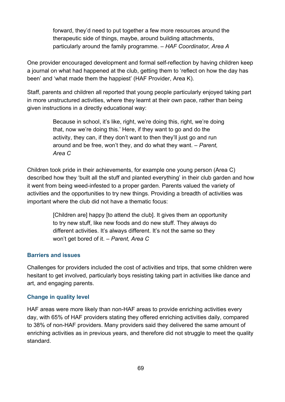forward, they'd need to put together a few more resources around the therapeutic side of things, maybe, around building attachments, particularly around the family programme. – *HAF Coordinator, Area A*

One provider encouraged development and formal self-reflection by having children keep a journal on what had happened at the club, getting them to 'reflect on how the day has been' and 'what made them the happiest' (HAF Provider, Area K).

Staff, parents and children all reported that young people particularly enjoyed taking part in more unstructured activities, where they learnt at their own pace, rather than being given instructions in a directly educational way:

> Because in school, it's like, right, we're doing this, right, we're doing that, now we're doing this.' Here, if they want to go and do the activity, they can, if they don't want to then they'll just go and run around and be free, won't they, and do what they want. – *Parent, Area C*

Children took pride in their achievements, for example one young person (Area C) described how they 'built all the stuff and planted everything' in their club garden and how it went from being weed-infested to a proper garden. Parents valued the variety of activities and the opportunities to try new things. Providing a breadth of activities was important where the club did not have a thematic focus:

> [Children are] happy [to attend the club]. It gives them an opportunity to try new stuff, like new foods and do new stuff. They always do different activities. It's always different. It's not the same so they won't get bored of it. – *Parent, Area C*

#### **Barriers and issues**

Challenges for providers included the cost of activities and trips, that some children were hesitant to get involved, particularly boys resisting taking part in activities like dance and art, and engaging parents.

#### **Change in quality level**

HAF areas were more likely than non-HAF areas to provide enriching activities every day, with 65% of HAF providers stating they offered enriching activities daily, compared to 38% of non-HAF providers. Many providers said they delivered the same amount of enriching activities as in previous years, and therefore did not struggle to meet the quality standard.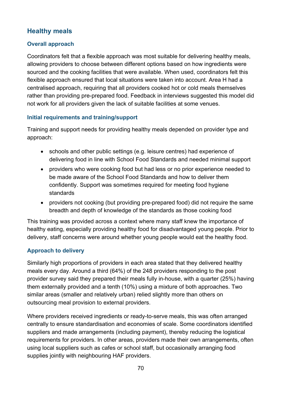## **Healthy meals**

## **Overall approach**

Coordinators felt that a flexible approach was most suitable for delivering healthy meals, allowing providers to choose between different options based on how ingredients were sourced and the cooking facilities that were available. When used, coordinators felt this flexible approach ensured that local situations were taken into account. Area H had a centralised approach, requiring that all providers cooked hot or cold meals themselves rather than providing pre-prepared food. Feedback in interviews suggested this model did not work for all providers given the lack of suitable facilities at some venues.

#### **Initial requirements and training/support**

Training and support needs for providing healthy meals depended on provider type and approach:

- schools and other public settings (e.g. leisure centres) had experience of delivering food in line with School Food Standards and needed minimal support
- providers who were cooking food but had less or no prior experience needed to be made aware of the School Food Standards and how to deliver them confidently. Support was sometimes required for meeting food hygiene standards
- providers not cooking (but providing pre-prepared food) did not require the same breadth and depth of knowledge of the standards as those cooking food

This training was provided across a context where many staff knew the importance of healthy eating, especially providing healthy food for disadvantaged young people. Prior to delivery, staff concerns were around whether young people would eat the healthy food.

## **Approach to delivery**

Similarly high proportions of providers in each area stated that they delivered healthy meals every day. Around a third (64%) of the 248 providers responding to the post provider survey said they prepared their meals fully in-house, with a quarter (25%) having them externally provided and a tenth (10%) using a mixture of both approaches. Two similar areas (smaller and relatively urban) relied slightly more than others on outsourcing meal provision to external providers.

Where providers received ingredients or ready-to-serve meals, this was often arranged centrally to ensure standardisation and economies of scale. Some coordinators identified suppliers and made arrangements (including payment), thereby reducing the logistical requirements for providers. In other areas, providers made their own arrangements, often using local suppliers such as cafes or school staff, but occasionally arranging food supplies jointly with neighbouring HAF providers.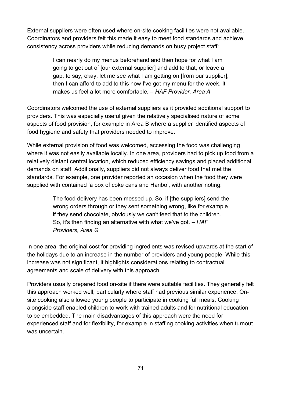External suppliers were often used where on-site cooking facilities were not available. Coordinators and providers felt this made it easy to meet food standards and achieve consistency across providers while reducing demands on busy project staff:

> I can nearly do my menus beforehand and then hope for what I am going to get out of [our external supplier] and add to that, or leave a gap, to say, okay, let me see what I am getting on [from our supplier], then I can afford to add to this now I've got my menu for the week. It makes us feel a lot more comfortable*. – HAF Provider, Area A*

Coordinators welcomed the use of external suppliers as it provided additional support to providers. This was especially useful given the relatively specialised nature of some aspects of food provision, for example in Area B where a supplier identified aspects of food hygiene and safety that providers needed to improve.

While external provision of food was welcomed, accessing the food was challenging where it was not easily available locally. In one area, providers had to pick up food from a relatively distant central location, which reduced efficiency savings and placed additional demands on staff. Additionally, suppliers did not always deliver food that met the standards. For example, one provider reported an occasion when the food they were supplied with contained 'a box of coke cans and Haribo', with another noting:

> The food delivery has been messed up. So, if [the suppliers] send the wrong orders through or they sent something wrong, like for example if they send chocolate, obviously we can't feed that to the children. So, it's then finding an alternative with what we've got. *– HAF Providers, Area G*

In one area, the original cost for providing ingredients was revised upwards at the start of the holidays due to an increase in the number of providers and young people. While this increase was not significant, it highlights considerations relating to contractual agreements and scale of delivery with this approach.

Providers usually prepared food on-site if there were suitable facilities. They generally felt this approach worked well, particularly where staff had previous similar experience. Onsite cooking also allowed young people to participate in cooking full meals. Cooking alongside staff enabled children to work with trained adults and for nutritional education to be embedded. The main disadvantages of this approach were the need for experienced staff and for flexibility, for example in staffing cooking activities when turnout was uncertain.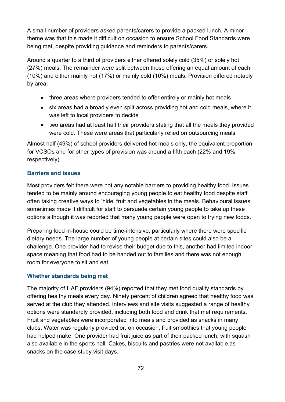A small number of providers asked parents/carers to provide a packed lunch. A minor theme was that this made it difficult on occasion to ensure School Food Standards were being met, despite providing guidance and reminders to parents/carers.

Around a quarter to a third of providers either offered solely cold (35%) or solely hot (27%) meals. The remainder were split between those offering an equal amount of each (10%) and either mainly hot (17%) or mainly cold (10%) meals. Provision differed notably by area:

- three areas where providers tended to offer entirely or mainly hot meals
- six areas had a broadly even split across providing hot and cold meals, where it was left to local providers to decide
- two areas had at least half their providers stating that all the meals they provided were cold. These were areas that particularly relied on outsourcing meals

Almost half (49%) of school providers delivered hot meals only, the equivalent proportion for VCSOs and for other types of provision was around a fifth each (22% and 19% respectively).

### **Barriers and issues**

Most providers felt there were not any notable barriers to providing healthy food. Issues tended to be mainly around encouraging young people to eat healthy food despite staff often taking creative ways to 'hide' fruit and vegetables in the meals. Behavioural issues sometimes made it difficult for staff to persuade certain young people to take up these options although it was reported that many young people were open to trying new foods.

Preparing food in-house could be time-intensive, particularly where there were specific dietary needs. The large number of young people at certain sites could also be a challenge. One provider had to revise their budget due to this, another had limited indoor space meaning that food had to be handed out to families and there was not enough room for everyone to sit and eat.

#### **Whether standards being met**

The majority of HAF providers (94%) reported that they met food quality standards by offering healthy meals every day. Ninety percent of children agreed that healthy food was served at the club they attended. Interviews and site visits suggested a range of healthy options were standardly provided, including both food and drink that met requirements. Fruit and vegetables were incorporated into meals and provided as snacks in many clubs. Water was regularly provided or, on occasion, fruit smoothies that young people had helped make. One provider had fruit juice as part of their packed lunch, with squash also available in the sports hall. Cakes, biscuits and pastries were not available as snacks on the case study visit days.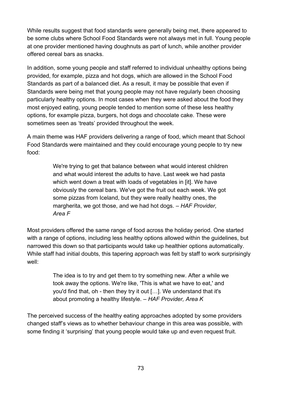While results suggest that food standards were generally being met, there appeared to be some clubs where School Food Standards were not always met in full. Young people at one provider mentioned having doughnuts as part of lunch, while another provider offered cereal bars as snacks.

In addition, some young people and staff referred to individual unhealthy options being provided, for example, pizza and hot dogs, which are allowed in the School Food Standards as part of a balanced diet. As a result, it may be possible that even if Standards were being met that young people may not have regularly been choosing particularly healthy options. In most cases when they were asked about the food they most enjoyed eating, young people tended to mention some of these less healthy options, for example pizza, burgers, hot dogs and chocolate cake. These were sometimes seen as 'treats' provided throughout the week.

A main theme was HAF providers delivering a range of food, which meant that School Food Standards were maintained and they could encourage young people to try new food:

> We're trying to get that balance between what would interest children and what would interest the adults to have. Last week we had pasta which went down a treat with loads of vegetables in [it]. We have obviously the cereal bars. We've got the fruit out each week. We got some pizzas from Iceland, but they were really healthy ones, the margherita, we got those, and we had hot dogs. *– HAF Provider, Area F*

Most providers offered the same range of food across the holiday period. One started with a range of options, including less healthy options allowed within the guidelines, but narrowed this down so that participants would take up healthier options automatically. While staff had initial doubts, this tapering approach was felt by staff to work surprisingly well:

> The idea is to try and get them to try something new. After a while we took away the options. We're like, 'This is what we have to eat,' and you'd find that, oh - then they try it out […]. We understand that it's about promoting a healthy lifestyle. *– HAF Provider, Area K*

The perceived success of the healthy eating approaches adopted by some providers changed staff's views as to whether behaviour change in this area was possible, with some finding it 'surprising' that young people would take up and even request fruit.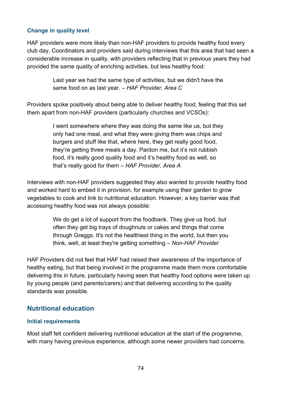#### **Change in quality level**

HAF providers were more likely than non-HAF providers to provide healthy food every club day. Coordinators and providers said during interviews that this area that had seen a considerable increase in quality, with providers reflecting that in previous years they had provided the same quality of enriching activities, but less healthy food:

> Last year we had the same type of activities, but we didn't have the same food on as last year. *– HAF Provider, Area C*

Providers spoke positively about being able to deliver healthy food, feeling that this set them apart from non-HAF providers (particularly churches and VCSOs):

> I went somewhere where they was doing the same like us, but they only had one meal, and what they were giving them was chips and burgers and stuff like that, where here, they get really good food, they're getting three meals a day. Pardon me, but it's not rubbish food, it's really good quality food and it's healthy food as well, so that's really good for them *– HAF Provider, Area A*

Interviews with non-HAF providers suggested they also wanted to provide healthy food and worked hard to embed it in provision, for example using their garden to grow vegetables to cook and link to nutritional education. However, a key barrier was that accessing healthy food was not always possible:

> We do get a lot of support from the foodbank. They give us food, but often they get big trays of doughnuts or cakes and things that come through Greggs. It's not the healthiest thing in the world, but then you think, well, at least they're getting something *– Non-HAF Provider*

HAF Providers did not feel that HAF had raised their awareness of the importance of healthy eating, but that being involved in the programme made them more comfortable delivering this in future, particularly having seen that healthy food options were taken up by young people (and parents/carers) and that delivering according to the quality standards was possible.

### **Nutritional education**

#### **Initial requirements**

Most staff felt confident delivering nutritional education at the start of the programme, with many having previous experience, although some newer providers had concerns.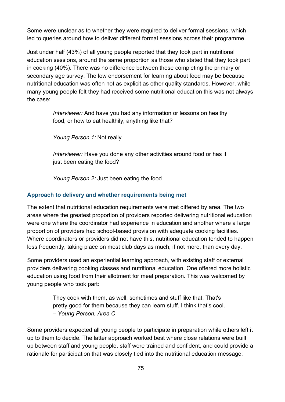Some were unclear as to whether they were required to deliver formal sessions, which led to queries around how to deliver different formal sessions across their programme.

Just under half (43%) of all young people reported that they took part in nutritional education sessions, around the same proportion as those who stated that they took part in cooking (40%). There was no difference between those completing the primary or secondary age survey. The low endorsement for learning about food may be because nutritional education was often not as explicit as other quality standards. However, while many young people felt they had received some nutritional education this was not always the case:

> *Interviewer:* And have you had any information or lessons on healthy food, or how to eat healthily, anything like that?

*Young Person 1:* Not really

*Interviewer:* Have you done any other activities around food or has it just been eating the food?

*Young Person 2:* Just been eating the food

#### **Approach to delivery and whether requirements being met**

The extent that nutritional education requirements were met differed by area. The two areas where the greatest proportion of providers reported delivering nutritional education were one where the coordinator had experience in education and another where a large proportion of providers had school-based provision with adequate cooking facilities. Where coordinators or providers did not have this, nutritional education tended to happen less frequently, taking place on most club days as much, if not more, than every day.

Some providers used an experiential learning approach, with existing staff or external providers delivering cooking classes and nutritional education. One offered more holistic education using food from their allotment for meal preparation. This was welcomed by young people who took part:

> They cook with them, as well, sometimes and stuff like that. That's pretty good for them because they can learn stuff. I think that's cool. *– Young Person, Area C*

Some providers expected all young people to participate in preparation while others left it up to them to decide. The latter approach worked best where close relations were built up between staff and young people, staff were trained and confident, and could provide a rationale for participation that was closely tied into the nutritional education message: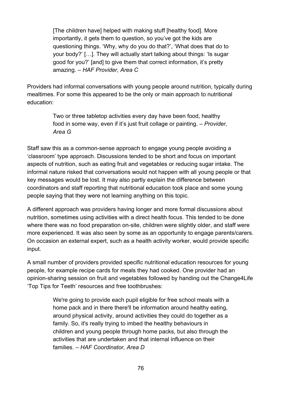[The children have] helped with making stuff [healthy food]. More importantly, it gets them to question, so you've got the kids are questioning things. 'Why, why do you do that?', 'What does that do to your body?' […]. They will actually start talking about things: 'Is sugar good for you?' [and] to give them that correct information, it's pretty amazing. *– HAF Provider, Area C*

Providers had informal conversations with young people around nutrition, typically during mealtimes. For some this appeared to be the only or main approach to nutritional education:

> Two or three tabletop activities every day have been food, healthy food in some way, even if it's just fruit collage or painting. *– Provider, Area G*

Staff saw this as a common-sense approach to engage young people avoiding a 'classroom' type approach. Discussions tended to be short and focus on important aspects of nutrition, such as eating fruit and vegetables or reducing sugar intake. The informal nature risked that conversations would not happen with all young people or that key messages would be lost. It may also partly explain the difference between coordinators and staff reporting that nutritional education took place and some young people saying that they were not learning anything on this topic.

A different approach was providers having longer and more formal discussions about nutrition, sometimes using activities with a direct health focus. This tended to be done where there was no food preparation on-site, children were slightly older, and staff were more experienced. It was also seen by some as an opportunity to engage parents/carers. On occasion an external expert, such as a health activity worker, would provide specific input.

A small number of providers provided specific nutritional education resources for young people, for example recipe cards for meals they had cooked. One provider had an opinion-sharing session on fruit and vegetables followed by handing out the Change4Life 'Top Tips for Teeth' resources and free toothbrushes:

> We're going to provide each pupil eligible for free school meals with a home pack and in there there'll be information around healthy eating, around physical activity, around activities they could do together as a family. So, it's really trying to imbed the healthy behaviours in children and young people through home packs, but also through the activities that are undertaken and that internal influence on their families. *– HAF Coordinator, Area D*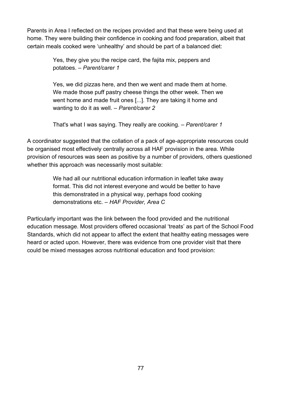Parents in Area I reflected on the recipes provided and that these were being used at home. They were building their confidence in cooking and food preparation, albeit that certain meals cooked were 'unhealthy' and should be part of a balanced diet:

> Yes, they give you the recipe card, the fajita mix, peppers and potatoes. *– Parent/carer 1*

Yes, we did pizzas here, and then we went and made them at home. We made those puff pastry cheese things the other week. Then we went home and made fruit ones [...]. They are taking it home and wanting to do it as well. *– Parent/carer 2*

That's what I was saying. They really are cooking. *– Parent/carer 1*

A coordinator suggested that the collation of a pack of age-appropriate resources could be organised most effectively centrally across all HAF provision in the area. While provision of resources was seen as positive by a number of providers, others questioned whether this approach was necessarily most suitable:

> We had all our nutritional education information in leaflet take away format. This did not interest everyone and would be better to have this demonstrated in a physical way, perhaps food cooking demonstrations etc. *– HAF Provider, Area C*

Particularly important was the link between the food provided and the nutritional education message. Most providers offered occasional 'treats' as part of the School Food Standards, which did not appear to affect the extent that healthy eating messages were heard or acted upon. However, there was evidence from one provider visit that there could be mixed messages across nutritional education and food provision: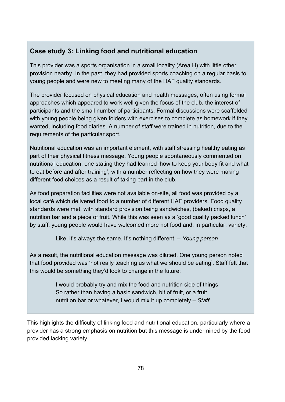### **Case study 3: Linking food and nutritional education**

This provider was a sports organisation in a small locality (Area H) with little other provision nearby. In the past, they had provided sports coaching on a regular basis to young people and were new to meeting many of the HAF quality standards.

The provider focused on physical education and health messages, often using formal approaches which appeared to work well given the focus of the club, the interest of participants and the small number of participants. Formal discussions were scaffolded with young people being given folders with exercises to complete as homework if they wanted, including food diaries. A number of staff were trained in nutrition, due to the requirements of the particular sport.

Nutritional education was an important element, with staff stressing healthy eating as part of their physical fitness message. Young people spontaneously commented on nutritional education, one stating they had learned 'how to keep your body fit and what to eat before and after training', with a number reflecting on how they were making different food choices as a result of taking part in the club.

As food preparation facilities were not available on-site, all food was provided by a local café which delivered food to a number of different HAF providers. Food quality standards were met, with standard provision being sandwiches, (baked) crisps, a nutrition bar and a piece of fruit. While this was seen as a 'good quality packed lunch' by staff, young people would have welcomed more hot food and, in particular, variety.

Like, it's always the same. It's nothing different. – *Young person*

As a result, the nutritional education message was diluted. One young person noted that food provided was 'not really teaching us what we should be eating'. Staff felt that this would be something they'd look to change in the future:

> I would probably try and mix the food and nutrition side of things. So rather than having a basic sandwich, bit of fruit, or a fruit nutrition bar or whatever, I would mix it up completely.– *Staff*

This highlights the difficulty of linking food and nutritional education, particularly where a provider has a strong emphasis on nutrition but this message is undermined by the food provided lacking variety.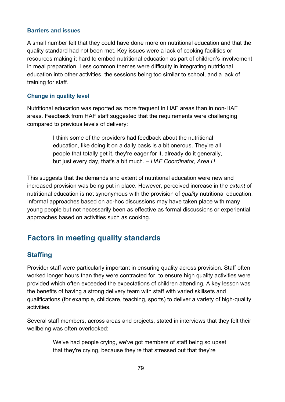#### **Barriers and issues**

A small number felt that they could have done more on nutritional education and that the quality standard had not been met. Key issues were a lack of cooking facilities or resources making it hard to embed nutritional education as part of children's involvement in meal preparation. Less common themes were difficulty in integrating nutritional education into other activities, the sessions being too similar to school, and a lack of training for staff.

#### **Change in quality level**

Nutritional education was reported as more frequent in HAF areas than in non-HAF areas. Feedback from HAF staff suggested that the requirements were challenging compared to previous levels of delivery:

> I think some of the providers had feedback about the nutritional education, like doing it on a daily basis is a bit onerous. They're all people that totally get it, they're eager for it, already do it generally, but just every day, that's a bit much. *– HAF Coordinator, Area H*

This suggests that the demands and extent of nutritional education were new and increased provision was being put in place. However, perceived increase in the *extent* of nutritional education is not synonymous with the provision of *quality* nutritional education. Informal approaches based on ad-hoc discussions may have taken place with many young people but not necessarily been as effective as formal discussions or experiential approaches based on activities such as cooking.

### **Factors in meeting quality standards**

### **Staffing**

Provider staff were particularly important in ensuring quality across provision. Staff often worked longer hours than they were contracted for, to ensure high quality activities were provided which often exceeded the expectations of children attending. A key lesson was the benefits of having a strong delivery team with staff with varied skillsets and qualifications (for example, childcare, teaching, sports) to deliver a variety of high-quality activities.

Several staff members, across areas and projects, stated in interviews that they felt their wellbeing was often overlooked:

> We've had people crying, we've got members of staff being so upset that they're crying, because they're that stressed out that they're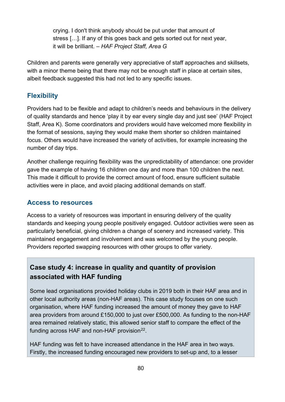crying. I don't think anybody should be put under that amount of stress […]. If any of this goes back and gets sorted out for next year, it will be brilliant. *– HAF Project Staff, Area G*

Children and parents were generally very appreciative of staff approaches and skillsets, with a minor theme being that there may not be enough staff in place at certain sites, albeit feedback suggested this had not led to any specific issues.

### **Flexibility**

Providers had to be flexible and adapt to children's needs and behaviours in the delivery of quality standards and hence 'play it by ear every single day and just see' (HAF Project Staff, Area K). Some coordinators and providers would have welcomed more flexibility in the format of sessions, saying they would make them shorter so children maintained focus. Others would have increased the variety of activities, for example increasing the number of day trips.

Another challenge requiring flexibility was the unpredictability of attendance: one provider gave the example of having 16 children one day and more than 100 children the next. This made it difficult to provide the correct amount of food, ensure sufficient suitable activities were in place, and avoid placing additional demands on staff.

### **Access to resources**

Access to a variety of resources was important in ensuring delivery of the quality standards and keeping young people positively engaged. Outdoor activities were seen as particularly beneficial, giving children a change of scenery and increased variety. This maintained engagement and involvement and was welcomed by the young people. Providers reported swapping resources with other groups to offer variety.

### **Case study 4: increase in quality and quantity of provision associated with HAF funding**

Some lead organisations provided holiday clubs in 2019 both in their HAF area and in other local authority areas (non-HAF areas). This case study focuses on one such organisation, where HAF funding increased the amount of money they gave to HAF area providers from around £150,000 to just over £500,000. As funding to the non-HAF area remained relatively static, this allowed senior staff to compare the effect of the funding across HAF and non-HAF provision $^{22}$  $^{22}$  $^{22}$ .

HAF funding was felt to have increased attendance in the HAF area in two ways. Firstly, the increased funding encouraged new providers to set-up and, to a lesser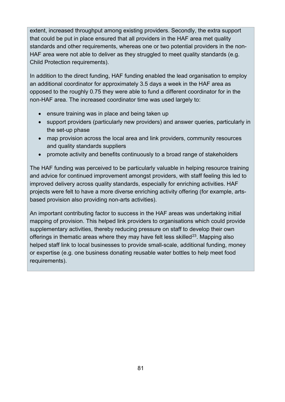extent, increased throughput among existing providers. Secondly, the extra support that could be put in place ensured that all providers in the HAF area met quality standards and other requirements, whereas one or two potential providers in the non-HAF area were not able to deliver as they struggled to meet quality standards (e.g. Child Protection requirements).

In addition to the direct funding, HAF funding enabled the lead organisation to employ an additional coordinator for approximately 3.5 days a week in the HAF area as opposed to the roughly 0.75 they were able to fund a different coordinator for in the non-HAF area. The increased coordinator time was used largely to:

- ensure training was in place and being taken up
- support providers (particularly new providers) and answer queries, particularly in the set-up phase
- map provision across the local area and link providers, community resources and quality standards suppliers
- promote activity and benefits continuously to a broad range of stakeholders

The HAF funding was perceived to be particularly valuable in helping resource training and advice for continued improvement amongst providers, with staff feeling this led to improved delivery across quality standards, especially for enriching activities. HAF projects were felt to have a more diverse enriching activity offering (for example, artsbased provision also providing non-arts activities).

An important contributing factor to success in the HAF areas was undertaking initial mapping of provision. This helped link providers to organisations which could provide supplementary activities, thereby reducing pressure on staff to develop their own offerings in thematic areas where they may have felt less skilled<sup>23</sup>. Mapping also helped staff link to local businesses to provide small-scale, additional funding, money or expertise (e.g. one business donating reusable water bottles to help meet food requirements).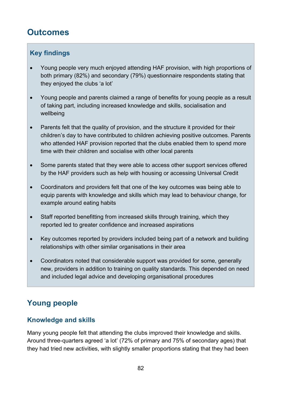# **Outcomes**

### **Key findings**

- Young people very much enjoyed attending HAF provision, with high proportions of both primary (82%) and secondary (79%) questionnaire respondents stating that they enjoyed the clubs 'a lot'
- Young people and parents claimed a range of benefits for young people as a result of taking part, including increased knowledge and skills, socialisation and wellbeing
- Parents felt that the quality of provision, and the structure it provided for their children's day to have contributed to children achieving positive outcomes. Parents who attended HAF provision reported that the clubs enabled them to spend more time with their children and socialise with other local parents
- Some parents stated that they were able to access other support services offered by the HAF providers such as help with housing or accessing Universal Credit
- Coordinators and providers felt that one of the key outcomes was being able to equip parents with knowledge and skills which may lead to behaviour change, for example around eating habits
- Staff reported benefitting from increased skills through training, which they reported led to greater confidence and increased aspirations
- Key outcomes reported by providers included being part of a network and building relationships with other similar organisations in their area
- Coordinators noted that considerable support was provided for some, generally new, providers in addition to training on quality standards. This depended on need and included legal advice and developing organisational procedures

# **Young people**

### **Knowledge and skills**

Many young people felt that attending the clubs improved their knowledge and skills. Around three-quarters agreed 'a lot' (72% of primary and 75% of secondary ages) that they had tried new activities, with slightly smaller proportions stating that they had been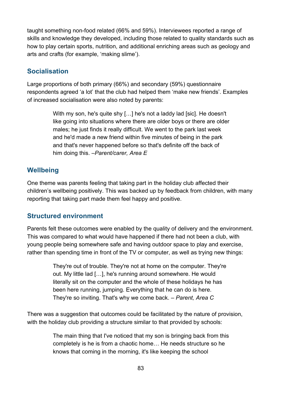taught something non-food related (66% and 59%). Interviewees reported a range of skills and knowledge they developed, including those related to quality standards such as how to play certain sports, nutrition, and additional enriching areas such as geology and arts and crafts (for example, 'making slime').

### **Socialisation**

Large proportions of both primary (66%) and secondary (59%) questionnaire respondents agreed 'a lot' that the club had helped them 'make new friends'. Examples of increased socialisation were also noted by parents:

> With my son, he's quite shy […] he's not a laddy lad [sic]. He doesn't like going into situations where there are older boys or there are older males; he just finds it really difficult. We went to the park last week and he'd made a new friend within five minutes of being in the park and that's never happened before so that's definite off the back of him doing this. *–Parent/carer, Area E*

### **Wellbeing**

One theme was parents feeling that taking part in the holiday club affected their children's wellbeing positively. This was backed up by feedback from children, with many reporting that taking part made them feel happy and positive.

### **Structured environment**

Parents felt these outcomes were enabled by the quality of delivery and the environment. This was compared to what would have happened if there had not been a club, with young people being somewhere safe and having outdoor space to play and exercise, rather than spending time in front of the TV or computer, as well as trying new things:

> They're out of trouble. They're not at home on the computer. They're out. My little lad […], he's running around somewhere. He would literally sit on the computer and the whole of these holidays he has been here running, jumping. Everything that he can do is here. They're so inviting. That's why we come back. *– Parent, Area C*

There was a suggestion that outcomes could be facilitated by the nature of provision, with the holiday club providing a structure similar to that provided by schools:

> The main thing that I've noticed that my son is bringing back from this completely is he is from a chaotic home… He needs structure so he knows that coming in the morning, it's like keeping the school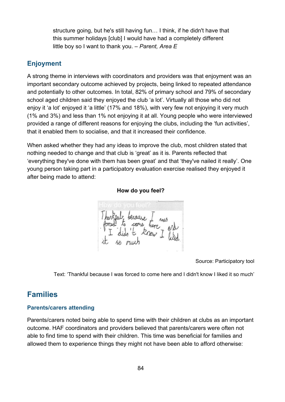structure going, but he's still having fun… I think, if he didn't have that this summer holidays [club] I would have had a completely different little boy so I want to thank you. – *Parent, Area E*

### **Enjoyment**

A strong theme in interviews with coordinators and providers was that enjoyment was an important secondary outcome achieved by projects, being linked to repeated attendance and potentially to other outcomes. In total, 82% of primary school and 79% of secondary school aged children said they enjoyed the club 'a lot'. Virtually all those who did not enjoy it 'a lot' enjoyed it 'a little' (17% and 18%), with very few not enjoying it very much (1% and 3%) and less than 1% not enjoying it at all. Young people who were interviewed provided a range of different reasons for enjoying the clubs, including the 'fun activities', that it enabled them to socialise, and that it increased their confidence.

When asked whether they had any ideas to improve the club, most children stated that nothing needed to change and that club is 'great' as it is. Parents reflected that 'everything they've done with them has been great' and that 'they've nailed it really'. One young person taking part in a participatory evaluation exercise realised they enjoyed it after being made to attend:

**How do you feel?**

Source: Participatory tool

Text: 'Thankful because I was forced to come here and I didn't know I liked it so much'

### **Families**

#### **Parents/carers attending**

Parents/carers noted being able to spend time with their children at clubs as an important outcome. HAF coordinators and providers believed that parents/carers were often not able to find time to spend with their children. This time was beneficial for families and allowed them to experience things they might not have been able to afford otherwise: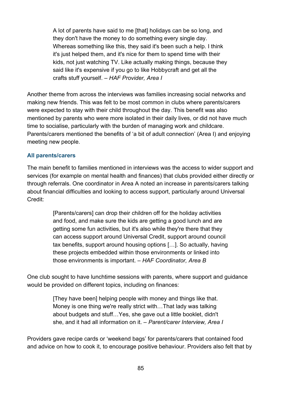A lot of parents have said to me [that] holidays can be so long, and they don't have the money to do something every single day. Whereas something like this, they said it's been such a help. I think it's just helped them, and it's nice for them to spend time with their kids, not just watching TV. Like actually making things, because they said like it's expensive if you go to like Hobbycraft and get all the crafts stuff yourself. – *HAF Provider, Area I*

Another theme from across the interviews was families increasing social networks and making new friends. This was felt to be most common in clubs where parents/carers were expected to stay with their child throughout the day. This benefit was also mentioned by parents who were more isolated in their daily lives, or did not have much time to socialise, particularly with the burden of managing work and childcare. Parents/carers mentioned the benefits of 'a bit of adult connection' (Area I) and enjoying meeting new people.

#### **All parents/carers**

The main benefit to families mentioned in interviews was the access to wider support and services (for example on mental health and finances) that clubs provided either directly or through referrals. One coordinator in Area A noted an increase in parents/carers talking about financial difficulties and looking to access support, particularly around Universal Credit:

> [Parents/carers] can drop their children off for the holiday activities and food, and make sure the kids are getting a good lunch and are getting some fun activities, but it's also while they're there that they can access support around Universal Credit, support around council tax benefits, support around housing options […]. So actually, having these projects embedded within those environments or linked into those environments is important. *– HAF Coordinator, Area B*

One club sought to have lunchtime sessions with parents, where support and guidance would be provided on different topics, including on finances:

> [They have been] helping people with money and things like that. Money is one thing we're really strict with…That lady was talking about budgets and stuff…Yes, she gave out a little booklet, didn't she, and it had all information on it. *– Parent/carer Interview, Area I*

Providers gave recipe cards or 'weekend bags' for parents/carers that contained food and advice on how to cook it, to encourage positive behaviour. Providers also felt that by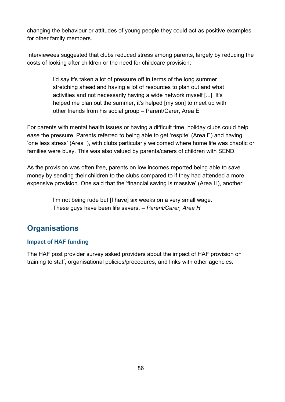changing the behaviour or attitudes of young people they could act as positive examples for other family members.

Interviewees suggested that clubs reduced stress among parents, largely by reducing the costs of looking after children or the need for childcare provision:

> I'd say it's taken a lot of pressure off in terms of the long summer stretching ahead and having a lot of resources to plan out and what activities and not necessarily having a wide network myself [...]. It's helped me plan out the summer, it's helped [my son] to meet up with other friends from his social group – Parent/Carer, Area E

For parents with mental health issues or having a difficult time, holiday clubs could help ease the pressure. Parents referred to being able to get 'respite' (Area E) and having 'one less stress' (Area I), with clubs particularly welcomed where home life was chaotic or families were busy. This was also valued by parents/carers of children with SEND.

As the provision was often free, parents on low incomes reported being able to save money by sending their children to the clubs compared to if they had attended a more expensive provision. One said that the 'financial saving is massive' (Area H), another:

> I'm not being rude but [I have] six weeks on a very small wage. These guys have been life savers. – *Parent/Carer, Area H*

# **Organisations**

### **Impact of HAF funding**

The HAF post provider survey asked providers about the impact of HAF provision on training to staff, organisational policies/procedures, and links with other agencies.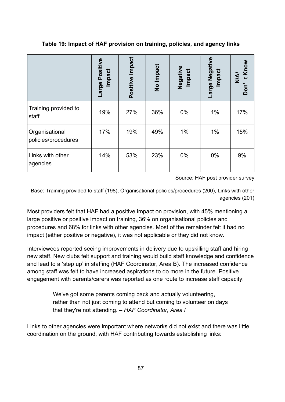**Table 19: Impact of HAF provision on training, policies, and agency links** 

|                                       | Large Positive<br>Impact | Positive Impact | No Impact | Negative<br><b>Impact</b> | Negative<br>Impact<br>Large | Know<br><b>N/N</b><br>Don' |
|---------------------------------------|--------------------------|-----------------|-----------|---------------------------|-----------------------------|----------------------------|
| Training provided to<br>staff         | 19%                      | 27%             | 36%       | 0%                        | $1\%$                       | 17%                        |
| Organisational<br>policies/procedures | 17%                      | 19%             | 49%       | 1%                        | $1\%$                       | 15%                        |
| Links with other<br>agencies          | 14%                      | 53%             | 23%       | $0\%$                     | 0%                          | 9%                         |

Source: HAF post provider survey

Base: Training provided to staff (198), Organisational policies/procedures (200), Links with other agencies (201)

Most providers felt that HAF had a positive impact on provision, with 45% mentioning a large positive or positive impact on training, 36% on organisational policies and procedures and 68% for links with other agencies. Most of the remainder felt it had no impact (either positive or negative), it was not applicable or they did not know.

Interviewees reported seeing improvements in delivery due to upskilling staff and hiring new staff. New clubs felt support and training would build staff knowledge and confidence and lead to a 'step up' in staffing (HAF Coordinator, Area B). The increased confidence among staff was felt to have increased aspirations to do more in the future. Positive engagement with parents/carers was reported as one route to increase staff capacity:

> We've got some parents coming back and actually volunteering, rather than not just coming to attend but coming to volunteer on days that they're not attending. *– HAF Coordinator, Area I*

Links to other agencies were important where networks did not exist and there was little coordination on the ground, with HAF contributing towards establishing links: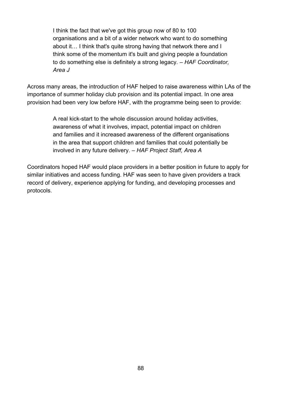I think the fact that we've got this group now of 80 to 100 organisations and a bit of a wider network who want to do something about it… I think that's quite strong having that network there and I think some of the momentum it's built and giving people a foundation to do something else is definitely a strong legacy*. – HAF Coordinator, Area J*

Across many areas, the introduction of HAF helped to raise awareness within LAs of the importance of summer holiday club provision and its potential impact. In one area provision had been very low before HAF, with the programme being seen to provide:

> A real kick-start to the whole discussion around holiday activities, awareness of what it involves, impact, potential impact on children and families and it increased awareness of the different organisations in the area that support children and families that could potentially be involved in any future delivery. *– HAF Project Staff, Area A*

Coordinators hoped HAF would place providers in a better position in future to apply for similar initiatives and access funding. HAF was seen to have given providers a track record of delivery, experience applying for funding, and developing processes and protocols.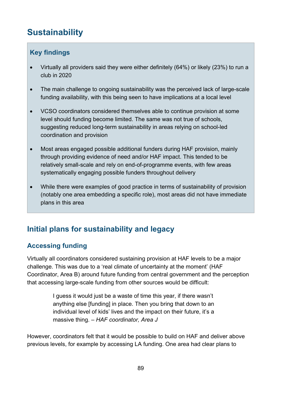# **Sustainability**

### **Key findings**

- Virtually all providers said they were either definitely (64%) or likely (23%) to run a club in 2020
- The main challenge to ongoing sustainability was the perceived lack of large-scale funding availability, with this being seen to have implications at a local level
- VCSO coordinators considered themselves able to continue provision at some level should funding become limited. The same was not true of schools, suggesting reduced long-term sustainability in areas relying on school-led coordination and provision
- Most areas engaged possible additional funders during HAF provision, mainly through providing evidence of need and/or HAF impact. This tended to be relatively small-scale and rely on end-of-programme events, with few areas systematically engaging possible funders throughout delivery
- While there were examples of good practice in terms of sustainability of provision (notably one area embedding a specific role), most areas did not have immediate plans in this area

# **Initial plans for sustainability and legacy**

### **Accessing funding**

Virtually all coordinators considered sustaining provision at HAF levels to be a major challenge. This was due to a 'real climate of uncertainty at the moment' (HAF Coordinator, Area B) around future funding from central government and the perception that accessing large-scale funding from other sources would be difficult:

> I guess it would just be a waste of time this year, if there wasn't anything else [funding] in place. Then you bring that down to an individual level of kids' lives and the impact on their future, it's a massive thing. – *HAF coordinator, Area J*

However, coordinators felt that it would be possible to build on HAF and deliver above previous levels, for example by accessing LA funding. One area had clear plans to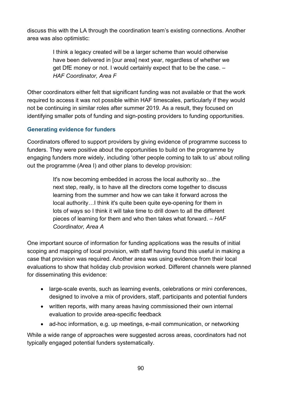discuss this with the LA through the coordination team's existing connections. Another area was also optimistic:

> I think a legacy created will be a larger scheme than would otherwise have been delivered in [our area] next year, regardless of whether we get DfE money or not. I would certainly expect that to be the case. – *HAF Coordinator, Area F*

Other coordinators either felt that significant funding was not available or that the work required to access it was not possible within HAF timescales, particularly if they would not be continuing in similar roles after summer 2019. As a result, they focused on identifying smaller pots of funding and sign-posting providers to funding opportunities.

### **Generating evidence for funders**

Coordinators offered to support providers by giving evidence of programme success to funders. They were positive about the opportunities to build on the programme by engaging funders more widely, including 'other people coming to talk to us' about rolling out the programme (Area I) and other plans to develop provision:

> It's now becoming embedded in across the local authority so…the next step, really, is to have all the directors come together to discuss learning from the summer and how we can take it forward across the local authority…I think it's quite been quite eye-opening for them in lots of ways so I think it will take time to drill down to all the different pieces of learning for them and who then takes what forward. – *HAF Coordinator, Area A*

One important source of information for funding applications was the results of initial scoping and mapping of local provision, with staff having found this useful in making a case that provision was required. Another area was using evidence from their local evaluations to show that holiday club provision worked. Different channels were planned for disseminating this evidence:

- large-scale events, such as learning events, celebrations or mini conferences, designed to involve a mix of providers, staff, participants and potential funders
- written reports, with many areas having commissioned their own internal evaluation to provide area-specific feedback
- ad-hoc information, e.g. up meetings, e-mail communication, or networking

While a wide range of approaches were suggested across areas, coordinators had not typically engaged potential funders systematically.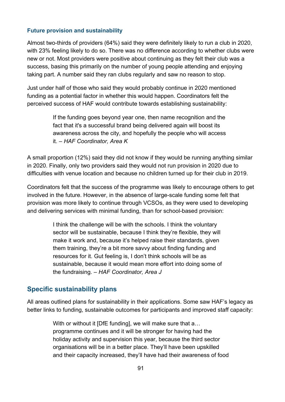#### **Future provision and sustainability**

Almost two-thirds of providers (64%) said they were definitely likely to run a club in 2020, with 23% feeling likely to do so. There was no difference according to whether clubs were new or not. Most providers were positive about continuing as they felt their club was a success, basing this primarily on the number of young people attending and enjoying taking part. A number said they ran clubs regularly and saw no reason to stop.

Just under half of those who said they would probably continue in 2020 mentioned funding as a potential factor in whether this would happen. Coordinators felt the perceived success of HAF would contribute towards establishing sustainability:

> If the funding goes beyond year one, then name recognition and the fact that it's a successful brand being delivered again will boost its awareness across the city, and hopefully the people who will access it. *– HAF Coordinator, Area K*

A small proportion (12%) said they did not know if they would be running anything similar in 2020. Finally, only two providers said they would not run provision in 2020 due to difficulties with venue location and because no children turned up for their club in 2019.

Coordinators felt that the success of the programme was likely to encourage others to get involved in the future. However, in the absence of large-scale funding some felt that provision was more likely to continue through VCSOs, as they were used to developing and delivering services with minimal funding, than for school-based provision:

> I think the challenge will be with the schools. I think the voluntary sector will be sustainable, because I think they're flexible, they will make it work and, because it's helped raise their standards, given them training, they're a bit more savvy about finding funding and resources for it. Gut feeling is, I don't think schools will be as sustainable, because it would mean more effort into doing some of the fundraising. – *HAF Coordinator, Area J*

### **Specific sustainability plans**

All areas outlined plans for sustainability in their applications. Some saw HAF's legacy as better links to funding, sustainable outcomes for participants and improved staff capacity:

> With or without it [DfE funding], we will make sure that a... programme continues and it will be stronger for having had the holiday activity and supervision this year, because the third sector organisations will be in a better place. They'll have been upskilled and their capacity increased, they'll have had their awareness of food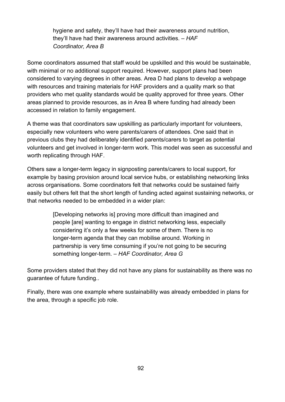hygiene and safety, they'll have had their awareness around nutrition, they'll have had their awareness around activities. – *HAF Coordinator, Area B*

Some coordinators assumed that staff would be upskilled and this would be sustainable, with minimal or no additional support required. However, support plans had been considered to varying degrees in other areas. Area D had plans to develop a webpage with resources and training materials for HAF providers and a quality mark so that providers who met quality standards would be quality approved for three years. Other areas planned to provide resources, as in Area B where funding had already been accessed in relation to family engagement.

A theme was that coordinators saw upskilling as particularly important for volunteers, especially new volunteers who were parents/carers of attendees. One said that in previous clubs they had deliberately identified parents/carers to target as potential volunteers and get involved in longer-term work. This model was seen as successful and worth replicating through HAF.

Others saw a longer-term legacy in signposting parents/carers to local support, for example by basing provision around local service hubs, or establishing networking links across organisations. Some coordinators felt that networks could be sustained fairly easily but others felt that the short length of funding acted against sustaining networks, or that networks needed to be embedded in a wider plan:

> [Developing networks is] proving more difficult than imagined and people [are] wanting to engage in district networking less, especially considering it's only a few weeks for some of them. There is no longer-term agenda that they can mobilise around. Working in partnership is very time consuming if you're not going to be securing something longer-term. – *HAF Coordinator, Area G*

Some providers stated that they did not have any plans for sustainability as there was no guarantee of future funding..

Finally, there was one example where sustainability was already embedded in plans for the area, through a specific job role.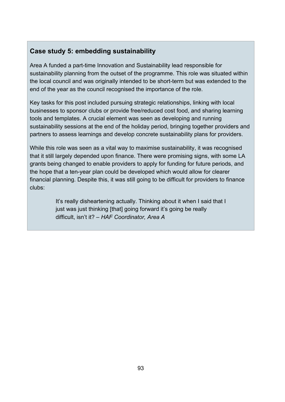### **Case study 5: embedding sustainability**

Area A funded a part-time Innovation and Sustainability lead responsible for sustainability planning from the outset of the programme. This role was situated within the local council and was originally intended to be short-term but was extended to the end of the year as the council recognised the importance of the role.

Key tasks for this post included pursuing strategic relationships, linking with local businesses to sponsor clubs or provide free/reduced cost food, and sharing learning tools and templates. A crucial element was seen as developing and running sustainability sessions at the end of the holiday period, bringing together providers and partners to assess learnings and develop concrete sustainability plans for providers.

While this role was seen as a vital way to maximise sustainability, it was recognised that it still largely depended upon finance. There were promising signs, with some LA grants being changed to enable providers to apply for funding for future periods, and the hope that a ten-year plan could be developed which would allow for clearer financial planning. Despite this, it was still going to be difficult for providers to finance clubs:

> It's really disheartening actually. Thinking about it when I said that I just was just thinking [that] going forward it's going be really difficult, isn't it? – *HAF Coordinator, Area A*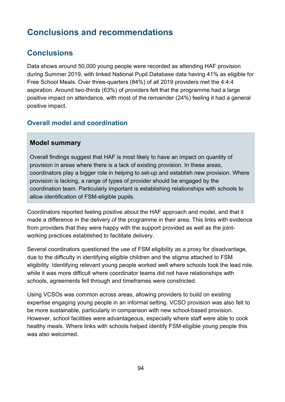# **Conclusions and recommendations**

### **Conclusions**

Data shows around 50,000 young people were recorded as attending HAF provision during Summer 2019, with linked National Pupil Database data having 41% as eligible for Free School Meals. Over three-quarters (84%) of all 2019 providers met the 4:4:4 aspiration. Around two-thirds (63%) of providers felt that the programme had a large positive impact on attendance, with most of the remainder (24%) feeling it had a general positive impact.

### **Overall model and coordination**

### **Model summary**

Overall findings suggest that HAF is most likely to have an impact on quantity of provision in areas where there is a lack of existing provision. In these areas, coordinators play a bigger role in helping to set-up and establish new provision. Where provision is lacking, a range of types of provider should be engaged by the coordination team. Particularly important is establishing relationships with schools to allow identification of FSM-eligible pupils.

Coordinators reported feeling positive about the HAF approach and model, and that it made a difference in the delivery of the programme in their area. This links with evidence from providers that they were happy with the support provided as well as the jointworking practices established to facilitate delivery.

Several coordinators questioned the use of FSM eligibility as a proxy for disadvantage, due to the difficulty in identifying eligible children and the stigma attached to FSM eligibility. Identifying relevant young people worked well where schools took the lead role, while it was more difficult where coordinator teams did not have relationships with schools, agreements fell through and timeframes were constricted.

Using VCSOs was common across areas, allowing providers to build on existing expertise engaging young people in an informal setting. VCSO provision was also felt to be more sustainable, particularly in comparison with new school-based provision. However, school facilities were advantageous, especially where staff were able to cook healthy meals. Where links with schools helped identify FSM-eligible young people this was also welcomed.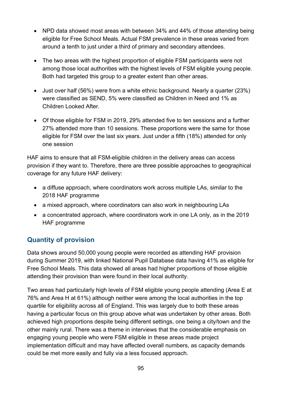- NPD data showed most areas with between 34% and 44% of those attending being eligible for Free School Meals. Actual FSM prevalence in these areas varied from around a tenth to just under a third of primary and secondary attendees.
- The two areas with the highest proportion of eligible FSM participants were not among those local authorities with the highest levels of FSM eligible young people. Both had targeted this group to a greater extent than other areas.
- Just over half (56%) were from a white ethnic background. Nearly a quarter (23%) were classified as SEND, 5% were classified as Children in Need and 1% as Children Looked After.
- Of those eligible for FSM in 2019, 29% attended five to ten sessions and a further 27% attended more than 10 sessions. These proportions were the same for those eligible for FSM over the last six years. Just under a fifth (18%) attended for only one session

HAF aims to ensure that all FSM-eligible children in the delivery areas can access provision if they want to. Therefore, there are three possible approaches to geographical coverage for any future HAF delivery:

- a diffuse approach, where coordinators work across multiple LAs, similar to the 2018 HAF programme
- a mixed approach, where coordinators can also work in neighbouring LAs
- a concentrated approach, where coordinators work in one LA only, as in the 2019 HAF programme

### **Quantity of provision**

Data shows around 50,000 young people were recorded as attending HAF provision during Summer 2019, with linked National Pupil Database data having 41% as eligible for Free School Meals. This data showed all areas had higher proportions of those eligible attending their provision than were found in their local authority.

Two areas had particularly high levels of FSM eligible young people attending (Area E at 76% and Area H at 61%) although neither were among the local authorities in the top quartile for eligibility across all of England. This was largely due to both these areas having a particular focus on this group above what was undertaken by other areas. Both achieved high proportions despite being different settings, one being a city/town and the other mainly rural. There was a theme in interviews that the considerable emphasis on engaging young people who were FSM eligible in these areas made project implementation difficult and may have affected overall numbers, as capacity demands could be met more easily and fully via a less focused approach.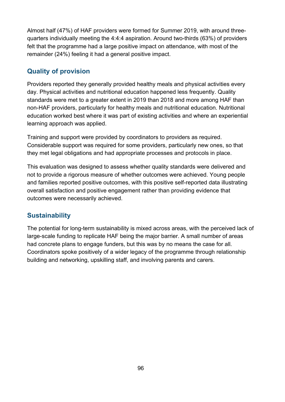Almost half (47%) of HAF providers were formed for Summer 2019, with around threequarters individually meeting the 4:4:4 aspiration. Around two-thirds (63%) of providers felt that the programme had a large positive impact on attendance, with most of the remainder (24%) feeling it had a general positive impact.

### **Quality of provision**

Providers reported they generally provided healthy meals and physical activities every day. Physical activities and nutritional education happened less frequently. Quality standards were met to a greater extent in 2019 than 2018 and more among HAF than non-HAF providers, particularly for healthy meals and nutritional education. Nutritional education worked best where it was part of existing activities and where an experiential learning approach was applied.

Training and support were provided by coordinators to providers as required. Considerable support was required for some providers, particularly new ones, so that they met legal obligations and had appropriate processes and protocols in place.

This evaluation was designed to assess whether quality standards were delivered and not to provide a rigorous measure of whether outcomes were achieved. Young people and families reported positive outcomes, with this positive self-reported data illustrating overall satisfaction and positive engagement rather than providing evidence that outcomes were necessarily achieved.

### **Sustainability**

The potential for long-term sustainability is mixed across areas, with the perceived lack of large-scale funding to replicate HAF being the major barrier. A small number of areas had concrete plans to engage funders, but this was by no means the case for all. Coordinators spoke positively of a wider legacy of the programme through relationship building and networking, upskilling staff, and involving parents and carers.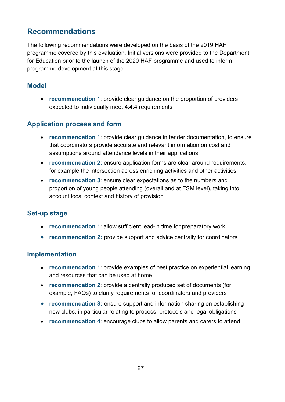### **Recommendations**

The following recommendations were developed on the basis of the 2019 HAF programme covered by this evaluation. Initial versions were provided to the Department for Education prior to the launch of the 2020 HAF programme and used to inform programme development at this stage.

### **Model**

• **recommendation 1**: provide clear guidance on the proportion of providers expected to individually meet 4:4:4 requirements

### **Application process and form**

- **recommendation 1**: provide clear guidance in tender documentation, to ensure that coordinators provide accurate and relevant information on cost and assumptions around attendance levels in their applications
- **recommendation 2:** ensure application forms are clear around requirements, for example the intersection across enriching activities and other activities
- **recommendation 3**: ensure clear expectations as to the numbers and proportion of young people attending (overall and at FSM level), taking into account local context and history of provision

### **Set-up stage**

- **recommendation 1**: allow sufficient lead-in time for preparatory work
- **recommendation 2:** provide support and advice centrally for coordinators

### **Implementation**

- **recommendation 1**: provide examples of best practice on experiential learning, and resources that can be used at home
- **recommendation 2**: provide a centrally produced set of documents (for example, FAQs) to clarify requirements for coordinators and providers
- **recommendation 3:** ensure support and information sharing on establishing new clubs, in particular relating to process, protocols and legal obligations
- **recommendation 4**: encourage clubs to allow parents and carers to attend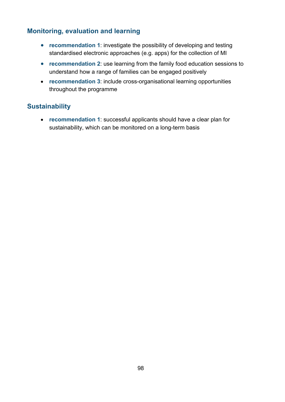### **Monitoring, evaluation and learning**

- **recommendation 1**: investigate the possibility of developing and testing standardised electronic approaches (e.g. apps) for the collection of MI
- **recommendation 2**: use learning from the family food education sessions to understand how a range of families can be engaged positively
- **recommendation 3**: include cross-organisational learning opportunities throughout the programme

### **Sustainability**

<span id="page-97-1"></span><span id="page-97-0"></span>• **recommendation 1**: successful applicants should have a clear plan for sustainability, which can be monitored on a long-term basis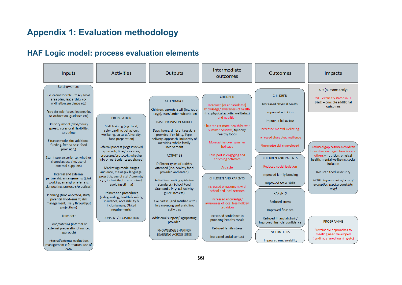# **Appendix 1: Evaluation methodology**

data

## **HAF Logic model: process evaluation elements**

| Inputs                                                                                                                                                                                                                                                                                                                                                                                                                                                                                                                                                                                                                                                                                         | <b>Activities</b>                                                                                                                                                                                                                                                                                                                                                                                                                                                                                                                                                      | Outputs                                                                                                                                                                                                                                                                                                                                                                                                                                                                                                                                                                                    | Intermediate<br>outcomes                                                                                                                                                                                                                                                                                                                                                                                                                                                                            | Outcomes                                                                                                                                                                                                                                                                                                                                                                 | Impacts                                                                                                                                                                                                                                                                                                                                                |
|------------------------------------------------------------------------------------------------------------------------------------------------------------------------------------------------------------------------------------------------------------------------------------------------------------------------------------------------------------------------------------------------------------------------------------------------------------------------------------------------------------------------------------------------------------------------------------------------------------------------------------------------------------------------------------------------|------------------------------------------------------------------------------------------------------------------------------------------------------------------------------------------------------------------------------------------------------------------------------------------------------------------------------------------------------------------------------------------------------------------------------------------------------------------------------------------------------------------------------------------------------------------------|--------------------------------------------------------------------------------------------------------------------------------------------------------------------------------------------------------------------------------------------------------------------------------------------------------------------------------------------------------------------------------------------------------------------------------------------------------------------------------------------------------------------------------------------------------------------------------------------|-----------------------------------------------------------------------------------------------------------------------------------------------------------------------------------------------------------------------------------------------------------------------------------------------------------------------------------------------------------------------------------------------------------------------------------------------------------------------------------------------------|--------------------------------------------------------------------------------------------------------------------------------------------------------------------------------------------------------------------------------------------------------------------------------------------------------------------------------------------------------------------------|--------------------------------------------------------------------------------------------------------------------------------------------------------------------------------------------------------------------------------------------------------------------------------------------------------------------------------------------------------|
| Setting/venues<br>Co-ordinator role (tasks, local<br>area plan, leadership, co-<br>ordination, guidance etc)<br>Provider role (tasks, leadership,<br>co-ordination, guidance etc)<br>Delivery model (days/hours,<br>spread, core/local flexibility,<br>targeting)<br>Finance model (inc additional<br>funding, free vs cost, food<br>provision,)<br>Staff (type, experience, whether<br>shared across site, use of<br>external suppliers)<br>Internal and external<br>partnership arrangements (joint<br>working, arranging referrals,<br>signposting, protocols/practices)<br>Planning (time allocated, staff/<br>parental involvement, risk<br>management, likely throughput<br>projections) | <b>PREPARATION</b><br>Staff training (e.g. food,<br>safeguarding, behaviour,<br>wellbeing, cultural/diversity,<br>food preparation)<br>Referral process (orgs involved,<br>approach, time/resources,<br>processes/protocols, whether<br>info on particular cases shared)<br>Marketing (mode, target<br>audience, message/language,<br>prog title, use of staff/parents/<br>cyp, inclusivity, time required,<br>avoiding stigma)<br>Policies and procedures<br>(safeguarding, health & safety,<br>insurance, accessibility &<br>inclusiveness. Of sted<br>requirements) | <b>ATTENDANCE</b><br>Children, parents, staff (inc. ratio<br>to cyp), over/under-subscription<br><b>BASIC PROVISION MODEL</b><br>Days, hours, different sessions<br>provided, flexibility, Type,<br>delivery, approach, inclusivity of<br>activities, whole family<br>involvement<br><b>ACTIVITIES</b><br>Different types of activity<br>attended (inc. healthy food<br>provided and eaten)<br>Activities meeting guideline<br>standards (School Food<br>Standards, Physical Activity<br>guidelines etc)<br>Take part in (and satisfied with)<br>fun, engaging and enriching<br>activities | <b>CHILDREN</b><br>Increased [or consolidated]<br>knowledge/awareness of health<br>(inc. physical activity, well being)<br>and nutrition<br>Children eat more healthily over<br>summer holidays, try new/<br>healthy foods<br>More active over summer<br>holidays<br>Take part in engaging and<br>enriching activities<br>Are safe<br><b>CHILDREN AND PARENTS</b><br>Increased engagement with<br>school and local services<br>Increased knowledge/<br>awareness of local free holiday<br>provision | <b>CHILDREN</b><br>Increased physical health<br>Improved nutrition<br>Improved behaviour<br>Increased mental wellbeing<br>Increased character, resilience<br>Fine motor skills developed<br><b>CHILDREN AND PARENTS</b><br>Reduced social isolation<br>Improved family bonding<br>Improved social skills<br><b>PARENTS</b><br><b>Reduced stress</b><br>Improved finances | KEY (outcomes only)<br>Red - explicitly stated in ITT<br>Black - possible additional<br>outcomes<br>Reduced gap between children<br>from disadvantaged families and<br>others-nutrition, physical<br>health, mental wellbeing, social<br>isolation<br>Reduced food in security<br>NOTE: Impacts not a focus of<br>evaluation (background info<br>only) |
| Transport<br>Food/catering (internal or<br>external preparation, finance,<br>approach)<br>Internal/external evaluation,                                                                                                                                                                                                                                                                                                                                                                                                                                                                                                                                                                        | <b>CONSENT/REGISTRATION</b>                                                                                                                                                                                                                                                                                                                                                                                                                                                                                                                                            | Additional support/signposting<br>provided<br>KNOWLEDGE SHARING/<br><b>LEARNING ACROSS SITES</b>                                                                                                                                                                                                                                                                                                                                                                                                                                                                                           | Increased confidence in<br>providing healthy meals<br><b>Reduced family stress</b><br>Increased social contact                                                                                                                                                                                                                                                                                                                                                                                      | Reduced financial strain/<br>improved financial confidence<br><b>VOLUNTEERS</b><br>Improved employability                                                                                                                                                                                                                                                                | <b>PROGRAMME</b><br>Sustainable approaches to<br>meeting need developed<br>(funding, shared learning etc)                                                                                                                                                                                                                                              |
| managament information use of                                                                                                                                                                                                                                                                                                                                                                                                                                                                                                                                                                                                                                                                  |                                                                                                                                                                                                                                                                                                                                                                                                                                                                                                                                                                        |                                                                                                                                                                                                                                                                                                                                                                                                                                                                                                                                                                                            |                                                                                                                                                                                                                                                                                                                                                                                                                                                                                                     |                                                                                                                                                                                                                                                                                                                                                                          |                                                                                                                                                                                                                                                                                                                                                        |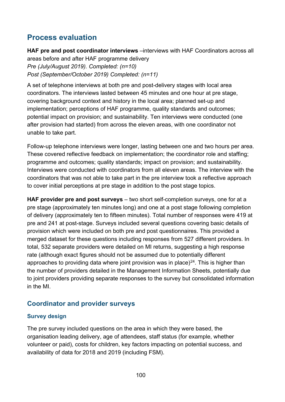### **Process evaluation**

**HAF pre and post coordinator interviews** –interviews with HAF Coordinators across all areas before and after HAF programme delivery *Pre (July/August 2019). Completed: (n=10) Post (September/October 2019) Completed: (n=11)*

A set of telephone interviews at both pre and post-delivery stages with local area coordinators. The interviews lasted between 45 minutes and one hour at pre stage, covering background context and history in the local area; planned set-up and implementation; perceptions of HAF programme, quality standards and outcomes; potential impact on provision; and sustainability. Ten interviews were conducted (one after provision had started) from across the eleven areas, with one coordinator not unable to take part.

Follow-up telephone interviews were longer, lasting between one and two hours per area. These covered reflective feedback on implementation; the coordinator role and staffing; programme and outcomes; quality standards; impact on provision; and sustainability. Interviews were conducted with coordinators from all eleven areas. The interview with the coordinators that was not able to take part in the pre interview took a reflective approach to cover initial perceptions at pre stage in addition to the post stage topics.

**HAF provider pre and post surveys** – two short self-completion surveys, one for at a pre stage (approximately ten minutes long) and one at a post stage following completion of delivery (approximately ten to fifteen minutes). Total number of responses were 419 at pre and 241 at post-stage. Surveys included several questions covering basic details of provision which were included on both pre and post questionnaires. This provided a merged dataset for these questions including responses from 527 different providers. In total, 532 separate providers were detailed on MI returns, suggesting a high response rate (although exact figures should not be assumed due to potentially different approaches to providing data where joint provision was in place)<sup>24</sup>. This is higher than the number of providers detailed in the Management Information Sheets, potentially due to joint providers providing separate responses to the survey but consolidated information in the MI.

### **Coordinator and provider surveys**

### **Survey design**

The pre survey included questions on the area in which they were based, the organisation leading delivery, age of attendees, staff status (for example, whether volunteer or paid), costs for children, key factors impacting on potential success, and availability of data for 2018 and 2019 (including FSM).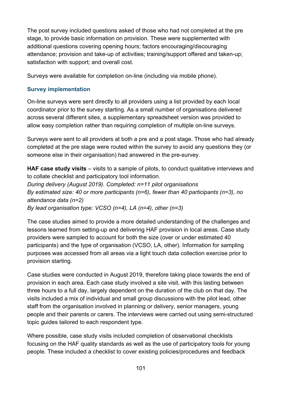The post survey included questions asked of those who had not completed at the pre stage, to provide basic information on provision. These were supplemented with additional questions covering opening hours; factors encouraging/discouraging attendance; provision and take-up of activities; training/support offered and taken-up; satisfaction with support; and overall cost.

Surveys were available for completion on-line (including via mobile phone).

#### **Survey implementation**

On-line surveys were sent directly to all providers using a list provided by each local coordinator prior to the survey starting. As a small number of organisations delivered across several different sites, a supplementary spreadsheet version was provided to allow easy completion rather than requiring completion of multiple on-line surveys.

Surveys were sent to all providers at both a pre and a post stage. Those who had already completed at the pre stage were routed within the survey to avoid any questions they (or someone else in their organisation) had answered in the pre-survey.

**HAF case study visits** – visits to a sample of pilots, to conduct qualitative interviews and to collate checklist and participatory tool information. *During delivery (August 2019). Completed: n=11 pilot organisations By estimated size: 40 or more participants (n=6), fewer than 40 participants (n=3), no attendance data (n=2)*

*By lead organisation type: VCSO (n=4), LA (n=4), other (n=3)* 

The case studies aimed to provide a more detailed understanding of the challenges and lessons learned from setting-up and delivering HAF provision in local areas. Case study providers were sampled to account for both the size (over or under estimated 40 participants) and the type of organisation (VCSO, LA, other). Information for sampling purposes was accessed from all areas via a light touch data collection exercise prior to provision starting.

Case studies were conducted in August 2019, therefore taking place towards the end of provision in each area. Each case study involved a site visit, with this lasting between three hours to a full day, largely dependent on the duration of the club on that day. The visits included a mix of individual and small group discussions with the pilot lead, other staff from the organisation involved in planning or delivery, senior managers, young people and their parents or carers. The interviews were carried out using semi-structured topic guides tailored to each respondent type.

Where possible, case study visits included completion of observational checklists focusing on the HAF quality standards as well as the use of participatory tools for young people. These included a checklist to cover existing policies/procedures and feedback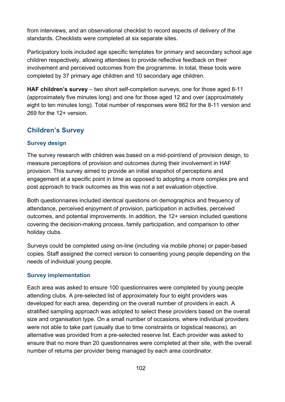from interviews, and an observational checklist to record aspects of delivery of the standards. Checklists were completed at six separate sites.

Participatory tools included age specific templates for primary and secondary school age children respectively, allowing attendees to provide reflective feedback on their involvement and perceived outcomes from the programme. In total, these tools were completed by 37 primary age children and 10 secondary age children.

**HAF children's survey** – two short self-completion surveys, one for those aged 8-11 (approximately five minutes long) and one for those aged 12 and over (approximately eight to ten minutes long). Total number of responses were 862 for the 8-11 version and 269 for the 12+ version.

### **Children's Survey**

#### **Survey design**

The survey research with children was based on a mid-point/end of provision design, to measure perceptions of provision and outcomes during their involvement in HAF provision. This survey aimed to provide an initial snapshot of perceptions and engagement at a specific point in time as opposed to adopting a more complex pre and post approach to track outcomes as this was not a set evaluation objective.

Both questionnaires included identical questions on demographics and frequency of attendance, perceived enjoyment of provision, participation in activities, perceived outcomes, and potential improvements. In addition, the 12+ version included questions covering the decision-making process, family participation, and comparison to other holiday clubs.

Surveys could be completed using on-line (including via mobile phone) or paper-based copies. Staff assigned the correct version to consenting young people depending on the needs of individual young people.

#### **Survey implementation**

Each area was asked to ensure 100 questionnaires were completed by young people attending clubs. A pre-selected list of approximately four to eight providers was developed for each area, depending on the overall number of providers in each. A stratified sampling approach was adopted to select these providers based on the overall size and organisation type. On a small number of occasions, where individual providers were not able to take part (usually due to time constraints or logistical reasons), an alternative was provided from a pre-selected reserve list. Each provider was asked to ensure that no more than 20 questionnaires were completed at their site, with the overall number of returns per provider being managed by each area coordinator.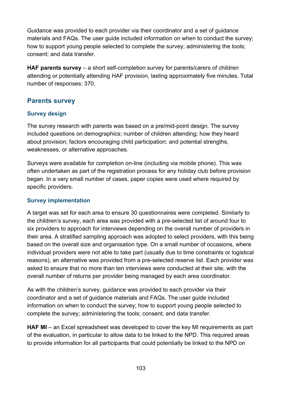Guidance was provided to each provider via their coordinator and a set of guidance materials and FAQs. The user guide included information on when to conduct the survey; how to support young people selected to complete the survey; administering the tools; consent; and data transfer.

**HAF parents survey** – a short self-completion survey for parents/carers of children attending or potentially attending HAF provision, lasting approximately five minutes. Total number of responses: 370.

#### **Parents survey**

#### **Survey design**

The survey research with parents was based on a pre/mid-point design. The survey included questions on demographics; number of children attending; how they heard about provision; factors encouraging child participation; and potential strengths, weaknesses, or alternative approaches.

Surveys were available for completion on-line (including via mobile phone). This was often undertaken as part of the registration process for any holiday club before provision began. In a very small number of cases, paper copies were used where required by specific providers.

#### **Survey implementation**

A target was set for each area to ensure 30 questionnaires were completed. Similarly to the children's survey, each area was provided with a pre-selected list of around four to six providers to approach for interviews depending on the overall number of providers in their area. A stratified sampling approach was adopted to select providers, with this being based on the overall size and organisation type. On a small number of occasions, where individual providers were not able to take part (usually due to time constraints or logistical reasons), an alternative was provided from a pre-selected reserve list. Each provider was asked to ensure that no more than ten interviews were conducted at their site, with the overall number of returns per provider being managed by each area coordinator.

As with the children's survey, guidance was provided to each provider via their coordinator and a set of guidance materials and FAQs. The user guide included information on when to conduct the survey; how to support young people selected to complete the survey; administering the tools; consent; and data transfer.

**HAF MI** – an Excel spreadsheet was developed to cover the key MI requirements as part of the evaluation, in particular to allow data to be linked to the NPD. This required areas to provide information for all participants that could potentially be linked to the NPD on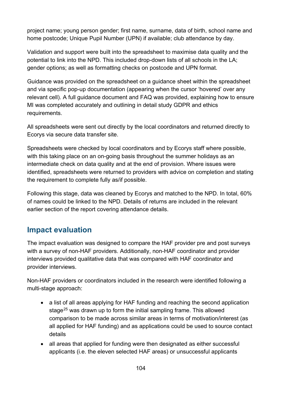project name; young person gender; first name, surname, data of birth, school name and home postcode; Unique Pupil Number (UPN) if available; club attendance by day.

Validation and support were built into the spreadsheet to maximise data quality and the potential to link into the NPD. This included drop-down lists of all schools in the LA; gender options; as well as formatting checks on postcode and UPN format.

Guidance was provided on the spreadsheet on a guidance sheet within the spreadsheet and via specific pop-up documentation (appearing when the cursor 'hovered' over any relevant cell). A full guidance document and FAQ was provided, explaining how to ensure MI was completed accurately and outlining in detail study GDPR and ethics requirements.

All spreadsheets were sent out directly by the local coordinators and returned directly to Ecorys via secure data transfer site.

Spreadsheets were checked by local coordinators and by Ecorys staff where possible, with this taking place on an on-going basis throughout the summer holidays as an intermediate check on data quality and at the end of provision. Where issues were identified, spreadsheets were returned to providers with advice on completion and stating the requirement to complete fully as/if possible.

Following this stage, data was cleaned by Ecorys and matched to the NPD. In total, 60% of names could be linked to the NPD. Details of returns are included in the relevant earlier section of the report covering attendance details.

### **Impact evaluation**

The impact evaluation was designed to compare the HAF provider pre and post surveys with a survey of non-HAF providers. Additionally, non-HAF coordinator and provider interviews provided qualitative data that was compared with HAF coordinator and provider interviews.

Non-HAF providers or coordinators included in the research were identified following a multi-stage approach:

- a list of all areas applying for HAF funding and reaching the second application stage<sup>[25](#page-108-1)</sup> was drawn up to form the initial sampling frame. This allowed comparison to be made across similar areas in terms of motivation/interest (as all applied for HAF funding) and as applications could be used to source contact details
- all areas that applied for funding were then designated as either successful applicants (i.e. the eleven selected HAF areas) or unsuccessful applicants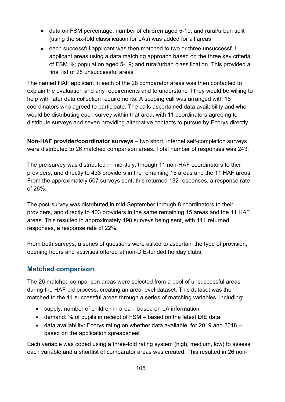- data on FSM percentage; number of children aged 5-19; and rural/urban split (using the six-fold classification for LAs) was added for all areas
- each successful applicant was then matched to two or three unsuccessful applicant areas using a data matching approach based on the three key criteria of FSM %; population aged 5-19; and rural/urban classification. This provided a final list of 28 unsuccessful areas

The named HAF applicant in each of the 28 comparator areas was then contacted to explain the evaluation and any requirements and to understand if they would be willing to help with later data collection requirements. A scoping call was arranged with 18 coordinators who agreed to participate. The calls ascertained data availability and who would be distributing each survey within that area, with 11 coordinators agreeing to distribute surveys and seven providing alternative contacts to pursue by Ecorys directly.

**Non-HAF provider/coordinator surveys** – two short, internet self-completion surveys were distributed to 26 matched comparison areas. Total number of responses was 243.

The pre-survey was distributed in mid-July, through 11 non-HAF coordinators to their providers, and directly to 433 providers in the remaining 15 areas and the 11 HAF areas. From the approximately 507 surveys sent, this returned 132 responses, a response rate of 26%.

The post-survey was distributed in mid-September through 8 coordinators to their providers, and directly to 403 providers in the same remaining 15 areas and the 11 HAF areas. This resulted in approximately 498 surveys being sent, with 111 returned responses, a response rate of 22%.

From both surveys, a series of questions were asked to ascertain the type of provision, opening hours and activities offered at non-DfE-funded holiday clubs.

### **Matched comparison**

The 26 matched comparison areas were selected from a pool of unsuccessful areas during the HAF bid process, creating an area-level dataset. This dataset was then matched to the 11 successful areas through a series of matching variables, including:

- supply: number of children in area based on LA information
- demand: % of pupils in receipt of FSM based on the latest DfE data
- data availability: Ecorys rating on whether data available, for 2019 and 2018 based on the application spreadsheet

Each variable was coded using a three-fold rating system (high, medium, low) to assess each variable and a shortlist of comparator areas was created. This resulted in 26 non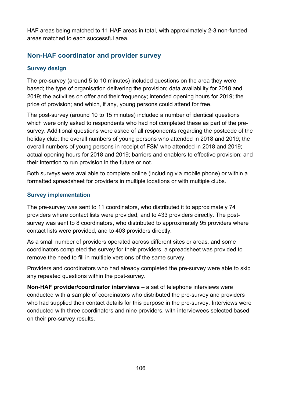HAF areas being matched to 11 HAF areas in total, with approximately 2-3 non-funded areas matched to each successful area.

### **Non-HAF coordinator and provider survey**

### **Survey design**

The pre-survey (around 5 to 10 minutes) included questions on the area they were based; the type of organisation delivering the provision; data availability for 2018 and 2019; the activities on offer and their frequency; intended opening hours for 2019; the price of provision; and which, if any, young persons could attend for free.

The post-survey (around 10 to 15 minutes) included a number of identical questions which were only asked to respondents who had not completed these as part of the presurvey. Additional questions were asked of all respondents regarding the postcode of the holiday club; the overall numbers of young persons who attended in 2018 and 2019; the overall numbers of young persons in receipt of FSM who attended in 2018 and 2019; actual opening hours for 2018 and 2019; barriers and enablers to effective provision; and their intention to run provision in the future or not.

Both surveys were available to complete online (including via mobile phone) or within a formatted spreadsheet for providers in multiple locations or with multiple clubs.

#### **Survey implementation**

The pre-survey was sent to 11 coordinators, who distributed it to approximately 74 providers where contact lists were provided, and to 433 providers directly. The postsurvey was sent to 8 coordinators, who distributed to approximately 95 providers where contact lists were provided, and to 403 providers directly.

As a small number of providers operated across different sites or areas, and some coordinators completed the survey for their providers, a spreadsheet was provided to remove the need to fill in multiple versions of the same survey.

Providers and coordinators who had already completed the pre-survey were able to skip any repeated questions within the post-survey.

**Non-HAF provider/coordinator interviews** – a set of telephone interviews were conducted with a sample of coordinators who distributed the pre-survey and providers who had supplied their contact details for this purpose in the pre-survey. Interviews were conducted with three coordinators and nine providers, with interviewees selected based on their pre-survey results.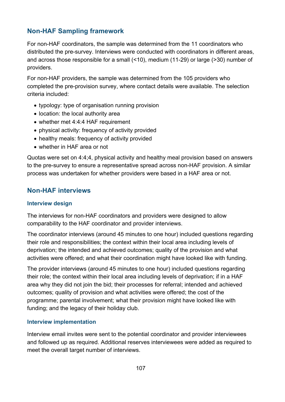### **Non-HAF Sampling framework**

For non-HAF coordinators, the sample was determined from the 11 coordinators who distributed the pre-survey. Interviews were conducted with coordinators in different areas, and across those responsible for a small (<10), medium (11-29) or large (>30) number of providers.

For non-HAF providers, the sample was determined from the 105 providers who completed the pre-provision survey, where contact details were available. The selection criteria included:

- typology: type of organisation running provision
- location: the local authority area
- whether met 4:4:4 HAF requirement
- physical activity: frequency of activity provided
- healthy meals: frequency of activity provided
- whether in HAF area or not

Quotas were set on 4:4;4, physical activity and healthy meal provision based on answers to the pre-survey to ensure a representative spread across non-HAF provision. A similar process was undertaken for whether providers were based in a HAF area or not.

### **Non-HAF interviews**

#### **Interview design**

The interviews for non-HAF coordinators and providers were designed to allow comparability to the HAF coordinator and provider interviews.

The coordinator interviews (around 45 minutes to one hour) included questions regarding their role and responsibilities; the context within their local area including levels of deprivation; the intended and achieved outcomes; quality of the provision and what activities were offered; and what their coordination might have looked like with funding.

The provider interviews (around 45 minutes to one hour) included questions regarding their role; the context within their local area including levels of deprivation; if in a HAF area why they did not join the bid; their processes for referral; intended and achieved outcomes; quality of provision and what activities were offered; the cost of the programme; parental involvement; what their provision might have looked like with funding; and the legacy of their holiday club.

#### **Interview implementation**

Interview email invites were sent to the potential coordinator and provider interviewees and followed up as required. Additional reserves interviewees were added as required to meet the overall target number of interviews.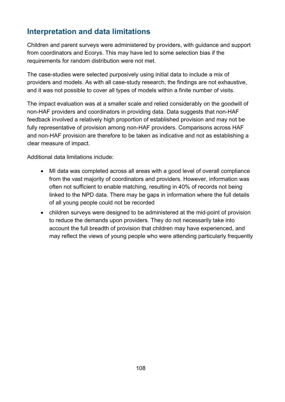## **Interpretation and data limitations**

Children and parent surveys were administered by providers, with guidance and support from coordinators and Ecorys. This may have led to some selection bias if the requirements for random distribution were not met.

The case-studies were selected purposively using initial data to include a mix of providers and models. As with all case-study research, the findings are not exhaustive, and it was not possible to cover all types of models within a finite number of visits.

The impact evaluation was at a smaller scale and relied considerably on the goodwill of non-HAF providers and coordinators in providing data. Data suggests that non-HAF feedback involved a relatively high proportion of established provision and may not be fully representative of provision among non-HAF providers. Comparisons across HAF and non-HAF provision are therefore to be taken as indicative and not as establishing a clear measure of impact.

Additional data limitations include:

- MI data was completed across all areas with a good level of overall compliance from the vast majority of coordinators and providers. However, information was often not sufficient to enable matching, resulting in 40% of records not being linked to the NPD data. There may be gaps in information where the full details of all young people could not be recorded
- children surveys were designed to be administered at the mid-point of provision to reduce the demands upon providers. They do not necessarily take into account the full breadth of provision that children may have experienced, and may reflect the views of young people who were attending particularly frequently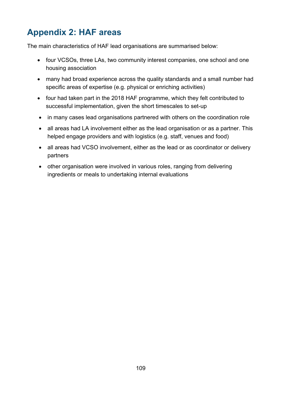## **Appendix 2: HAF areas**

The main characteristics of HAF lead organisations are summarised below:

- four VCSOs, three LAs, two community interest companies, one school and one housing association
- many had broad experience across the quality standards and a small number had specific areas of expertise (e.g. physical or enriching activities)
- four had taken part in the 2018 HAF programme, which they felt contributed to successful implementation, given the short timescales to set-up
- in many cases lead organisations partnered with others on the coordination role
- all areas had LA involvement either as the lead organisation or as a partner. This helped engage providers and with logistics (e.g. staff, venues and food)
- all areas had VCSO involvement, either as the lead or as coordinator or delivery partners
- other organisation were involved in various roles, ranging from delivering ingredients or meals to undertaking internal evaluations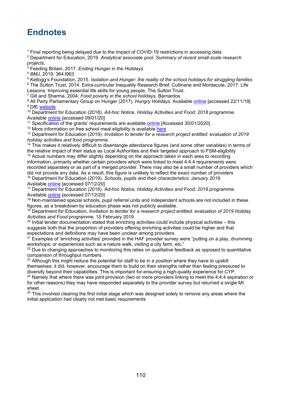## **Endnotes**

<sup>1</sup> Final reporting being delayed due to the impact of COVID-19 restrictions in accessing data

<sup>2</sup> Department for Education, 2019. *Analytical associate pool. Summary of recent small-scale research projects.*

<sup>3</sup> Feeding Britain, 2017. *Ending Hunger in the Holidays.*

<sup>4</sup> *BMJ,* 2019; 364:l963

<sup>5</sup> Kellogg's Foundation, 2015. *Isolation and Hunger: the reality of the school holidays for struggling families* <sup>6</sup> The Sutton Trust, 2014. Extra-curricular Inequality Research Brief; Cullinane and Montacute, 2017. Life

Lessons: Improving essential life skills for young people, The Sutton Trust.

<sup>7</sup> Gill and Sharma, 2004. *Food poverty in the school holidays,* Barnardos

<sup>8</sup> All Party Parliamentary Group on Hunger (2017). *Hungry Holidays.* Available [online](https://feedingbritain.files.wordpress.com/2015/02/hungry-holidays.pdf) [accessed 22/11/19] <sup>9</sup> DfE [website](https://www.gov.uk/government/organisations/department-for-education/about#our-priorities)

<sup>10</sup> Department for Education (2018). *Ad-hoc Notice, Holiday Activities and Food: 2018 programme.*  Available [online](https://assets.publishing.service.gov.uk/government/uploads/system/uploads/attachment_data/file/755139/Holiday_Activities_and_Food_2018_Programme_revised.pdf) [accessed 09/01/20]

<sup>11</sup> Specification of the grants' requirements are available [online](https://docs.google.com/viewer?url=https://www.contractsfinder.service.gov.uk/Notice/Attachment/06a3ed2a-6e41-4509-9f49-6de9ade13ae4) [Accessed 30/01/2020].

<sup>12</sup> More information on free school meal eligibility is available [here](https://assets.publishing.service.gov.uk/government/uploads/system/uploads/attachment_data/file/700139/Free_school_meals_guidance_Apr18.pdf)

<sup>13</sup> Department for Education (2019). *Invitation to tender for a research project entitled: evaluation of 2019 holiday activities and food programme.* 

<sup>14</sup> This makes it relatively difficult to disentangle attendance figures (and some other variables) in terms of the relative impact of their status as Local Authorities and their targeted approach to FSM-eligibility <sup>15</sup> Actual numbers may differ slightly depending on the approach taken in each area to recording information, primarily whether certain providers which were linked to meet 4:4:4 requirements were recorded separately or as part of a merged provider. There may also be a small number of providers which did not provide any data. As a result, this figure is unlikely to reflect the exact number of providers <sup>16</sup> Department for Education (2019). *Schools, pupils and their characteristics: January 2019.*  Available [online](https://assets.publishing.service.gov.uk/government/uploads/system/uploads/attachment_data/file/812539/Schools_Pupils_and_their_Characteristics_2019_Main_Text.pdf) [accessed 07/12/20]

<sup>17</sup> Department for Education (2018). *Ad-hoc Notice, Holiday Activities and Food: 2018 programme.*  Available [online](https://assets.publishing.service.gov.uk/government/uploads/system/uploads/attachment_data/file/755139/Holiday_Activities_and_Food_2018_Programme_revised.pdf) [accessed 07/12/20]

<sup>18</sup> Non-maintained special schools, pupil referral units and independent schools are not included in these figures, as a breakdown by education phase was not publicly available.

<sup>19</sup> Department for Education, *Invitation to tender for a research project entitled: evaluation of 2019 Holiday Activities and Food programme,* 15 February 2019

 $20$  Initial tender documentation stated that enriching activities could include physical activities – this suggests both that the proportion of providers offering enriching activities could be higher and that expectations and definitions may have been unclear among providers.

<sup>21</sup> Examples of 'enriching activities' provided in the HAF provider survey were "putting on a play, drumming workshops: or experiences such as a nature walk, visiting a city farm, etc."

<sup>22</sup> Due to changing approaches to monitoring this relies on qualitative feedback as opposed to quantitative comparison of throughput numbers.

 $23$  Although this might reduce the potential for staff to be in a position where they have to upskill themselves; it did, however, encourage them to build on their strengths rather than feeling pressured to diversify beyond their capabilities. This is important for ensuring a high-quality experience for CYP.<br><sup>24</sup> Namely that where there was joint provision (two or more providers linking to meet the 4:4:4 aspiration or

for other reasons) they may have responded separately to the provider survey but returned a single MI sheet

 $25$  This involved clearing the first initial stage which was designed solely to remove any areas where the initial application had clearly not met basic requirements